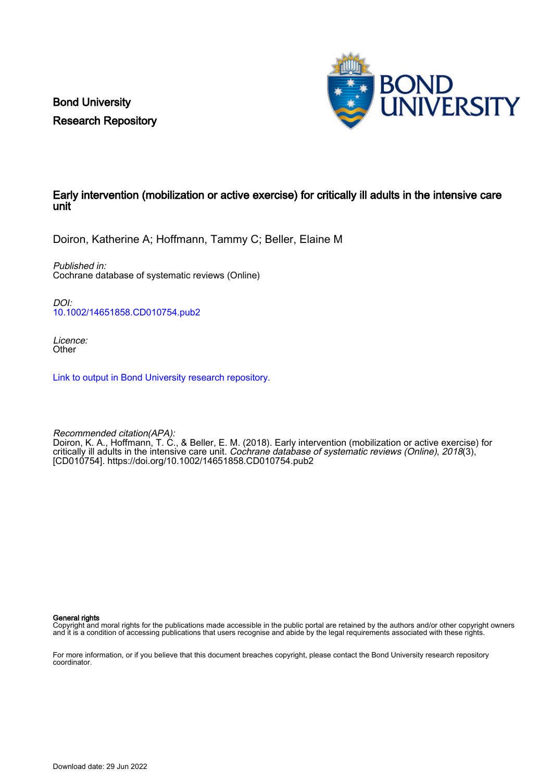Bond University Research Repository



# Early intervention (mobilization or active exercise) for critically ill adults in the intensive care unit

Doiron, Katherine A; Hoffmann, Tammy C; Beller, Elaine M

Published in: Cochrane database of systematic reviews (Online)

DOI: [10.1002/14651858.CD010754.pub2](https://doi.org/10.1002/14651858.CD010754.pub2)

Licence: **Other** 

[Link to output in Bond University research repository.](https://research.bond.edu.au/en/publications/420324fd-db57-4816-8654-574a8715070b)

Recommended citation(APA): Doiron, K. A., Hoffmann, T. C., & Beller, E. M. (2018). Early intervention (mobilization or active exercise) for critically ill adults in the intensive care unit. Cochrane database of systematic reviews (Online), 2018(3), [CD010754]. <https://doi.org/10.1002/14651858.CD010754.pub2>

General rights

Copyright and moral rights for the publications made accessible in the public portal are retained by the authors and/or other copyright owners and it is a condition of accessing publications that users recognise and abide by the legal requirements associated with these rights.

For more information, or if you believe that this document breaches copyright, please contact the Bond University research repository coordinator.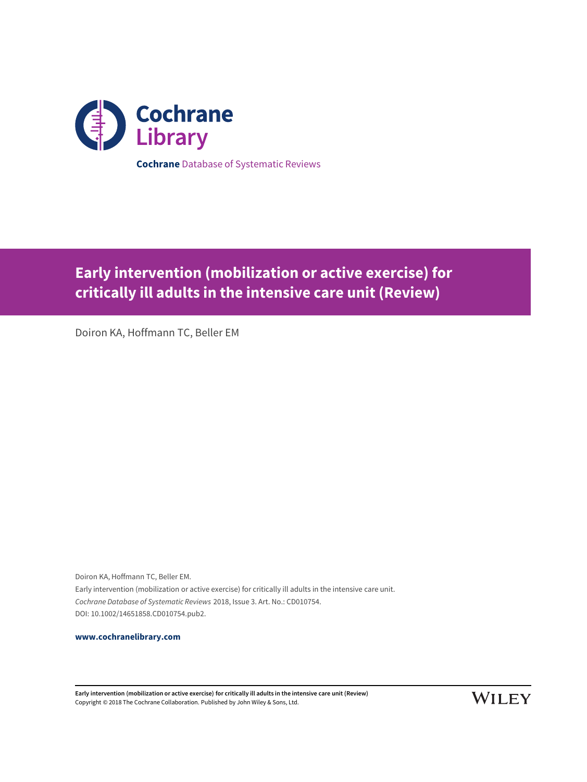

**Early intervention (mobilization or active exercise) for critically ill adults in the intensive care unit (Review)**

Doiron KA, Hoffmann TC, Beller EM

Doiron KA, Hoffmann TC, Beller EM. Early intervention (mobilization or active exercise) for critically ill adults in the intensive care unit. Cochrane Database of Systematic Reviews 2018, Issue 3. Art. No.: CD010754. DOI: 10.1002/14651858.CD010754.pub2.

**[www.cochranelibrary.com](http://www.cochranelibrary.com)**

**Early intervention (mobilization or active exercise) for critically ill adults in the intensive care unit (Review)** Copyright © 2018 The Cochrane Collaboration. Published by John Wiley & Sons, Ltd.

**WILEY**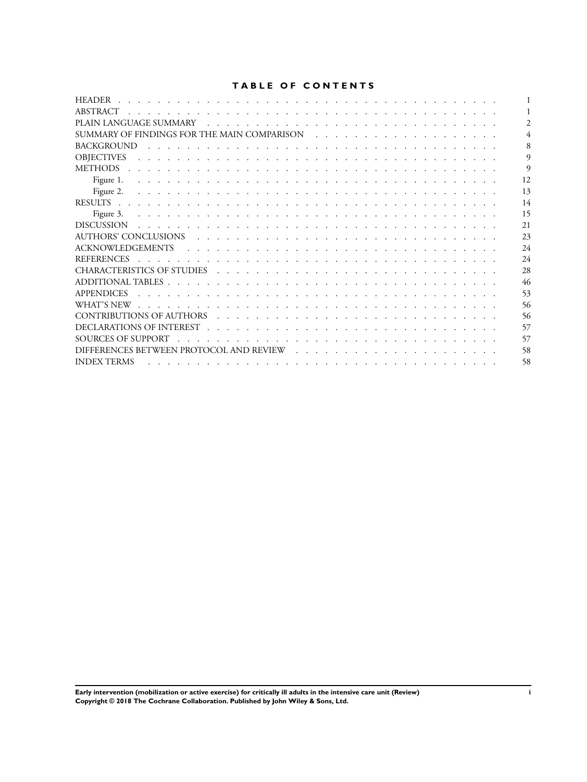# **TABLE OF CONTENTS**

| $\mathcal{P}$ |
|---------------|
| 4             |
|               |
| 9             |
| 9             |
| 12            |
| 13            |
| 14            |
| 15            |
| 21            |
| 23            |
| 24            |
| 24            |
| 28            |
| 46            |
| 53            |
| 56            |
| 56            |
| 57            |
| 57            |
| 58            |
| 58            |
|               |

**Early intervention (mobilization or active exercise) for critically ill adults in the intensive care unit (Review) i Copyright © 2018 The Cochrane Collaboration. Published by John Wiley & Sons, Ltd.**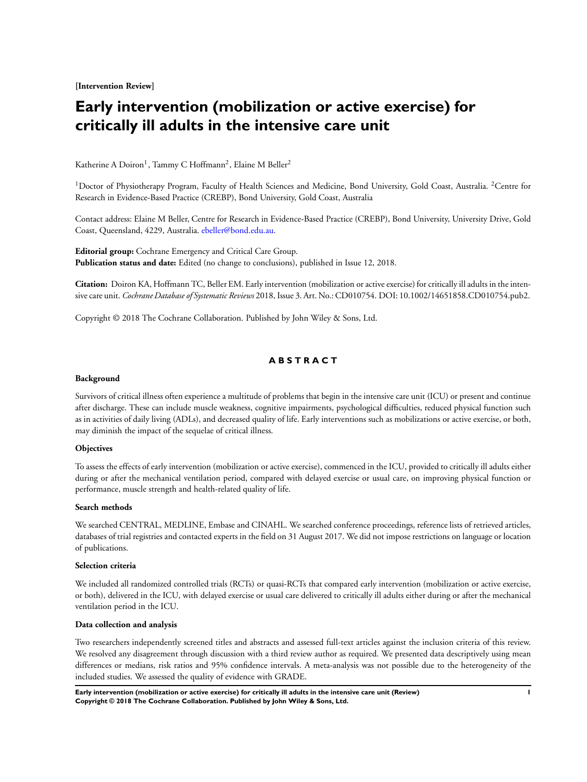**[Intervention Review]**

# **Early intervention (mobilization or active exercise) for critically ill adults in the intensive care unit**

Katherine A Doiron<sup>1</sup>, Tammy C Hoffmann<sup>2</sup>, Elaine M Beller<sup>2</sup>

<sup>1</sup>Doctor of Physiotherapy Program, Faculty of Health Sciences and Medicine, Bond University, Gold Coast, Australia. <sup>2</sup>Centre for Research in Evidence-Based Practice (CREBP), Bond University, Gold Coast, Australia

Contact address: Elaine M Beller, Centre for Research in Evidence-Based Practice (CREBP), Bond University, University Drive, Gold Coast, Queensland, 4229, Australia. [ebeller@bond.edu.au](mailto:ebeller@bond.edu.au).

**Editorial group:** Cochrane Emergency and Critical Care Group. **Publication status and date:** Edited (no change to conclusions), published in Issue 12, 2018.

**Citation:** Doiron KA, Hoffmann TC, Beller EM. Early intervention (mobilization or active exercise) for critically ill adults in the intensive care unit. *Cochrane Database of Systematic Reviews* 2018, Issue 3. Art. No.: CD010754. DOI: 10.1002/14651858.CD010754.pub2.

Copyright © 2018 The Cochrane Collaboration. Published by John Wiley & Sons, Ltd.

# **A B S T R A C T**

#### **Background**

Survivors of critical illness often experience a multitude of problems that begin in the intensive care unit (ICU) or present and continue after discharge. These can include muscle weakness, cognitive impairments, psychological difficulties, reduced physical function such as in activities of daily living (ADLs), and decreased quality of life. Early interventions such as mobilizations or active exercise, or both, may diminish the impact of the sequelae of critical illness.

## **Objectives**

To assess the effects of early intervention (mobilization or active exercise), commenced in the ICU, provided to critically ill adults either during or after the mechanical ventilation period, compared with delayed exercise or usual care, on improving physical function or performance, muscle strength and health-related quality of life.

#### **Search methods**

We searched CENTRAL, MEDLINE, Embase and CINAHL. We searched conference proceedings, reference lists of retrieved articles, databases of trial registries and contacted experts in the field on 31 August 2017. We did not impose restrictions on language or location of publications.

# **Selection criteria**

We included all randomized controlled trials (RCTs) or quasi-RCTs that compared early intervention (mobilization or active exercise, or both), delivered in the ICU, with delayed exercise or usual care delivered to critically ill adults either during or after the mechanical ventilation period in the ICU.

#### **Data collection and analysis**

Two researchers independently screened titles and abstracts and assessed full-text articles against the inclusion criteria of this review. We resolved any disagreement through discussion with a third review author as required. We presented data descriptively using mean differences or medians, risk ratios and 95% confidence intervals. A meta-analysis was not possible due to the heterogeneity of the included studies. We assessed the quality of evidence with GRADE.

**Early intervention (mobilization or active exercise) for critically ill adults in the intensive care unit (Review) 1 Copyright © 2018 The Cochrane Collaboration. Published by John Wiley & Sons, Ltd.**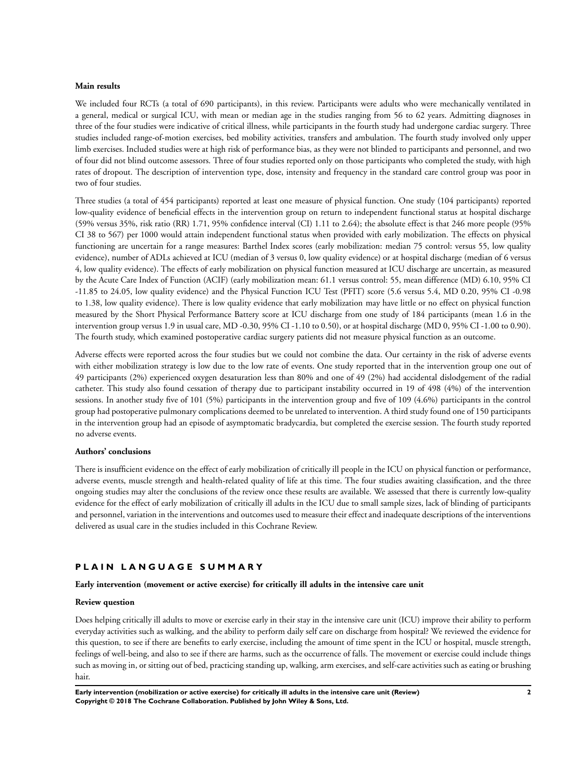## **Main results**

We included four RCTs (a total of 690 participants), in this review. Participants were adults who were mechanically ventilated in a general, medical or surgical ICU, with mean or median age in the studies ranging from 56 to 62 years. Admitting diagnoses in three of the four studies were indicative of critical illness, while participants in the fourth study had undergone cardiac surgery. Three studies included range-of-motion exercises, bed mobility activities, transfers and ambulation. The fourth study involved only upper limb exercises. Included studies were at high risk of performance bias, as they were not blinded to participants and personnel, and two of four did not blind outcome assessors. Three of four studies reported only on those participants who completed the study, with high rates of dropout. The description of intervention type, dose, intensity and frequency in the standard care control group was poor in two of four studies.

Three studies (a total of 454 participants) reported at least one measure of physical function. One study (104 participants) reported low-quality evidence of beneficial effects in the intervention group on return to independent functional status at hospital discharge (59% versus 35%, risk ratio (RR) 1.71, 95% confidence interval (CI) 1.11 to 2.64); the absolute effect is that 246 more people (95% CI 38 to 567) per 1000 would attain independent functional status when provided with early mobilization. The effects on physical functioning are uncertain for a range measures: Barthel Index scores (early mobilization: median 75 control: versus 55, low quality evidence), number of ADLs achieved at ICU (median of 3 versus 0, low quality evidence) or at hospital discharge (median of 6 versus 4, low quality evidence). The effects of early mobilization on physical function measured at ICU discharge are uncertain, as measured by the Acute Care Index of Function (ACIF) (early mobilization mean: 61.1 versus control: 55, mean difference (MD) 6.10, 95% CI -11.85 to 24.05, low quality evidence) and the Physical Function ICU Test (PFIT) score (5.6 versus 5.4, MD 0.20, 95% CI -0.98 to 1.38, low quality evidence). There is low quality evidence that early mobilization may have little or no effect on physical function measured by the Short Physical Performance Battery score at ICU discharge from one study of 184 participants (mean 1.6 in the intervention group versus 1.9 in usual care, MD -0.30, 95% CI -1.10 to 0.50), or at hospital discharge (MD 0, 95% CI -1.00 to 0.90). The fourth study, which examined postoperative cardiac surgery patients did not measure physical function as an outcome.

Adverse effects were reported across the four studies but we could not combine the data. Our certainty in the risk of adverse events with either mobilization strategy is low due to the low rate of events. One study reported that in the intervention group one out of 49 participants (2%) experienced oxygen desaturation less than 80% and one of 49 (2%) had accidental dislodgement of the radial catheter. This study also found cessation of therapy due to participant instability occurred in 19 of 498 (4%) of the intervention sessions. In another study five of 101 (5%) participants in the intervention group and five of 109 (4.6%) participants in the control group had postoperative pulmonary complications deemed to be unrelated to intervention. A third study found one of 150 participants in the intervention group had an episode of asymptomatic bradycardia, but completed the exercise session. The fourth study reported no adverse events.

### **Authors' conclusions**

There is insufficient evidence on the effect of early mobilization of critically ill people in the ICU on physical function or performance, adverse events, muscle strength and health-related quality of life at this time. The four studies awaiting classification, and the three ongoing studies may alter the conclusions of the review once these results are available. We assessed that there is currently low-quality evidence for the effect of early mobilization of critically ill adults in the ICU due to small sample sizes, lack of blinding of participants and personnel, variation in the interventions and outcomes used to measure their effect and inadequate descriptions of the interventions delivered as usual care in the studies included in this Cochrane Review.

# **P L A I N L A N G U A G E S U M M A R Y**

### **Early intervention (movement or active exercise) for critically ill adults in the intensive care unit**

#### **Review question**

Does helping critically ill adults to move or exercise early in their stay in the intensive care unit (ICU) improve their ability to perform everyday activities such as walking, and the ability to perform daily self care on discharge from hospital? We reviewed the evidence for this question, to see if there are benefits to early exercise, including the amount of time spent in the ICU or hospital, muscle strength, feelings of well-being, and also to see if there are harms, such as the occurrence of falls. The movement or exercise could include things such as moving in, or sitting out of bed, practicing standing up, walking, arm exercises, and self-care activities such as eating or brushing hair.

**Early intervention (mobilization or active exercise) for critically ill adults in the intensive care unit (Review) 2 Copyright © 2018 The Cochrane Collaboration. Published by John Wiley & Sons, Ltd.**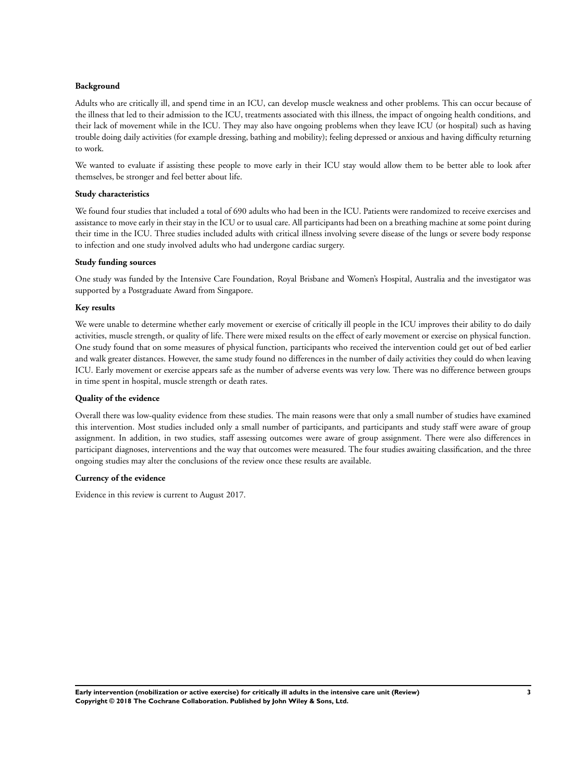# **Background**

Adults who are critically ill, and spend time in an ICU, can develop muscle weakness and other problems. This can occur because of the illness that led to their admission to the ICU, treatments associated with this illness, the impact of ongoing health conditions, and their lack of movement while in the ICU. They may also have ongoing problems when they leave ICU (or hospital) such as having trouble doing daily activities (for example dressing, bathing and mobility); feeling depressed or anxious and having difficulty returning to work.

We wanted to evaluate if assisting these people to move early in their ICU stay would allow them to be better able to look after themselves, be stronger and feel better about life.

#### **Study characteristics**

We found four studies that included a total of 690 adults who had been in the ICU. Patients were randomized to receive exercises and assistance to move early in their stay in the ICU or to usual care. All participants had been on a breathing machine at some point during their time in the ICU. Three studies included adults with critical illness involving severe disease of the lungs or severe body response to infection and one study involved adults who had undergone cardiac surgery.

#### **Study funding sources**

One study was funded by the Intensive Care Foundation, Royal Brisbane and Women's Hospital, Australia and the investigator was supported by a Postgraduate Award from Singapore.

#### **Key results**

We were unable to determine whether early movement or exercise of critically ill people in the ICU improves their ability to do daily activities, muscle strength, or quality of life. There were mixed results on the effect of early movement or exercise on physical function. One study found that on some measures of physical function, participants who received the intervention could get out of bed earlier and walk greater distances. However, the same study found no differences in the number of daily activities they could do when leaving ICU. Early movement or exercise appears safe as the number of adverse events was very low. There was no difference between groups in time spent in hospital, muscle strength or death rates.

#### **Quality of the evidence**

Overall there was low-quality evidence from these studies. The main reasons were that only a small number of studies have examined this intervention. Most studies included only a small number of participants, and participants and study staff were aware of group assignment. In addition, in two studies, staff assessing outcomes were aware of group assignment. There were also differences in participant diagnoses, interventions and the way that outcomes were measured. The four studies awaiting classification, and the three ongoing studies may alter the conclusions of the review once these results are available.

#### **Currency of the evidence**

Evidence in this review is current to August 2017.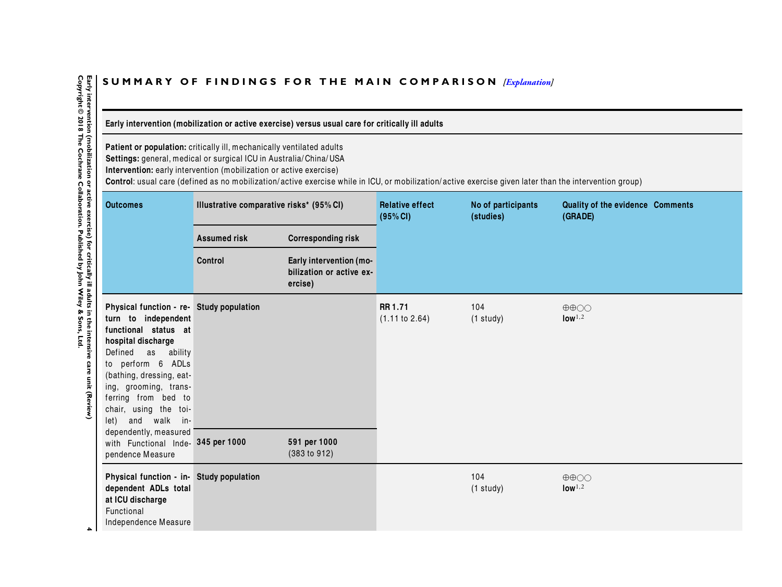# <span id="page-6-0"></span>SUMMARY OF FINDINGS FOR THE MAIN COMPARISON *[\[Explanation\]](http://www.thecochranelibrary.com/view/0/SummaryFindings.html)*

# Early intervention (mobilization or active exercise) versus usual care for critically ill adults

**Patient or population:** critically ill, mechanically ventilated adults

**Settings:** general, medical or surgical ICU in Australia/ China/ USA

**Intervention:** early intervention (mobilization or active exercise)

**Control:** usual care (defined as no mobilization/active exercise while in ICU, or mobilization/active exercise given later than the intervention group)

| <b>Outcomes</b>                                                                                                                                                                                                                                                                                                                                                             | Illustrative comparative risks* (95% CI) |                                                                | <b>Relative effect</b><br>(95% CI) | No of participants<br>(studies) | Quality of the evidence Comments<br>(GRADE)             |  |
|-----------------------------------------------------------------------------------------------------------------------------------------------------------------------------------------------------------------------------------------------------------------------------------------------------------------------------------------------------------------------------|------------------------------------------|----------------------------------------------------------------|------------------------------------|---------------------------------|---------------------------------------------------------|--|
|                                                                                                                                                                                                                                                                                                                                                                             | <b>Assumed risk</b>                      | <b>Corresponding risk</b>                                      |                                    |                                 |                                                         |  |
|                                                                                                                                                                                                                                                                                                                                                                             | <b>Control</b>                           | Early intervention (mo-<br>bilization or active ex-<br>ercise) |                                    |                                 |                                                         |  |
| Physical function - re- Study population<br>independent<br>turn to<br>functional status at<br>hospital discharge<br>ability<br>Defined as<br>to perform 6 ADLs<br>(bathing, dressing, eat-<br>ing, grooming, trans-<br>ferring from bed to<br>chair, using the toi-<br>let) and walk in-<br>dependently, measured<br>with Functional Inde- 345 per 1000<br>pendence Measure |                                          | 591 per 1000<br>(383 to 912)                                   | RR 1.71<br>(1.11 to 2.64)          | 104<br>$(1$ study)              | $\oplus \oplus \odot \odot$<br>low <sup>1,2</sup>       |  |
| Physical function - in- Study population<br>dependent ADLs total<br>at ICU discharge<br>Functional<br>Independence Measure                                                                                                                                                                                                                                                  |                                          |                                                                |                                    | 104<br>$(1$ study)              | $\oplus \oplus \bigcirc \bigcirc$<br>low <sup>1,2</sup> |  |

 $\overline{\mathbf{4}}$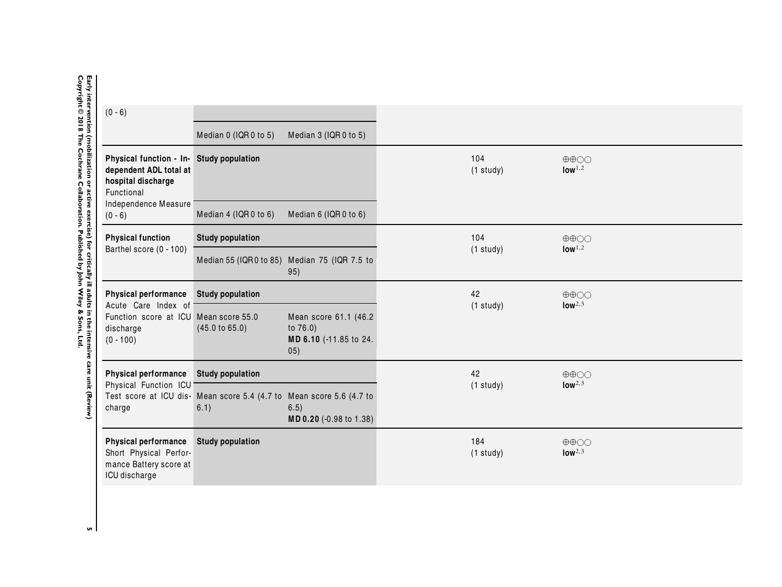| $(0 - 6)$                                                                                              |                                                                              |                                                                     |             |                    |                                                         |  |
|--------------------------------------------------------------------------------------------------------|------------------------------------------------------------------------------|---------------------------------------------------------------------|-------------|--------------------|---------------------------------------------------------|--|
|                                                                                                        | Median 0 (IQR 0 to 5)                                                        | Median 3 (IQR 0 to 5)                                               |             |                    |                                                         |  |
| Physical function - In- Study population<br>dependent ADL total at<br>hospital discharge<br>Functional |                                                                              |                                                                     |             | 104<br>$(1$ study) | $\oplus \oplus \odot \odot$<br>low <sup>1,2</sup>       |  |
| Independence Measure<br>$(0 - 6)$                                                                      | Median 4 (IQR 0 to 6)                                                        | Median 6 (IQR 0 to 6)                                               |             |                    |                                                         |  |
| <b>Physical function</b>                                                                               | <b>Study population</b>                                                      |                                                                     |             | 104                | $\oplus \oplus \bigcirc \bigcirc$<br>low <sup>1,2</sup> |  |
| Barthel score (0 - 100)                                                                                |                                                                              | Median 55 (IQR0 to 85) Median 75 (IQR 7.5 to<br>95)                 | $(1$ study) |                    |                                                         |  |
| <b>Physical performance</b><br>Acute Care Index of                                                     | <b>Study population</b>                                                      |                                                                     | 42          | $(1$ study)        | $\oplus \oplus \odot \odot$<br>low <sup>2,3</sup>       |  |
| Function score at ICU Mean score 55.0<br>discharge<br>$(0 - 100)$                                      | (45.0 to 65.0)                                                               | Mean score 61.1 (46.2)<br>to 76.0)<br>MD 6.10 (-11.85 to 24.<br>05) |             |                    |                                                         |  |
| <b>Physical performance</b>                                                                            | <b>Study population</b>                                                      |                                                                     | 42          |                    | $\oplus \oplus \odot \odot$                             |  |
| Physical Function ICU<br>charge                                                                        | Test score at ICU dis- Mean score 5.4 (4.7 to Mean score 5.6 (4.7 to<br>6.1) | 6.5)<br>MD 0.20 (-0.98 to 1.38)                                     |             | $(1$ study)        | low <sup>2,3</sup>                                      |  |
| <b>Physical performance</b><br>Short Physical Perfor-                                                  | <b>Study population</b>                                                      |                                                                     |             | 184<br>$(1$ study) | $\oplus \oplus \odot \odot$<br>low <sup>2,3</sup>       |  |

Early intervention (mobilization or active exercise) for critically ill adults in the intensive care unit (Review)<br>Copyright © 2018 The Cochrane Collaboration. Published by John Wiley & Sons, Ltd. **Copyright © 2018 The Cochrane Collaboration. Published by John Wiley & Sons, Ltd.Farly intervention (mobilization or active exercise) for critically ill adults in the intensive care unit (Review)** 

 $\sqrt{2}$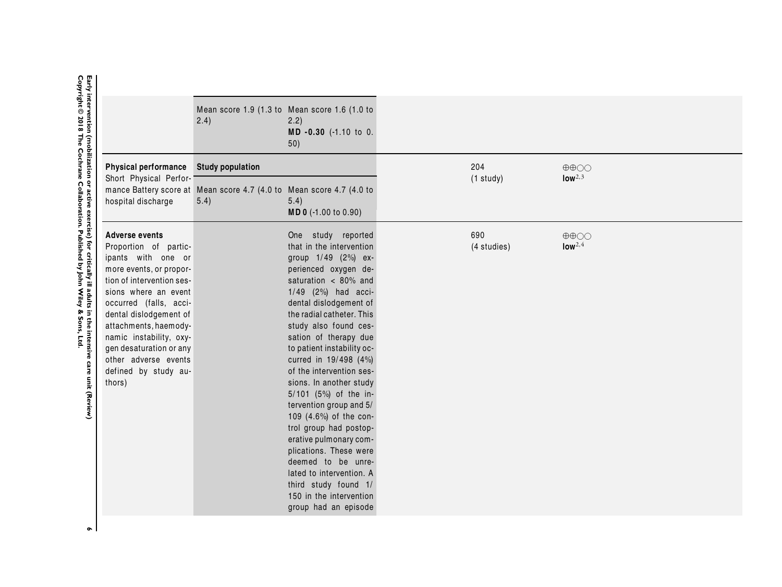|                                                                                                                                                                                                                                                                                                                                                   | 2.4)                                                                                                    | Mean score 1.9 (1.3 to Mean score 1.6 (1.0 to<br>2.2)<br>MD -0.30 (-1.10 to 0.<br>50)                                                                                                                                                                                                                                                                                                                                                                                                                                                                                                                                                                            |                    |                                                   |
|---------------------------------------------------------------------------------------------------------------------------------------------------------------------------------------------------------------------------------------------------------------------------------------------------------------------------------------------------|---------------------------------------------------------------------------------------------------------|------------------------------------------------------------------------------------------------------------------------------------------------------------------------------------------------------------------------------------------------------------------------------------------------------------------------------------------------------------------------------------------------------------------------------------------------------------------------------------------------------------------------------------------------------------------------------------------------------------------------------------------------------------------|--------------------|---------------------------------------------------|
| <b>Physical performance</b><br>Short Physical Perfor-<br>hospital discharge                                                                                                                                                                                                                                                                       | <b>Study population</b><br>mance Battery score at Mean score 4.7 (4.0 to Mean score 4.7 (4.0 to<br>5.4) | 5.4)<br>MD 0 (-1.00 to 0.90)                                                                                                                                                                                                                                                                                                                                                                                                                                                                                                                                                                                                                                     | 204<br>$(1$ study) | $\oplus \oplus \odot \odot$<br>low <sup>2,3</sup> |
| <b>Adverse events</b><br>Proportion of partic-<br>ipants with one or<br>more events, or propor-<br>tion of intervention ses-<br>sions where an event<br>occurred (falls, acci-<br>dental dislodgement of<br>attachments, haemody-<br>namic instability, oxy-<br>gen desaturation or any<br>other adverse events<br>defined by study au-<br>thors) |                                                                                                         | One study reported<br>that in the intervention<br>group 1/49 (2%) ex-<br>perienced oxygen de-<br>saturation < 80% and<br>$1/49$ $(2%)$ had acci-<br>dental dislodgement of<br>the radial catheter. This<br>study also found ces-<br>sation of therapy due<br>to patient instability oc-<br>curred in 19/498 (4%)<br>of the intervention ses-<br>sions. In another study<br>5/101 (5%) of the in-<br>tervention group and 5/<br>109 (4.6%) of the con-<br>trol group had postop-<br>erative pulmonary com-<br>plications. These were<br>deemed to be unre-<br>lated to intervention. A<br>third study found 1/<br>150 in the intervention<br>group had an episode | 690<br>(4 studies) | $\oplus \oplus \odot \odot$<br>low <sup>2,4</sup> |

 $\sim$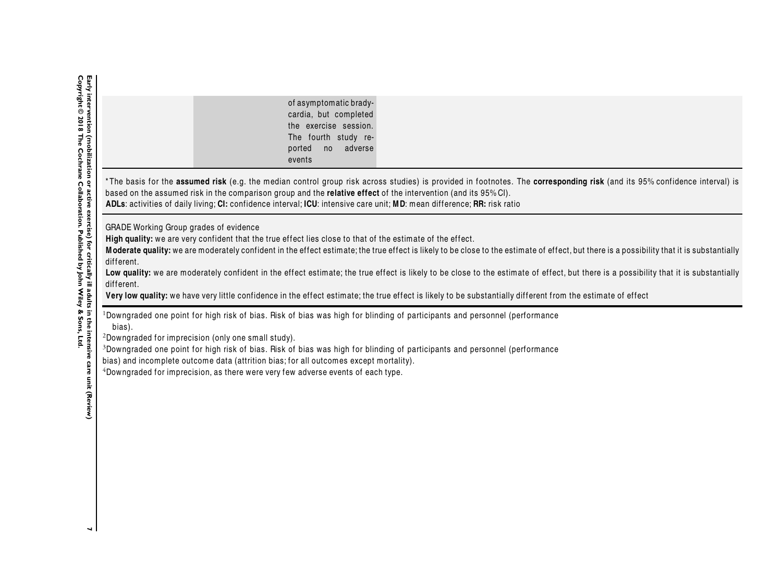|                                                                                                                                                                                                                                                                                                                                                                                                                                                                                                                                                         | of asymptomatic brady-<br>cardia, but completed<br>the exercise session.<br>The fourth study re-<br>ported<br>no<br>adverse<br>events                                                                                                                                                                                                                                                                                                                                                                                                                                                                                                                             |  |  |  |  |
|---------------------------------------------------------------------------------------------------------------------------------------------------------------------------------------------------------------------------------------------------------------------------------------------------------------------------------------------------------------------------------------------------------------------------------------------------------------------------------------------------------------------------------------------------------|-------------------------------------------------------------------------------------------------------------------------------------------------------------------------------------------------------------------------------------------------------------------------------------------------------------------------------------------------------------------------------------------------------------------------------------------------------------------------------------------------------------------------------------------------------------------------------------------------------------------------------------------------------------------|--|--|--|--|
|                                                                                                                                                                                                                                                                                                                                                                                                                                                                                                                                                         | *The basis for the assumed risk (e.g. the median control group risk across studies) is provided in footnotes. The corresponding risk (and its 95% confidence interval) is<br>based on the assumed risk in the comparison group and the relative effect of the intervention (and its 95%CI).<br>ADLs: activities of daily living; CI: confidence interval; ICU: intensive care unit; MD: mean difference; RR: risk ratio                                                                                                                                                                                                                                           |  |  |  |  |
| <b>GRADE Working Group grades of evidence</b><br>different.<br>different.                                                                                                                                                                                                                                                                                                                                                                                                                                                                               | High quality: we are very confident that the true effect lies close to that of the estimate of the effect.<br>Moderate quality: we are moderately confident in the effect estimate; the true effect is likely to be close to the estimate of effect, but there is a possibility that it is substantially<br>Low quality: we are moderately confident in the effect estimate; the true effect is likely to be close to the estimate of effect, but there is a possibility that it is substantially<br>Very low quality: we have very little confidence in the effect estimate; the true effect is likely to be substantially different from the estimate of effect |  |  |  |  |
| <sup>1</sup> Downgraded one point for high risk of bias. Risk of bias was high for blinding of participants and personnel (performance<br>bias).<br><sup>2</sup> Downgraded for imprecision (only one small study).<br><sup>3</sup> Downgraded one point for high risk of bias. Risk of bias was high for blinding of participants and personnel (performance<br>bias) and incomplete outcome data (attrition bias; for all outcomes except mortality).<br><sup>4</sup> Downgraded for imprecision, as there were very few adverse events of each type. |                                                                                                                                                                                                                                                                                                                                                                                                                                                                                                                                                                                                                                                                   |  |  |  |  |
|                                                                                                                                                                                                                                                                                                                                                                                                                                                                                                                                                         |                                                                                                                                                                                                                                                                                                                                                                                                                                                                                                                                                                                                                                                                   |  |  |  |  |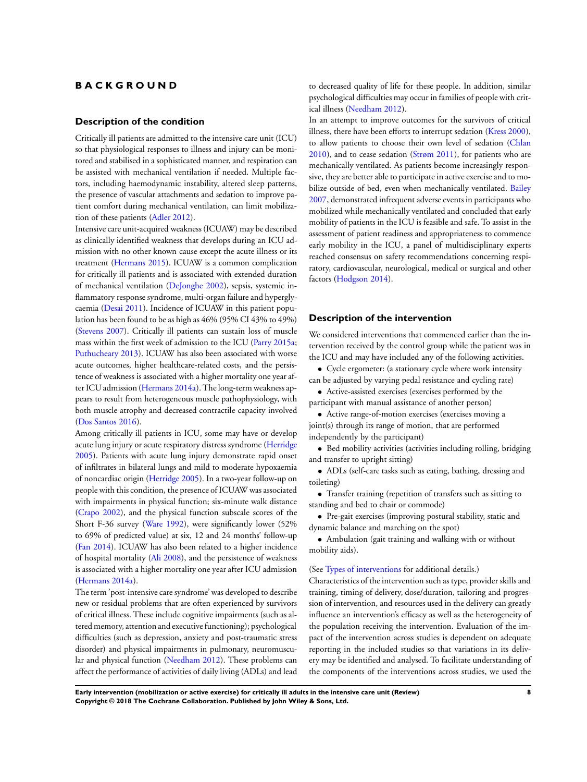# <span id="page-10-0"></span>**B A C K G R O U N D**

### **Description of the condition**

Critically ill patients are admitted to the intensive care unit (ICU) so that physiological responses to illness and injury can be monitored and stabilised in a sophisticated manner, and respiration can be assisted with mechanical ventilation if needed. Multiple factors, including haemodynamic instability, altered sleep patterns, the presence of vascular attachments and sedation to improve patient comfort during mechanical ventilation, can limit mobilization of these patients ([Adler 2012\)](#page-26-0).

Intensive care unit-acquired weakness (ICUAW) may be described as clinically identified weakness that develops during an ICU admission with no other known cause except the acute illness or its treatment [\(Hermans 2015](#page-26-0)). ICUAW is a common complication for critically ill patients and is associated with extended duration of mechanical ventilation [\(DeJonghe 2002\)](#page-26-0), sepsis, systemic inflammatory response syndrome, multi-organ failure and hyperglycaemia [\(Desai 2011\)](#page-26-0). Incidence of ICUAW in this patient population has been found to be as high as 46% (95% CI 43% to 49%) [\(Stevens 2007\)](#page-26-0). Critically ill patients can sustain loss of muscle mass within the first week of admission to the ICU ([Parry 2015a;](#page-26-0) [Puthucheary 2013](#page-26-0)). ICUAW has also been associated with worse acute outcomes, higher healthcare-related costs, and the persistence of weakness is associated with a higher mortality one year after ICU admission [\(Hermans 2014a\)](#page-26-0). The long-term weakness appears to result from heterogeneous muscle pathophysiology, with both muscle atrophy and decreased contractile capacity involved [\(Dos Santos 2016](#page-26-0)).

Among critically ill patients in ICU, some may have or develop acute lung injury or acute respiratory distress syndrome [\(Herridge](#page-26-0) [2005](#page-26-0)). Patients with acute lung injury demonstrate rapid onset of infiltrates in bilateral lungs and mild to moderate hypoxaemia of noncardiac origin ([Herridge 2005\)](#page-26-0). In a two-year follow-up on people with this condition, the presence of ICUAW was associated with impairments in physical function; six-minute walk distance [\(Crapo 2002](#page-26-0)), and the physical function subscale scores of the Short F-36 survey [\(Ware 1992](#page-26-0)), were significantly lower (52% to 69% of predicted value) at six, 12 and 24 months' follow-up [\(Fan 2014\)](#page-26-0). ICUAW has also been related to a higher incidence of hospital mortality [\(Ali 2008\)](#page-26-0), and the persistence of weakness is associated with a higher mortality one year after ICU admission [\(Hermans 2014a](#page-26-0)).

The term 'post-intensive care syndrome' was developed to describe new or residual problems that are often experienced by survivors of critical illness. These include cognitive impairments (such as altered memory, attention and executive functioning); psychological difficulties (such as depression, anxiety and post-traumatic stress disorder) and physical impairments in pulmonary, neuromuscular and physical function ([Needham 2012](#page-26-0)). These problems can affect the performance of activities of daily living (ADLs) and lead to decreased quality of life for these people. In addition, similar psychological difficulties may occur in families of people with critical illness [\(Needham 2012](#page-26-0)).

In an attempt to improve outcomes for the survivors of critical illness, there have been efforts to interrupt sedation ([Kress 2000](#page-26-0)), to allow patients to choose their own level of sedation ([Chlan](#page-26-0) [2010](#page-26-0)), and to cease sedation [\(Strøm 2011](#page-26-0)), for patients who are mechanically ventilated. As patients become increasingly responsive, they are better able to participate in active exercise and to mobilize outside of bed, even when mechanically ventilated. [Bailey](#page-26-0) [2007](#page-26-0), demonstrated infrequent adverse events in participants who mobilized while mechanically ventilated and concluded that early mobility of patients in the ICU is feasible and safe. To assist in the assessment of patient readiness and appropriateness to commence early mobility in the ICU, a panel of multidisciplinary experts reached consensus on safety recommendations concerning respiratory, cardiovascular, neurological, medical or surgical and other factors [\(Hodgson 2014](#page-26-0)).

#### **Description of the intervention**

We considered interventions that commenced earlier than the intervention received by the control group while the patient was in the ICU and may have included any of the following activities.

• Cycle ergometer: (a stationary cycle where work intensity can be adjusted by varying pedal resistance and cycling rate)

• Active-assisted exercises (exercises performed by the participant with manual assistance of another person)

• Active range-of-motion exercises (exercises moving a joint(s) through its range of motion, that are performed independently by the participant)

• Bed mobility activities (activities including rolling, bridging and transfer to upright sitting)

• ADLs (self-care tasks such as eating, bathing, dressing and toileting)

• Transfer training (repetition of transfers such as sitting to standing and bed to chair or commode)

• Pre-gait exercises (improving postural stability, static and dynamic balance and marching on the spot)

• Ambulation (gait training and walking with or without mobility aids).

#### (See Types of interventions for additional details.)

Characteristics of the intervention such as type, provider skills and training, timing of delivery, dose/duration, tailoring and progression of intervention, and resources used in the delivery can greatly influence an intervention's efficacy as well as the heterogeneity of the population receiving the intervention. Evaluation of the impact of the intervention across studies is dependent on adequate reporting in the included studies so that variations in its delivery may be identified and analysed. To facilitate understanding of the components of the interventions across studies, we used the

**Early intervention (mobilization or active exercise) for critically ill adults in the intensive care unit (Review) 8 Copyright © 2018 The Cochrane Collaboration. Published by John Wiley & Sons, Ltd.**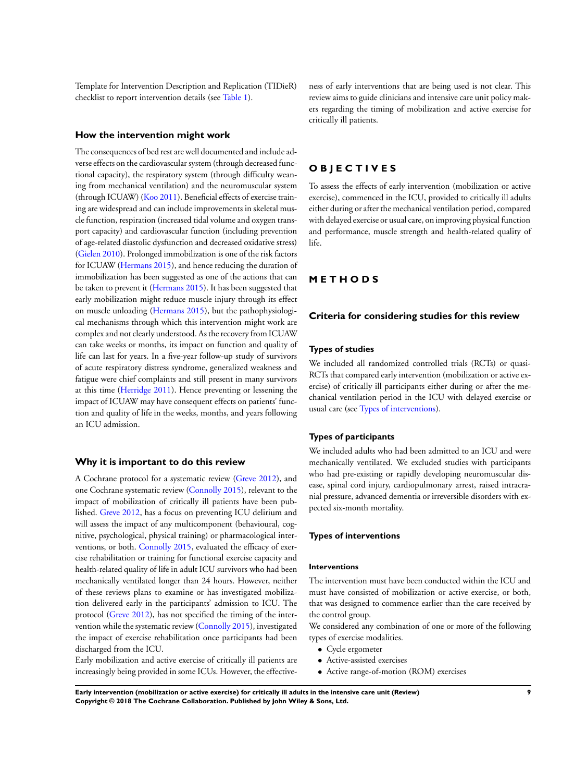Template for Intervention Description and Replication (TIDieR) checklist to report intervention details (see [Table 1](#page-48-0)).

# **How the intervention might work**

The consequences of bed rest are well documented and include adverse effects on the cardiovascular system (through decreased functional capacity), the respiratory system (through difficulty weaning from mechanical ventilation) and the neuromuscular system (through ICUAW) ([Koo 2011\)](#page-26-0). Beneficial effects of exercise training are widespread and can include improvements in skeletal muscle function, respiration (increased tidal volume and oxygen transport capacity) and cardiovascular function (including prevention of age-related diastolic dysfunction and decreased oxidative stress) [\(Gielen 2010\)](#page-26-0). Prolonged immobilization is one of the risk factors for ICUAW ([Hermans 2015\)](#page-26-0), and hence reducing the duration of immobilization has been suggested as one of the actions that can be taken to prevent it [\(Hermans 2015](#page-26-0)). It has been suggested that early mobilization might reduce muscle injury through its effect on muscle unloading ([Hermans 2015](#page-26-0)), but the pathophysiological mechanisms through which this intervention might work are complex and not clearly understood. As the recovery from ICUAW can take weeks or months, its impact on function and quality of life can last for years. In a five-year follow-up study of survivors of acute respiratory distress syndrome, generalized weakness and fatigue were chief complaints and still present in many survivors at this time ([Herridge 2011\)](#page-26-0). Hence preventing or lessening the impact of ICUAW may have consequent effects on patients' function and quality of life in the weeks, months, and years following an ICU admission.

#### **Why it is important to do this review**

A Cochrane protocol for a systematic review [\(Greve 2012](#page-26-0)), and one Cochrane systematic review ([Connolly 2015\)](#page-26-0), relevant to the impact of mobilization of critically ill patients have been published. [Greve 2012,](#page-26-0) has a focus on preventing ICU delirium and will assess the impact of any multicomponent (behavioural, cognitive, psychological, physical training) or pharmacological interventions, or both. [Connolly 2015](#page-26-0), evaluated the efficacy of exercise rehabilitation or training for functional exercise capacity and health-related quality of life in adult ICU survivors who had been mechanically ventilated longer than 24 hours. However, neither of these reviews plans to examine or has investigated mobilization delivered early in the participants' admission to ICU. The protocol ([Greve 2012\)](#page-26-0), has not specified the timing of the intervention while the systematic review [\(Connolly 2015](#page-26-0)), investigated the impact of exercise rehabilitation once participants had been discharged from the ICU.

Early mobilization and active exercise of critically ill patients are increasingly being provided in some ICUs. However, the effectiveness of early interventions that are being used is not clear. This review aims to guide clinicians and intensive care unit policy makers regarding the timing of mobilization and active exercise for critically ill patients.

# **O B J E C T I V E S**

To assess the effects of early intervention (mobilization or active exercise), commenced in the ICU, provided to critically ill adults either during or after the mechanical ventilation period, compared with delayed exercise or usual care, on improving physical function and performance, muscle strength and health-related quality of life.

# **M E T H O D S**

# **Criteria for considering studies for this review**

#### **Types of studies**

We included all randomized controlled trials (RCTs) or quasi-RCTs that compared early intervention (mobilization or active exercise) of critically ill participants either during or after the mechanical ventilation period in the ICU with delayed exercise or usual care (see [Types of interventions\)](#page-10-0).

### **Types of participants**

We included adults who had been admitted to an ICU and were mechanically ventilated. We excluded studies with participants who had pre-existing or rapidly developing neuromuscular disease, spinal cord injury, cardiopulmonary arrest, raised intracranial pressure, advanced dementia or irreversible disorders with expected six-month mortality.

### **Types of interventions**

#### **Interventions**

The intervention must have been conducted within the ICU and must have consisted of mobilization or active exercise, or both, that was designed to commence earlier than the care received by the control group.

We considered any combination of one or more of the following types of exercise modalities.

- Cycle ergometer
- Active-assisted exercises
- Active range-of-motion (ROM) exercises

**Early intervention (mobilization or active exercise) for critically ill adults in the intensive care unit (Review) 9 Copyright © 2018 The Cochrane Collaboration. Published by John Wiley & Sons, Ltd.**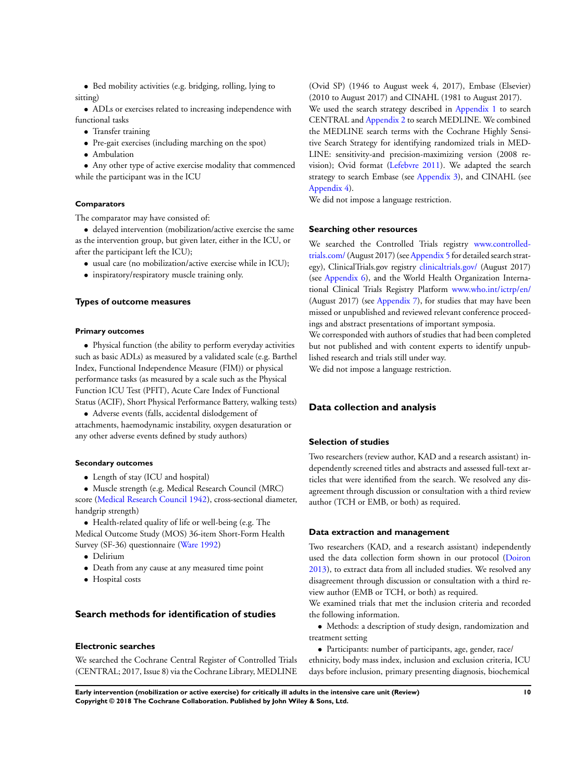• Bed mobility activities (e.g. bridging, rolling, lying to sitting)

• ADLs or exercises related to increasing independence with functional tasks

- Transfer training
- Pre-gait exercises (including marching on the spot)
- Ambulation

• Any other type of active exercise modality that commenced while the participant was in the ICU

#### **Comparators**

The comparator may have consisted of:

• delayed intervention (mobilization/active exercise the same as the intervention group, but given later, either in the ICU, or after the participant left the ICU);

- usual care (no mobilization/active exercise while in ICU);
- inspiratory/respiratory muscle training only.

#### **Types of outcome measures**

#### **Primary outcomes**

• Physical function (the ability to perform everyday activities such as basic ADLs) as measured by a validated scale (e.g. Barthel Index, Functional Independence Measure (FIM)) or physical performance tasks (as measured by a scale such as the Physical Function ICU Test (PFIT), Acute Care Index of Functional Status (ACIF), Short Physical Performance Battery, walking tests)

• Adverse events (falls, accidental dislodgement of attachments, haemodynamic instability, oxygen desaturation or any other adverse events defined by study authors)

#### **Secondary outcomes**

• Length of stay (ICU and hospital)

• Muscle strength (e.g. Medical Research Council (MRC) score ([Medical Research Council 1942\)](#page-26-0), cross-sectional diameter, handgrip strength)

• Health-related quality of life or well-being (e.g. The Medical Outcome Study (MOS) 36-item Short-Form Health Survey (SF-36) questionnaire ([Ware 1992](#page-26-0))

- Delirium
- Death from any cause at any measured time point
- Hospital costs

# **Search methods for identification of studies**

# **Electronic searches**

We searched the Cochrane Central Register of Controlled Trials (CENTRAL; 2017, Issue 8) via the Cochrane Library, MEDLINE

(Ovid SP) (1946 to August week 4, 2017), Embase (Elsevier) (2010 to August 2017) and CINAHL (1981 to August 2017). We used the search strategy described in [Appendix 1](#page-55-0) to search CENTRAL and [Appendix 2](#page-56-0) to search MEDLINE. We combined the MEDLINE search terms with the Cochrane Highly Sensitive Search Strategy for identifying randomized trials in MED-LINE: sensitivity-and precision-maximizing version (2008 revision); Ovid format ([Lefebvre 2011](#page-26-0)). We adapted the search strategy to search Embase (see [Appendix 3](#page-56-0)), and CINAHL (see [Appendix 4\)](#page-56-0).

We did not impose a language restriction.

#### **Searching other resources**

We searched the Controlled Trials registry [www.controlled](http://www.controlled-trials.com/)[trials.com/](http://www.controlled-trials.com/) (August 2017) (see [Appendix 5](#page-57-0) for detailed search strategy), ClinicalTrials.gov registry [clinicaltrials.gov/](https://clinicaltrials.gov/) (August 2017) (see [Appendix 6](#page-57-0)), and the World Health Organization International Clinical Trials Registry Platform [www.who.int/ictrp/en/](http://www.who.int/ictrp/en/) (August 2017) (see [Appendix 7](#page-58-0)), for studies that may have been missed or unpublished and reviewed relevant conference proceedings and abstract presentations of important symposia.

We corresponded with authors of studies that had been completed but not published and with content experts to identify unpublished research and trials still under way.

We did not impose a language restriction.

# **Data collection and analysis**

#### **Selection of studies**

Two researchers (review author, KAD and a research assistant) independently screened titles and abstracts and assessed full-text articles that were identified from the search. We resolved any disagreement through discussion or consultation with a third review author (TCH or EMB, or both) as required.

#### **Data extraction and management**

Two researchers (KAD, and a research assistant) independently used the data collection form shown in our protocol ([Doiron](#page-26-0) [2013](#page-26-0)), to extract data from all included studies. We resolved any disagreement through discussion or consultation with a third review author (EMB or TCH, or both) as required.

We examined trials that met the inclusion criteria and recorded the following information.

- Methods: a description of study design, randomization and treatment setting
- Participants: number of participants, age, gender, race/ ethnicity, body mass index, inclusion and exclusion criteria, ICU days before inclusion, primary presenting diagnosis, biochemical

**Early intervention (mobilization or active exercise) for critically ill adults in the intensive care unit (Review) 10 Copyright © 2018 The Cochrane Collaboration. Published by John Wiley & Sons, Ltd.**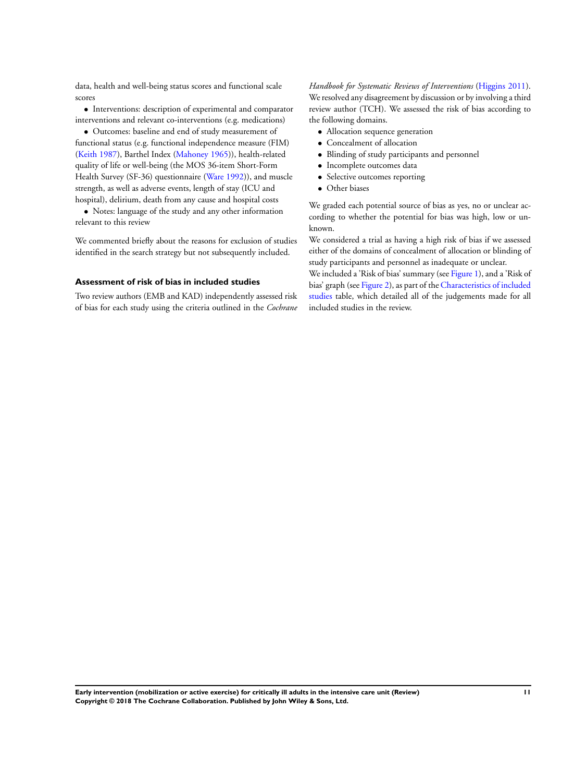data, health and well-being status scores and functional scale scores

• Interventions: description of experimental and comparator interventions and relevant co-interventions (e.g. medications)

• Outcomes: baseline and end of study measurement of functional status (e.g. functional independence measure (FIM) [\(Keith 1987\)](#page-26-0), Barthel Index [\(Mahoney 1965](#page-26-0))), health-related quality of life or well-being (the MOS 36-item Short-Form Health Survey (SF-36) questionnaire [\(Ware 1992](#page-26-0))), and muscle strength, as well as adverse events, length of stay (ICU and hospital), delirium, death from any cause and hospital costs

• Notes: language of the study and any other information relevant to this review

We commented briefly about the reasons for exclusion of studies identified in the search strategy but not subsequently included.

# **Assessment of risk of bias in included studies**

Two review authors (EMB and KAD) independently assessed risk of bias for each study using the criteria outlined in the *Cochrane* *Handbook for Systematic Reviews of Interventions* [\(Higgins 2011](#page-26-0)). We resolved any disagreement by discussion or by involving a third review author (TCH). We assessed the risk of bias according to the following domains.

- Allocation sequence generation
- Concealment of allocation
- Blinding of study participants and personnel
- Incomplete outcomes data
- Selective outcomes reporting
- Other biases

We graded each potential source of bias as yes, no or unclear according to whether the potential for bias was high, low or unknown.

We considered a trial as having a high risk of bias if we assessed either of the domains of concealment of allocation or blinding of study participants and personnel as inadequate or unclear.

We included a 'Risk of bias' summary (see [Figure 1](#page-14-0)), and a 'Risk of bias' graph (see [Figure 2](#page-15-0)), as part of the [Characteristics of included](#page-31-0) [studies](#page-31-0) table, which detailed all of the judgements made for all included studies in the review.

**Early intervention (mobilization or active exercise) for critically ill adults in the intensive care unit (Review) 11 Copyright © 2018 The Cochrane Collaboration. Published by John Wiley & Sons, Ltd.**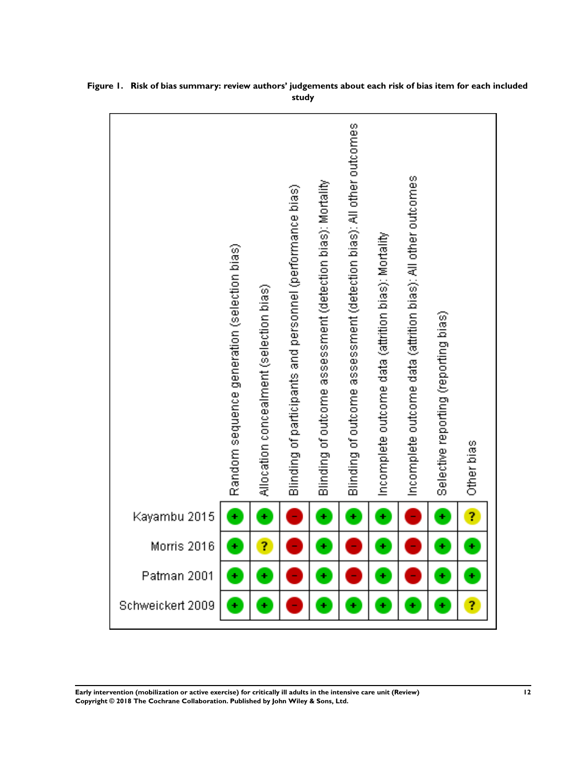|                  | Random sequence generation (selection bias) | Allocation concealment (selection bias) | Blinding of participants and personnel (performance bias) | Blinding of outcome assessment (detection bias): Mortality | Blinding of outcome assessment (detection bias): All other outcomes | Incomplete outcome data (attrition bias): Mortality | Incomplete outcome data (attrition bias); All other outcomes | Selective reporting (reporting bias) | Other bias |
|------------------|---------------------------------------------|-----------------------------------------|-----------------------------------------------------------|------------------------------------------------------------|---------------------------------------------------------------------|-----------------------------------------------------|--------------------------------------------------------------|--------------------------------------|------------|
| Kayambu 2015     | ÷                                           | Ŧ                                       |                                                           | ÷                                                          | ÷                                                                   | $\ddot{}$                                           | ÷                                                            | ¥                                    | ?          |
| Morris 2016      | ÷                                           | ?                                       |                                                           | ÷                                                          |                                                                     | ÷                                                   |                                                              | ÷                                    | ÷          |
| Patman 2001      | ¥                                           | ÷                                       |                                                           | ٠                                                          |                                                                     | ٠                                                   |                                                              | ÷                                    | ÷          |
| Schweickert 2009 | ÷                                           | ÷                                       |                                                           | ÷                                                          | ٠                                                                   | ÷                                                   | ÷                                                            | ÷                                    | ?          |

<span id="page-14-0"></span>**Figure 1. Risk of bias summary: review authors' judgements about each risk of bias item for each included study**

**Early intervention (mobilization or active exercise) for critically ill adults in the intensive care unit (Review) 12 Copyright © 2018 The Cochrane Collaboration. Published by John Wiley & Sons, Ltd.**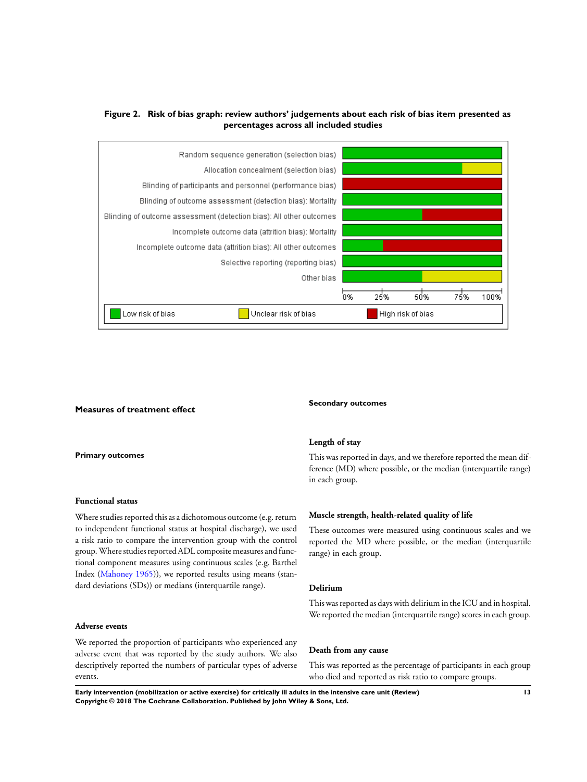<span id="page-15-0"></span>**Figure 2. Risk of bias graph: review authors' judgements about each risk of bias item presented as percentages across all included studies**



**Measures of treatment effect**

**Primary outcomes**

# **Functional status**

Where studies reported this as a dichotomous outcome (e.g. return to independent functional status at hospital discharge), we used a risk ratio to compare the intervention group with the control group. Where studies reported ADL composite measures and functional component measures using continuous scales (e.g. Barthel Index ([Mahoney 1965](#page-26-0))), we reported results using means (standard deviations (SDs)) or medians (interquartile range).

### **Adverse events**

We reported the proportion of participants who experienced any adverse event that was reported by the study authors. We also descriptively reported the numbers of particular types of adverse events.

**Secondary outcomes**

#### **Length of stay**

This was reported in days, and we therefore reported the mean difference (MD) where possible, or the median (interquartile range) in each group.

#### **Muscle strength, health-related quality of life**

These outcomes were measured using continuous scales and we reported the MD where possible, or the median (interquartile range) in each group.

# **Delirium**

This was reported as days with delirium in the ICU and in hospital. We reported the median (interquartile range) scores in each group.

#### **Death from any cause**

This was reported as the percentage of participants in each group who died and reported as risk ratio to compare groups.

**Early intervention (mobilization or active exercise) for critically ill adults in the intensive care unit (Review) 13 Copyright © 2018 The Cochrane Collaboration. Published by John Wiley & Sons, Ltd.**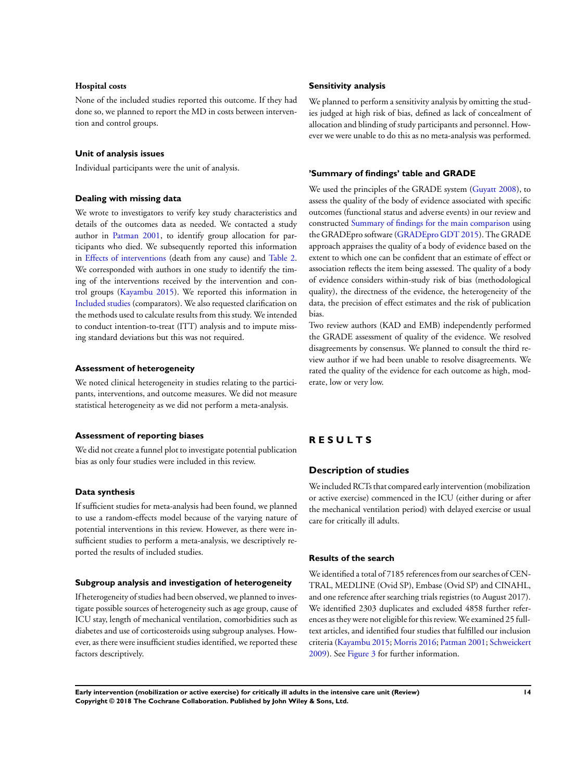# **Hospital costs**

None of the included studies reported this outcome. If they had done so, we planned to report the MD in costs between intervention and control groups.

#### **Unit of analysis issues**

Individual participants were the unit of analysis.

#### **Dealing with missing data**

We wrote to investigators to verify key study characteristics and details of the outcomes data as needed. We contacted a study author in [Patman 2001,](#page-26-0) to identify group allocation for participants who died. We subsequently reported this information in [Effects of interventions](#page-18-0) (death from any cause) and [Table 2.](#page-50-0) We corresponded with authors in one study to identify the timing of the interventions received by the intervention and control groups ([Kayambu 2015\)](#page-26-0). We reported this information in [Included studies](#page-18-0) (comparators). We also requested clarification on the methods used to calculate results from this study. We intended to conduct intention-to-treat (ITT) analysis and to impute missing standard deviations but this was not required.

# **Assessment of heterogeneity**

We noted clinical heterogeneity in studies relating to the participants, interventions, and outcome measures. We did not measure statistical heterogeneity as we did not perform a meta-analysis.

## **Assessment of reporting biases**

We did not create a funnel plot to investigate potential publication bias as only four studies were included in this review.

### **Data synthesis**

If sufficient studies for meta-analysis had been found, we planned to use a random-effects model because of the varying nature of potential interventions in this review. However, as there were insufficient studies to perform a meta-analysis, we descriptively reported the results of included studies.

#### **Subgroup analysis and investigation of heterogeneity**

If heterogeneity of studies had been observed, we planned to investigate possible sources of heterogeneity such as age group, cause of ICU stay, length of mechanical ventilation, comorbidities such as diabetes and use of corticosteroids using subgroup analyses. However, as there were insufficient studies identified, we reported these factors descriptively.

# **Sensitivity analysis**

We planned to perform a sensitivity analysis by omitting the studies judged at high risk of bias, defined as lack of concealment of allocation and blinding of study participants and personnel. However we were unable to do this as no meta-analysis was performed.

#### **'Summary of findings' table and GRADE**

We used the principles of the GRADE system ([Guyatt 2008\)](#page-26-0), to assess the quality of the body of evidence associated with specific outcomes (functional status and adverse events) in our review and constructed [Summary of findings for the main comparison](#page-6-0) using the GRADEpro software [\(GRADEpro GDT 2015](#page-26-0)). The GRADE approach appraises the quality of a body of evidence based on the extent to which one can be confident that an estimate of effect or association reflects the item being assessed. The quality of a body of evidence considers within-study risk of bias (methodological quality), the directness of the evidence, the heterogeneity of the data, the precision of effect estimates and the risk of publication bias.

Two review authors (KAD and EMB) independently performed the GRADE assessment of quality of the evidence. We resolved disagreements by consensus. We planned to consult the third review author if we had been unable to resolve disagreements. We rated the quality of the evidence for each outcome as high, moderate, low or very low.

# **R E S U L T S**

# **Description of studies**

We included RCTs that compared early intervention (mobilization or active exercise) commenced in the ICU (either during or after the mechanical ventilation period) with delayed exercise or usual care for critically ill adults.

# **Results of the search**

We identified a total of 7185 references from our searches of CEN-TRAL, MEDLINE (Ovid SP), Embase (Ovid SP) and CINAHL, and one reference after searching trials registries (to August 2017). We identified 2303 duplicates and excluded 4858 further references as they were not eligible for this review. We examined 25 fulltext articles, and identified four studies that fulfilled our inclusion criteria ([Kayambu 2015](#page-26-0); [Morris 2016](#page-26-0); [Patman 2001](#page-26-0); [Schweickert](#page-26-0) [2009](#page-26-0)). See [Figure 3](#page-17-0) for further information.

**Early intervention (mobilization or active exercise) for critically ill adults in the intensive care unit (Review) 14 Copyright © 2018 The Cochrane Collaboration. Published by John Wiley & Sons, Ltd.**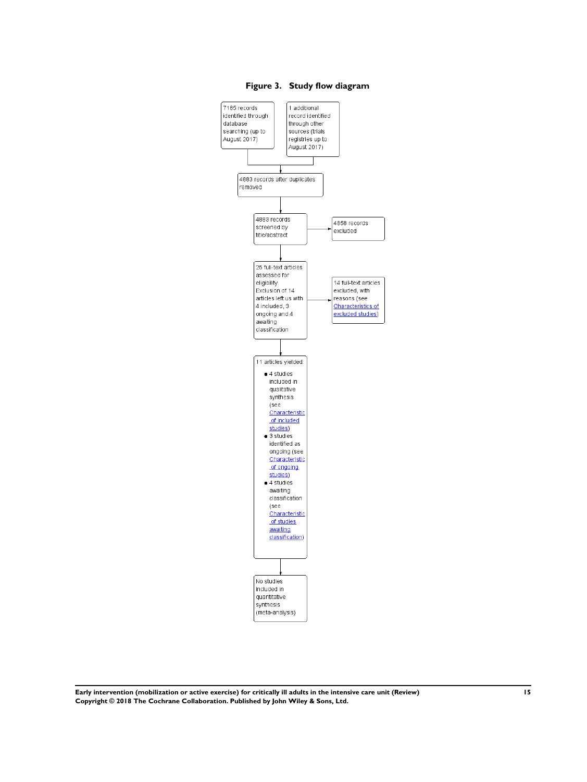<span id="page-17-0"></span>

**Figure 3. Study flow diagram**

**Early intervention (mobilization or active exercise) for critically ill adults in the intensive care unit (Review) 15 Copyright © 2018 The Cochrane Collaboration. Published by John Wiley & Sons, Ltd.**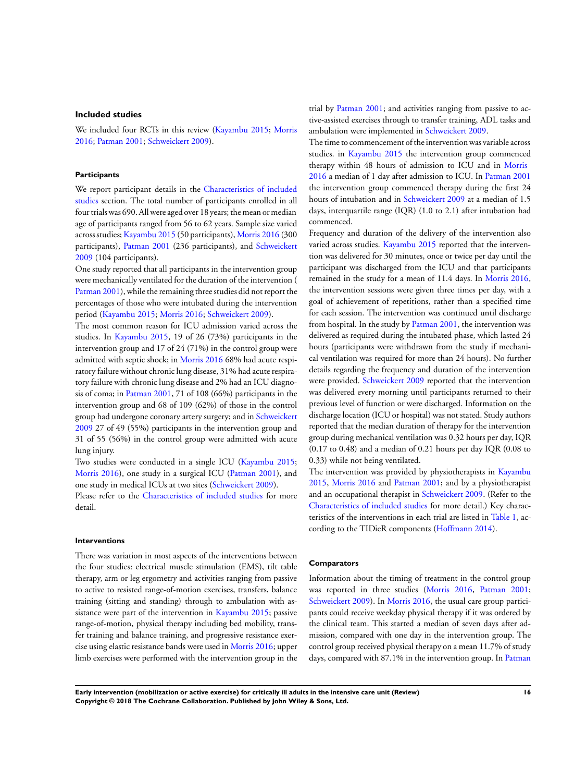# <span id="page-18-0"></span>**Included studies**

We included four RCTs in this review ([Kayambu 2015](#page-26-0); [Morris](#page-26-0) [2016](#page-26-0); [Patman 2001](#page-26-0); [Schweickert 2009\)](#page-26-0).

### **Participants**

We report participant details in the [Characteristics of included](#page-31-0) [studies](#page-31-0) section. The total number of participants enrolled in all four trials was 690. All were aged over 18 years; the mean or median age of participants ranged from 56 to 62 years. Sample size varied across studies; [Kayambu 2015](#page-26-0) (50 participants), [Morris 2016](#page-26-0) (300 participants), [Patman 2001](#page-26-0) (236 participants), and [Schweickert](#page-26-0) [2009](#page-26-0) (104 participants).

One study reported that all participants in the intervention group were mechanically ventilated for the duration of the intervention ( [Patman 2001](#page-26-0)), while the remaining three studies did not report the percentages of those who were intubated during the intervention period ([Kayambu 2015](#page-26-0); [Morris 2016;](#page-26-0) [Schweickert 2009](#page-26-0)).

The most common reason for ICU admission varied across the studies. In [Kayambu 2015,](#page-26-0) 19 of 26 (73%) participants in the intervention group and 17 of 24 (71%) in the control group were admitted with septic shock; in [Morris 2016](#page-26-0) 68% had acute respiratory failure without chronic lung disease, 31% had acute respiratory failure with chronic lung disease and 2% had an ICU diagnosis of coma; in [Patman 2001,](#page-26-0) 71 of 108 (66%) participants in the intervention group and 68 of 109 (62%) of those in the control group had undergone coronary artery surgery; and in [Schweickert](#page-26-0) [2009](#page-26-0) 27 of 49 (55%) participants in the intervention group and 31 of 55 (56%) in the control group were admitted with acute lung injury.

Two studies were conducted in a single ICU [\(Kayambu 2015;](#page-26-0) [Morris 2016\)](#page-26-0), one study in a surgical ICU [\(Patman 2001](#page-26-0)), and one study in medical ICUs at two sites [\(Schweickert 2009](#page-26-0)).

Please refer to the [Characteristics of included studies](#page-31-0) for more detail.

#### **Interventions**

There was variation in most aspects of the interventions between the four studies: electrical muscle stimulation (EMS), tilt table therapy, arm or leg ergometry and activities ranging from passive to active to resisted range-of-motion exercises, transfers, balance training (sitting and standing) through to ambulation with assistance were part of the intervention in [Kayambu 2015;](#page-26-0) passive range-of-motion, physical therapy including bed mobility, transfer training and balance training, and progressive resistance exercise using elastic resistance bands were used in [Morris 2016;](#page-26-0) upper limb exercises were performed with the intervention group in the trial by [Patman 2001;](#page-26-0) and activities ranging from passive to active-assisted exercises through to transfer training, ADL tasks and ambulation were implemented in [Schweickert 2009.](#page-26-0)

The time to commencement of the intervention was variable across studies. in [Kayambu 2015](#page-26-0) the intervention group commenced therapy within 48 hours of admission to ICU and in [Morris](#page-26-0) [2016](#page-26-0) a median of 1 day after admission to ICU. In [Patman 2001](#page-26-0) the intervention group commenced therapy during the first 24 hours of intubation and in [Schweickert 2009](#page-26-0) at a median of 1.5 days, interquartile range (IQR) (1.0 to 2.1) after intubation had commenced.

Frequency and duration of the delivery of the intervention also varied across studies. [Kayambu 2015](#page-26-0) reported that the intervention was delivered for 30 minutes, once or twice per day until the participant was discharged from the ICU and that participants remained in the study for a mean of 11.4 days. In [Morris 2016,](#page-26-0) the intervention sessions were given three times per day, with a goal of achievement of repetitions, rather than a specified time for each session. The intervention was continued until discharge from hospital. In the study by [Patman 2001,](#page-26-0) the intervention was delivered as required during the intubated phase, which lasted 24 hours (participants were withdrawn from the study if mechanical ventilation was required for more than 24 hours). No further details regarding the frequency and duration of the intervention were provided. [Schweickert 2009](#page-26-0) reported that the intervention was delivered every morning until participants returned to their previous level of function or were discharged. Information on the discharge location (ICU or hospital) was not stated. Study authors reported that the median duration of therapy for the intervention group during mechanical ventilation was 0.32 hours per day, IQR (0.17 to 0.48) and a median of 0.21 hours per day IQR (0.08 to 0.33) while not being ventilated.

The intervention was provided by physiotherapists in [Kayambu](#page-26-0) [2015](#page-26-0), [Morris 2016](#page-26-0) and [Patman 2001;](#page-26-0) and by a physiotherapist and an occupational therapist in [Schweickert 2009.](#page-26-0) (Refer to the [Characteristics of included studies](#page-31-0) for more detail.) Key characteristics of the interventions in each trial are listed in [Table 1,](#page-48-0) according to the TIDieR components [\(Hoffmann 2014](#page-26-0)).

### **Comparators**

Information about the timing of treatment in the control group was reported in three studies [\(Morris 2016,](#page-26-0) [Patman 2001;](#page-26-0) [Schweickert 2009](#page-26-0)). In [Morris 2016](#page-26-0), the usual care group participants could receive weekday physical therapy if it was ordered by the clinical team. This started a median of seven days after admission, compared with one day in the intervention group. The control group received physical therapy on a mean 11.7% of study days, compared with 87.1% in the intervention group. In [Patman](#page-26-0)

**Early intervention (mobilization or active exercise) for critically ill adults in the intensive care unit (Review) 16 Copyright © 2018 The Cochrane Collaboration. Published by John Wiley & Sons, Ltd.**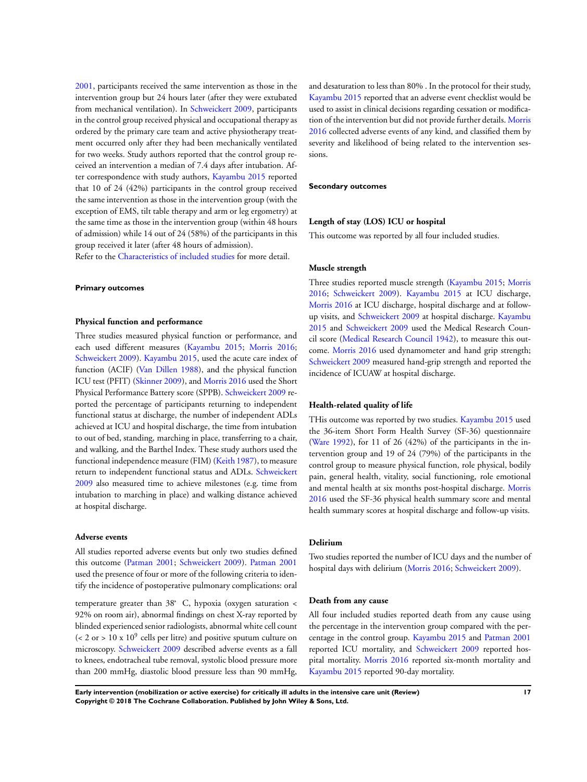[2001](#page-26-0), participants received the same intervention as those in the intervention group but 24 hours later (after they were extubated from mechanical ventilation). In [Schweickert 2009](#page-26-0), participants in the control group received physical and occupational therapy as ordered by the primary care team and active physiotherapy treatment occurred only after they had been mechanically ventilated for two weeks. Study authors reported that the control group received an intervention a median of 7.4 days after intubation. After correspondence with study authors, [Kayambu 2015](#page-26-0) reported that 10 of 24 (42%) participants in the control group received the same intervention as those in the intervention group (with the exception of EMS, tilt table therapy and arm or leg ergometry) at the same time as those in the intervention group (within 48 hours of admission) while 14 out of 24 (58%) of the participants in this group received it later (after 48 hours of admission).

Refer to the [Characteristics of included studies](#page-31-0) for more detail.

#### **Primary outcomes**

### **Physical function and performance**

Three studies measured physical function or performance, and each used different measures ([Kayambu 2015;](#page-26-0) [Morris 2016;](#page-26-0) [Schweickert 2009](#page-26-0)). [Kayambu 2015,](#page-26-0) used the acute care index of function (ACIF) ([Van Dillen 1988](#page-26-0)), and the physical function ICU test (PFIT) ([Skinner 2009](#page-26-0)), and [Morris 2016](#page-26-0) used the Short Physical Performance Battery score (SPPB). [Schweickert 2009](#page-26-0) reported the percentage of participants returning to independent functional status at discharge, the number of independent ADLs achieved at ICU and hospital discharge, the time from intubation to out of bed, standing, marching in place, transferring to a chair, and walking, and the Barthel Index. These study authors used the functional independence measure (FIM) ([Keith 1987\)](#page-26-0), to measure return to independent functional status and ADLs. [Schweickert](#page-26-0) [2009](#page-26-0) also measured time to achieve milestones (e.g. time from intubation to marching in place) and walking distance achieved at hospital discharge.

# **Adverse events**

All studies reported adverse events but only two studies defined this outcome ([Patman 2001](#page-26-0); [Schweickert 2009](#page-26-0)). [Patman 2001](#page-26-0) used the presence of four or more of the following criteria to identify the incidence of postoperative pulmonary complications: oral

temperature greater than 38 C, hypoxia (oxygen saturation < 92% on room air), abnormal findings on chest X-ray reported by blinded experienced senior radiologists, abnormal white cell count  $(< 2$  or  $> 10 \times 10^9$  cells per litre) and positive sputum culture on microscopy. [Schweickert 2009](#page-26-0) described adverse events as a fall to knees, endotracheal tube removal, systolic blood pressure more than 200 mmHg, diastolic blood pressure less than 90 mmHg, and desaturation to less than 80% . In the protocol for their study, [Kayambu 2015](#page-26-0) reported that an adverse event checklist would be used to assist in clinical decisions regarding cessation or modification of the intervention but did not provide further details. [Morris](#page-26-0) [2016](#page-26-0) collected adverse events of any kind, and classified them by severity and likelihood of being related to the intervention sessions.

#### **Secondary outcomes**

#### **Length of stay (LOS) ICU or hospital**

This outcome was reported by all four included studies.

#### **Muscle strength**

Three studies reported muscle strength ([Kayambu 2015;](#page-26-0) [Morris](#page-26-0) [2016](#page-26-0); [Schweickert 2009](#page-26-0)). [Kayambu 2015](#page-26-0) at ICU discharge, [Morris 2016](#page-26-0) at ICU discharge, hospital discharge and at followup visits, and [Schweickert 2009](#page-26-0) at hospital discharge. [Kayambu](#page-26-0) [2015](#page-26-0) and [Schweickert 2009](#page-26-0) used the Medical Research Council score ([Medical Research Council 1942\)](#page-26-0), to measure this outcome. [Morris 2016](#page-26-0) used dynamometer and hand grip strength; [Schweickert 2009](#page-26-0) measured hand-grip strength and reported the incidence of ICUAW at hospital discharge.

#### **Health-related quality of life**

THis outcome was reported by two studies. [Kayambu 2015](#page-26-0) used the 36-item Short Form Health Survey (SF-36) questionnaire [\(Ware 1992](#page-26-0)), for 11 of 26 (42%) of the participants in the intervention group and 19 of 24 (79%) of the participants in the control group to measure physical function, role physical, bodily pain, general health, vitality, social functioning, role emotional and mental health at six months post-hospital discharge. [Morris](#page-26-0) [2016](#page-26-0) used the SF-36 physical health summary score and mental health summary scores at hospital discharge and follow-up visits.

### **Delirium**

Two studies reported the number of ICU days and the number of hospital days with delirium ([Morris 2016;](#page-26-0) [Schweickert 2009](#page-26-0)).

### **Death from any cause**

All four included studies reported death from any cause using the percentage in the intervention group compared with the percentage in the control group. [Kayambu 2015](#page-26-0) and [Patman 2001](#page-26-0) reported ICU mortality, and [Schweickert 2009](#page-26-0) reported hospital mortality. [Morris 2016](#page-26-0) reported six-month mortality and [Kayambu 2015](#page-26-0) reported 90-day mortality.

**Early intervention (mobilization or active exercise) for critically ill adults in the intensive care unit (Review) 17 Copyright © 2018 The Cochrane Collaboration. Published by John Wiley & Sons, Ltd.**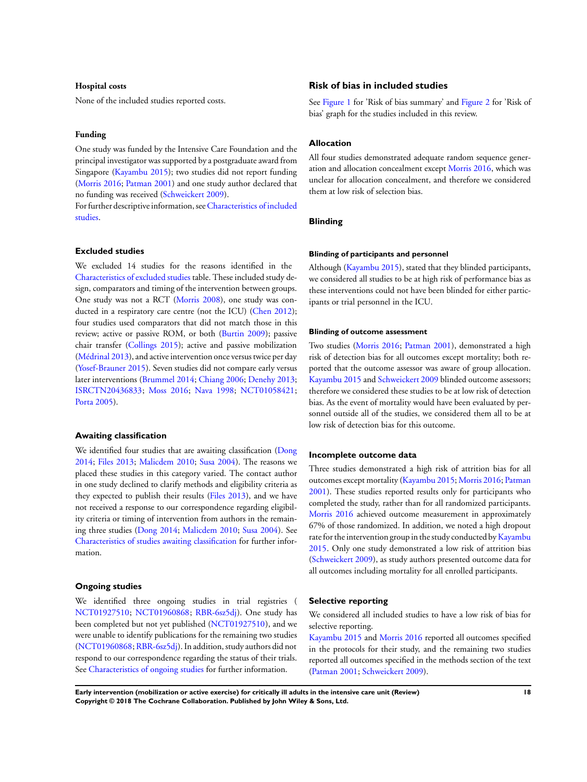# **Hospital costs**

None of the included studies reported costs.

#### **Funding**

One study was funded by the Intensive Care Foundation and the principal investigator was supported by a postgraduate award from Singapore [\(Kayambu 2015\)](#page-26-0); two studies did not report funding [\(Morris 2016](#page-26-0); [Patman 2001](#page-26-0)) and one study author declared that no funding was received [\(Schweickert 2009](#page-26-0)).

For further descriptive information, see[Characteristics of included](#page-31-0) [studies.](#page-31-0)

# **Excluded studies**

We excluded 14 studies for the reasons identified in the [Characteristics of excluded studies](#page-42-0) table. These included study design, comparators and timing of the intervention between groups. One study was not a RCT ([Morris 2008](#page-26-0)), one study was conducted in a respiratory care centre (not the ICU) ([Chen 2012](#page-26-0)); four studies used comparators that did not match those in this review; active or passive ROM, or both ([Burtin 2009\)](#page-26-0); passive chair transfer ([Collings 2015\)](#page-26-0); active and passive mobilization [\(Médrinal 2013\)](#page-26-0), and active intervention once versus twice per day [\(Yosef-Brauner 2015\)](#page-26-0). Seven studies did not compare early versus later interventions [\(Brummel 2014](#page-26-0); [Chiang 2006](#page-26-0); [Denehy 2013;](#page-26-0) [ISRCTN20436833](#page-26-0); [Moss 2016](#page-26-0); [Nava 1998](#page-26-0); [NCT01058421;](#page-26-0) [Porta 2005\)](#page-26-0).

#### **Awaiting classification**

We identified four studies that are awaiting classification [\(Dong](#page-26-0) [2014](#page-26-0); [Files 2013;](#page-26-0) [Malicdem 2010](#page-26-0); [Susa 2004\)](#page-26-0). The reasons we placed these studies in this category varied. The contact author in one study declined to clarify methods and eligibility criteria as they expected to publish their results ([Files 2013](#page-26-0)), and we have not received a response to our correspondence regarding eligibility criteria or timing of intervention from authors in the remaining three studies [\(Dong 2014](#page-26-0); [Malicdem 2010;](#page-26-0) [Susa 2004\)](#page-26-0). See [Characteristics of studies awaiting classification](#page-42-0) for further information.

# **Ongoing studies**

We identified three ongoing studies in trial registries ( [NCT01927510](#page-26-0); [NCT01960868](#page-26-0); [RBR-6sz5dj](#page-26-0)). One study has been completed but not yet published ([NCT01927510\)](#page-26-0), and we were unable to identify publications for the remaining two studies [\(NCT01960868](#page-26-0); [RBR-6sz5dj](#page-26-0)). In addition, study authors did not respond to our correspondence regarding the status of their trials. See [Characteristics of ongoing studies](#page-45-0) for further information.

### **Risk of bias in included studies**

See [Figure 1](#page-14-0) for 'Risk of bias summary' and [Figure 2](#page-15-0) for 'Risk of bias' graph for the studies included in this review.

#### **Allocation**

All four studies demonstrated adequate random sequence generation and allocation concealment except [Morris 2016](#page-26-0), which was unclear for allocation concealment, and therefore we considered them at low risk of selection bias.

### **Blinding**

#### **Blinding of participants and personnel**

Although ([Kayambu 2015\)](#page-26-0), stated that they blinded participants, we considered all studies to be at high risk of performance bias as these interventions could not have been blinded for either participants or trial personnel in the ICU.

#### **Blinding of outcome assessment**

Two studies ([Morris 2016](#page-26-0); [Patman 2001\)](#page-26-0), demonstrated a high risk of detection bias for all outcomes except mortality; both reported that the outcome assessor was aware of group allocation. [Kayambu 2015](#page-26-0) and [Schweickert 2009](#page-26-0) blinded outcome assessors; therefore we considered these studies to be at low risk of detection bias. As the event of mortality would have been evaluated by personnel outside all of the studies, we considered them all to be at low risk of detection bias for this outcome.

# **Incomplete outcome data**

Three studies demonstrated a high risk of attrition bias for all outcomes except mortality ([Kayambu 2015](#page-26-0); [Morris 2016;](#page-26-0) [Patman](#page-26-0) [2001](#page-26-0)). These studies reported results only for participants who completed the study, rather than for all randomized participants. [Morris 2016](#page-26-0) achieved outcome measurement in approximately 67% of those randomized. In addition, we noted a high dropout rate for the intervention group in the study conducted by [Kayambu](#page-26-0) [2015](#page-26-0). Only one study demonstrated a low risk of attrition bias [\(Schweickert 2009](#page-26-0)), as study authors presented outcome data for all outcomes including mortality for all enrolled participants.

# **Selective reporting**

We considered all included studies to have a low risk of bias for selective reporting.

[Kayambu 2015](#page-26-0) and [Morris 2016](#page-26-0) reported all outcomes specified in the protocols for their study, and the remaining two studies reported all outcomes specified in the methods section of the text [\(Patman 2001;](#page-26-0) [Schweickert 2009](#page-26-0)).

**Early intervention (mobilization or active exercise) for critically ill adults in the intensive care unit (Review) 18 Copyright © 2018 The Cochrane Collaboration. Published by John Wiley & Sons, Ltd.**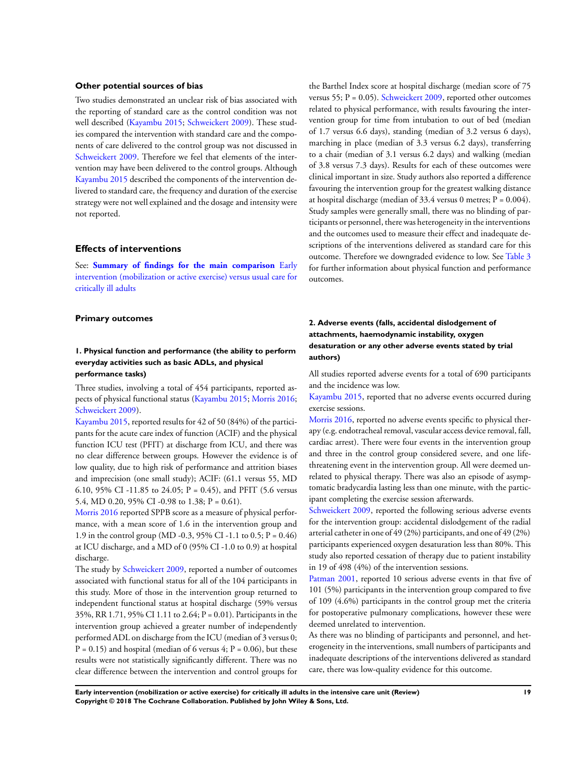### **Other potential sources of bias**

Two studies demonstrated an unclear risk of bias associated with the reporting of standard care as the control condition was not well described ([Kayambu 2015](#page-26-0); [Schweickert 2009](#page-26-0)). These studies compared the intervention with standard care and the components of care delivered to the control group was not discussed in [Schweickert 2009.](#page-26-0) Therefore we feel that elements of the intervention may have been delivered to the control groups. Although [Kayambu 2015](#page-26-0) described the components of the intervention delivered to standard care, the frequency and duration of the exercise strategy were not well explained and the dosage and intensity were not reported.

### **Effects of interventions**

See: **[Summary of findings for the main comparison](#page-6-0)** [Early](#page-6-0) [intervention \(mobilization or active exercise\) versus usual care for](#page-6-0) [critically ill adults](#page-6-0)

#### **Primary outcomes**

# **1. Physical function and performance (the ability to perform everyday activities such as basic ADLs, and physical performance tasks)**

Three studies, involving a total of 454 participants, reported aspects of physical functional status [\(Kayambu 2015;](#page-26-0) [Morris 2016;](#page-26-0) [Schweickert 2009](#page-26-0)).

[Kayambu 2015](#page-26-0), reported results for 42 of 50 (84%) of the participants for the acute care index of function (ACIF) and the physical function ICU test (PFIT) at discharge from ICU, and there was no clear difference between groups. However the evidence is of low quality, due to high risk of performance and attrition biases and imprecision (one small study); ACIF: (61.1 versus 55, MD 6.10, 95% CI -11.85 to 24.05; P = 0.45), and PFIT (5.6 versus 5.4, MD 0.20, 95% CI -0.98 to 1.38; P = 0.61).

[Morris 2016](#page-26-0) reported SPPB score as a measure of physical performance, with a mean score of 1.6 in the intervention group and 1.9 in the control group (MD -0.3, 95% CI -1.1 to 0.5; P = 0.46) at ICU discharge, and a MD of 0 (95% CI -1.0 to 0.9) at hospital discharge.

The study by [Schweickert 2009,](#page-26-0) reported a number of outcomes associated with functional status for all of the 104 participants in this study. More of those in the intervention group returned to independent functional status at hospital discharge (59% versus 35%, RR 1.71, 95% CI 1.11 to 2.64; P = 0.01). Participants in the intervention group achieved a greater number of independently performed ADL on discharge from the ICU (median of 3 versus 0;  $P = 0.15$ ) and hospital (median of 6 versus 4;  $P = 0.06$ ), but these results were not statistically significantly different. There was no clear difference between the intervention and control groups for

the Barthel Index score at hospital discharge (median score of 75 versus 55;  $P = 0.05$ ). [Schweickert 2009](#page-26-0), reported other outcomes related to physical performance, with results favouring the intervention group for time from intubation to out of bed (median of 1.7 versus 6.6 days), standing (median of 3.2 versus 6 days), marching in place (median of 3.3 versus 6.2 days), transferring to a chair (median of 3.1 versus 6.2 days) and walking (median of 3.8 versus 7.3 days). Results for each of these outcomes were clinical important in size. Study authors also reported a difference favouring the intervention group for the greatest walking distance at hospital discharge (median of 33.4 versus 0 metres;  $P = 0.004$ ). Study samples were generally small, there was no blinding of participants or personnel, there was heterogeneity in the interventions and the outcomes used to measure their effect and inadequate descriptions of the interventions delivered as standard care for this outcome. Therefore we downgraded evidence to low. See [Table 3](#page-51-0) for further information about physical function and performance outcomes.

# **2. Adverse events (falls, accidental dislodgement of attachments, haemodynamic instability, oxygen desaturation or any other adverse events stated by trial authors)**

All studies reported adverse events for a total of 690 participants and the incidence was low.

[Kayambu 2015](#page-26-0), reported that no adverse events occurred during exercise sessions.

[Morris 2016,](#page-26-0) reported no adverse events specific to physical therapy (e.g. endotracheal removal, vascular access device removal, fall, cardiac arrest). There were four events in the intervention group and three in the control group considered severe, and one lifethreatening event in the intervention group. All were deemed unrelated to physical therapy. There was also an episode of asymptomatic bradycardia lasting less than one minute, with the participant completing the exercise session afterwards.

[Schweickert 2009,](#page-26-0) reported the following serious adverse events for the intervention group: accidental dislodgement of the radial arterial catheter in one of 49 (2%) participants, and one of 49 (2%) participants experienced oxygen desaturation less than 80%. This study also reported cessation of therapy due to patient instability in 19 of 498 (4%) of the intervention sessions.

[Patman 2001,](#page-26-0) reported 10 serious adverse events in that five of 101 (5%) participants in the intervention group compared to five of 109 (4.6%) participants in the control group met the criteria for postoperative pulmonary complications, however these were deemed unrelated to intervention.

As there was no blinding of participants and personnel, and heterogeneity in the interventions, small numbers of participants and inadequate descriptions of the interventions delivered as standard care, there was low-quality evidence for this outcome.

**Early intervention (mobilization or active exercise) for critically ill adults in the intensive care unit (Review) 19 Copyright © 2018 The Cochrane Collaboration. Published by John Wiley & Sons, Ltd.**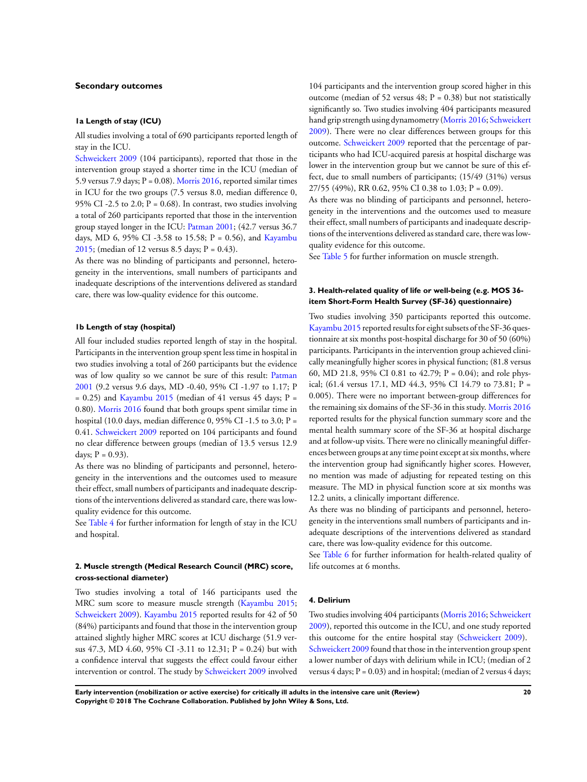### **Secondary outcomes**

## **1a Length of stay (ICU)**

All studies involving a total of 690 participants reported length of stay in the ICU.

[Schweickert 2009](#page-26-0) (104 participants), reported that those in the intervention group stayed a shorter time in the ICU (median of 5.9 versus 7.9 days;  $P = 0.08$ ). [Morris 2016](#page-26-0), reported similar times in ICU for the two groups (7.5 versus 8.0, median difference 0, 95% CI -2.5 to 2.0;  $P = 0.68$ ). In contrast, two studies involving a total of 260 participants reported that those in the intervention group stayed longer in the ICU: [Patman 2001;](#page-26-0) (42.7 versus 36.7 days, MD 6, 95% CI -3.58 to 15.58; P = 0.56), and [Kayambu](#page-26-0) [2015](#page-26-0); (median of 12 versus 8.5 days; P = 0.43).

As there was no blinding of participants and personnel, heterogeneity in the interventions, small numbers of participants and inadequate descriptions of the interventions delivered as standard care, there was low-quality evidence for this outcome.

#### **1b Length of stay (hospital)**

All four included studies reported length of stay in the hospital. Participants in the intervention group spent less time in hospital in two studies involving a total of 260 participants but the evidence was of low quality so we cannot be sure of this result: [Patman](#page-26-0) [2001](#page-26-0) (9.2 versus 9.6 days, MD -0.40, 95% CI -1.97 to 1.17; P  $= 0.25$ ) and [Kayambu 2015](#page-26-0) (median of 41 versus 45 days; P = 0.80). [Morris 2016](#page-26-0) found that both groups spent similar time in hospital (10.0 days, median difference 0, 95% CI -1.5 to 3.0; P = 0.41. [Schweickert 2009](#page-26-0) reported on 104 participants and found no clear difference between groups (median of 13.5 versus 12.9 days;  $P = 0.93$ ).

As there was no blinding of participants and personnel, heterogeneity in the interventions and the outcomes used to measure their effect, small numbers of participants and inadequate descriptions of the interventions delivered as standard care, therewas lowquality evidence for this outcome.

See [Table 4](#page-52-0) for further information for length of stay in the ICU and hospital.

# **2. Muscle strength (Medical Research Council (MRC) score, cross-sectional diameter)**

Two studies involving a total of 146 participants used the MRC sum score to measure muscle strength ([Kayambu 2015;](#page-26-0) [Schweickert 2009](#page-26-0)). [Kayambu 2015](#page-26-0) reported results for 42 of 50 (84%) participants and found that those in the intervention group attained slightly higher MRC scores at ICU discharge (51.9 versus 47.3, MD 4.60, 95% CI -3.11 to 12.31; P = 0.24) but with a confidence interval that suggests the effect could favour either intervention or control. The study by [Schweickert 2009](#page-26-0) involved

104 participants and the intervention group scored higher in this outcome (median of 52 versus 48;  $P = 0.38$ ) but not statistically significantly so. Two studies involving 404 participants measured hand grip strength using dynamometry [\(Morris 2016;](#page-26-0) [Schweickert](#page-26-0) [2009](#page-26-0)). There were no clear differences between groups for this outcome. [Schweickert 2009](#page-26-0) reported that the percentage of participants who had ICU-acquired paresis at hospital discharge was lower in the intervention group but we cannot be sure of this effect, due to small numbers of participants; (15/49 (31%) versus 27/55 (49%), RR 0.62, 95% CI 0.38 to 1.03; P = 0.09).

As there was no blinding of participants and personnel, heterogeneity in the interventions and the outcomes used to measure their effect, small numbers of participants and inadequate descriptions of the interventions delivered as standard care, therewas lowquality evidence for this outcome.

See [Table 5](#page-53-0) for further information on muscle strength.

### **3. Health-related quality of life or well-being (e.g. MOS 36 item Short-Form Health Survey (SF-36) questionnaire)**

Two studies involving 350 participants reported this outcome. [Kayambu 2015](#page-26-0) reported results for eight subsets of the SF-36 questionnaire at six months post-hospital discharge for 30 of 50 (60%) participants. Participants in the intervention group achieved clinically meaningfully higher scores in physical function; (81.8 versus 60, MD 21.8, 95% CI 0.81 to 42.79; P = 0.04); and role physical; (61.4 versus 17.1, MD 44.3, 95% CI 14.79 to 73.81; P = 0.005). There were no important between-group differences for the remaining six domains of the SF-36 in this study. [Morris 2016](#page-26-0) reported results for the physical function summary score and the mental health summary score of the SF-36 at hospital discharge and at follow-up visits. There were no clinically meaningful differences between groups at any time point except at six months, where the intervention group had significantly higher scores. However, no mention was made of adjusting for repeated testing on this measure. The MD in physical function score at six months was 12.2 units, a clinically important difference.

As there was no blinding of participants and personnel, heterogeneity in the interventions small numbers of participants and inadequate descriptions of the interventions delivered as standard care, there was low-quality evidence for this outcome.

See [Table 6](#page-54-0) for further information for health-related quality of life outcomes at 6 months.

#### **4. Delirium**

Two studies involving 404 participants ([Morris 2016;](#page-26-0) [Schweickert](#page-26-0) [2009](#page-26-0)), reported this outcome in the ICU, and one study reported this outcome for the entire hospital stay [\(Schweickert 2009](#page-26-0)). [Schweickert 2009](#page-26-0) found that those in the intervention group spent a lower number of days with delirium while in ICU; (median of 2 versus  $4$  days;  $P = 0.03$ ) and in hospital; (median of 2 versus  $4$  days;

**Early intervention (mobilization or active exercise) for critically ill adults in the intensive care unit (Review) 20 Copyright © 2018 The Cochrane Collaboration. Published by John Wiley & Sons, Ltd.**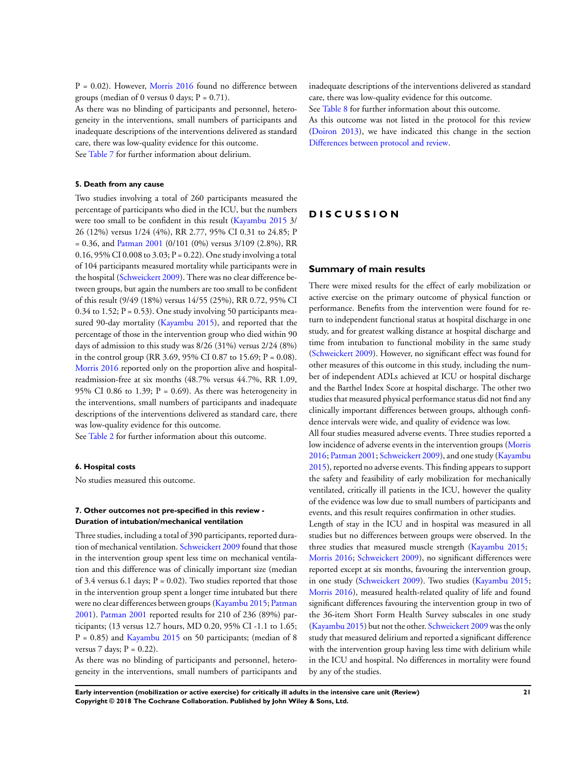$P = 0.02$ ). However, [Morris 2016](#page-26-0) found no difference between groups (median of 0 versus 0 days;  $P = 0.71$ ).

As there was no blinding of participants and personnel, heterogeneity in the interventions, small numbers of participants and inadequate descriptions of the interventions delivered as standard care, there was low-quality evidence for this outcome. See [Table 7](#page-54-0) for further information about delirium.

#### **5. Death from any cause**

Two studies involving a total of 260 participants measured the percentage of participants who died in the ICU, but the numbers were too small to be confident in this result ([Kayambu 2015](#page-26-0) 3/ 26 (12%) versus 1/24 (4%), RR 2.77, 95% CI 0.31 to 24.85; P = 0.36, and [Patman 2001](#page-26-0) (0/101 (0%) versus 3/109 (2.8%), RR 0.16, 95% CI 0.008 to 3.03; P = 0.22). One study involving a total of 104 participants measured mortality while participants were in the hospital ([Schweickert 2009](#page-26-0)). There was no clear difference between groups, but again the numbers are too small to be confident of this result (9/49 (18%) versus 14/55 (25%), RR 0.72, 95% CI  $0.34$  to  $1.52$ ;  $P = 0.53$ ). One study involving 50 participants measured 90-day mortality ([Kayambu 2015](#page-26-0)), and reported that the percentage of those in the intervention group who died within 90 days of admission to this study was 8/26 (31%) versus 2/24 (8%) in the control group (RR 3.69, 95% CI 0.87 to 15.69; P = 0.08). [Morris 2016](#page-26-0) reported only on the proportion alive and hospitalreadmission-free at six months (48.7% versus 44.7%, RR 1.09, 95% CI 0.86 to 1.39;  $P = 0.69$ ). As there was heterogeneity in the interventions, small numbers of participants and inadequate descriptions of the interventions delivered as standard care, there was low-quality evidence for this outcome.

See [Table 2](#page-50-0) for further information about this outcome.

# **6. Hospital costs**

No studies measured this outcome.

# **7. Other outcomes not pre-specified in this review - Duration of intubation/mechanical ventilation**

Three studies, including a total of 390 participants, reported duration of mechanical ventilation. [Schweickert 2009](#page-26-0) found that those in the intervention group spent less time on mechanical ventilation and this difference was of clinically important size (median of 3.4 versus 6.1 days;  $P = 0.02$ ). Two studies reported that those in the intervention group spent a longer time intubated but there were no clear differences between groups [\(Kayambu 2015](#page-26-0); [Patman](#page-26-0) [2001](#page-26-0)). [Patman 2001](#page-26-0) reported results for 210 of 236 (89%) participants; (13 versus 12.7 hours, MD 0.20, 95% CI -1.1 to 1.65;  $P = 0.85$ ) and [Kayambu 2015](#page-26-0) on 50 participants; (median of 8 versus 7 days;  $P = 0.22$ ).

As there was no blinding of participants and personnel, heterogeneity in the interventions, small numbers of participants and inadequate descriptions of the interventions delivered as standard care, there was low-quality evidence for this outcome.

See [Table 8](#page-55-0) for further information about this outcome.

As this outcome was not listed in the protocol for this review [\(Doiron 2013\)](#page-26-0), we have indicated this change in the section [Differences between protocol and review](#page-60-0).

# **D I S C U S S I O N**

# **Summary of main results**

There were mixed results for the effect of early mobilization or active exercise on the primary outcome of physical function or performance. Benefits from the intervention were found for return to independent functional status at hospital discharge in one study, and for greatest walking distance at hospital discharge and time from intubation to functional mobility in the same study [\(Schweickert 2009](#page-26-0)). However, no significant effect was found for other measures of this outcome in this study, including the number of independent ADLs achieved at ICU or hospital discharge and the Barthel Index Score at hospital discharge. The other two studies that measured physical performance status did not find any clinically important differences between groups, although confidence intervals were wide, and quality of evidence was low.

All four studies measured adverse events. Three studies reported a low incidence of adverse events in the intervention groups ([Morris](#page-26-0) [2016](#page-26-0); [Patman 2001](#page-26-0); [Schweickert 2009](#page-26-0)), and one study ([Kayambu](#page-26-0) [2015](#page-26-0)), reported no adverse events. This finding appears to support the safety and feasibility of early mobilization for mechanically ventilated, critically ill patients in the ICU, however the quality of the evidence was low due to small numbers of participants and events, and this result requires confirmation in other studies.

Length of stay in the ICU and in hospital was measured in all studies but no differences between groups were observed. In the three studies that measured muscle strength [\(Kayambu 2015](#page-26-0); [Morris 2016](#page-26-0); [Schweickert 2009\)](#page-26-0), no significant differences were reported except at six months, favouring the intervention group, in one study [\(Schweickert 2009](#page-26-0)). Two studies ([Kayambu 2015;](#page-26-0) [Morris 2016\)](#page-26-0), measured health-related quality of life and found significant differences favouring the intervention group in two of the 36-item Short Form Health Survey subscales in one study [\(Kayambu 2015](#page-26-0)) but not the other. [Schweickert 2009](#page-26-0) was the only study that measured delirium and reported a significant difference with the intervention group having less time with delirium while in the ICU and hospital. No differences in mortality were found by any of the studies.

**Early intervention (mobilization or active exercise) for critically ill adults in the intensive care unit (Review) 21 Copyright © 2018 The Cochrane Collaboration. Published by John Wiley & Sons, Ltd.**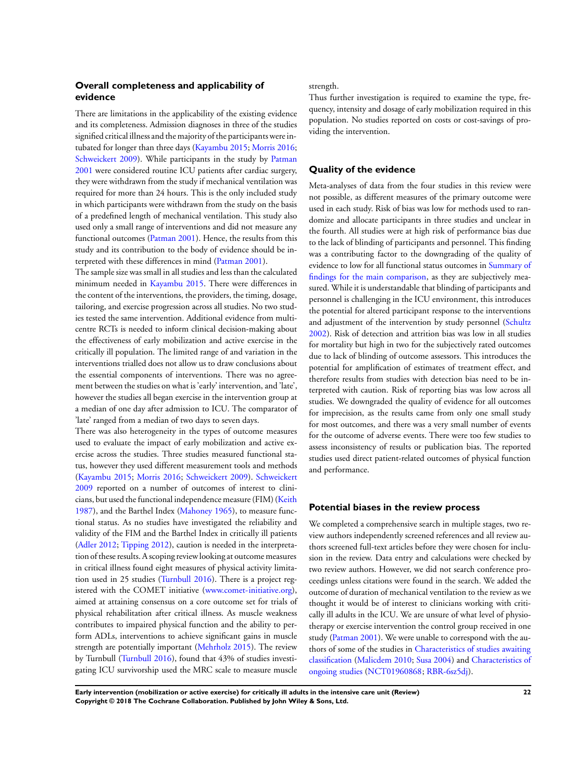# **Overall completeness and applicability of evidence**

There are limitations in the applicability of the existing evidence and its completeness. Admission diagnoses in three of the studies signified critical illness and the majority of the participants were intubated for longer than three days ([Kayambu 2015](#page-26-0); [Morris 2016;](#page-26-0) [Schweickert 2009](#page-26-0)). While participants in the study by [Patman](#page-26-0) [2001](#page-26-0) were considered routine ICU patients after cardiac surgery, they were withdrawn from the study if mechanical ventilation was required for more than 24 hours. This is the only included study in which participants were withdrawn from the study on the basis of a predefined length of mechanical ventilation. This study also used only a small range of interventions and did not measure any functional outcomes [\(Patman 2001](#page-26-0)). Hence, the results from this study and its contribution to the body of evidence should be interpreted with these differences in mind ([Patman 2001](#page-26-0)).

The sample size was small in all studies and less than the calculated minimum needed in [Kayambu 2015.](#page-26-0) There were differences in the content of the interventions, the providers, the timing, dosage, tailoring, and exercise progression across all studies. No two studies tested the same intervention. Additional evidence from multicentre RCTs is needed to inform clinical decision-making about the effectiveness of early mobilization and active exercise in the critically ill population. The limited range of and variation in the interventions trialled does not allow us to draw conclusions about the essential components of interventions. There was no agreement between the studies on what is 'early' intervention, and 'late', however the studies all began exercise in the intervention group at a median of one day after admission to ICU. The comparator of 'late' ranged from a median of two days to seven days.

There was also heterogeneity in the types of outcome measures used to evaluate the impact of early mobilization and active exercise across the studies. Three studies measured functional status, however they used different measurement tools and methods [\(Kayambu 2015;](#page-26-0) [Morris 2016](#page-26-0); [Schweickert 2009](#page-26-0)). [Schweickert](#page-26-0) [2009](#page-26-0) reported on a number of outcomes of interest to clinicians, but used the functional independence measure (FIM) ([Keith](#page-26-0) [1987](#page-26-0)), and the Barthel Index [\(Mahoney 1965](#page-26-0)), to measure functional status. As no studies have investigated the reliability and validity of the FIM and the Barthel Index in critically ill patients [\(Adler 2012](#page-26-0); [Tipping 2012](#page-26-0)), caution is needed in the interpretation of these results. A scoping review looking at outcome measures in critical illness found eight measures of physical activity limitation used in 25 studies [\(Turnbull 2016\)](#page-26-0). There is a project registered with the COMET initiative ([www.comet-initiative.org](http://www.comet-initiative.org)), aimed at attaining consensus on a core outcome set for trials of physical rehabilitation after critical illness. As muscle weakness contributes to impaired physical function and the ability to perform ADLs, interventions to achieve significant gains in muscle strength are potentially important [\(Mehrholz 2015\)](#page-26-0). The review by Turnbull ([Turnbull 2016](#page-26-0)), found that 43% of studies investigating ICU survivorship used the MRC scale to measure muscle

strength.

Thus further investigation is required to examine the type, frequency, intensity and dosage of early mobilization required in this population. No studies reported on costs or cost-savings of providing the intervention.

# **Quality of the evidence**

Meta-analyses of data from the four studies in this review were not possible, as different measures of the primary outcome were used in each study. Risk of bias was low for methods used to randomize and allocate participants in three studies and unclear in the fourth. All studies were at high risk of performance bias due to the lack of blinding of participants and personnel. This finding was a contributing factor to the downgrading of the quality of evidence to low for all functional status outcomes in [Summary of](#page-6-0) [findings for the main comparison](#page-6-0), as they are subjectively measured. While it is understandable that blinding of participants and personnel is challenging in the ICU environment, this introduces the potential for altered participant response to the interventions and adjustment of the intervention by study personnel ([Schultz](#page-26-0) [2002](#page-26-0)). Risk of detection and attrition bias was low in all studies for mortality but high in two for the subjectively rated outcomes due to lack of blinding of outcome assessors. This introduces the potential for amplification of estimates of treatment effect, and therefore results from studies with detection bias need to be interpreted with caution. Risk of reporting bias was low across all studies. We downgraded the quality of evidence for all outcomes for imprecision, as the results came from only one small study for most outcomes, and there was a very small number of events for the outcome of adverse events. There were too few studies to assess inconsistency of results or publication bias. The reported studies used direct patient-related outcomes of physical function and performance.

#### **Potential biases in the review process**

We completed a comprehensive search in multiple stages, two review authors independently screened references and all review authors screened full-text articles before they were chosen for inclusion in the review. Data entry and calculations were checked by two review authors. However, we did not search conference proceedings unless citations were found in the search. We added the outcome of duration of mechanical ventilation to the review as we thought it would be of interest to clinicians working with critically ill adults in the ICU. We are unsure of what level of physiotherapy or exercise intervention the control group received in one study ([Patman 2001](#page-26-0)). We were unable to correspond with the authors of some of the studies in [Characteristics of studies awaiting](#page-42-0) [classification](#page-42-0) [\(Malicdem 2010](#page-26-0); [Susa 2004\)](#page-26-0) and [Characteristics of](#page-45-0) [ongoing studies](#page-45-0) ([NCT01960868](#page-26-0); [RBR-6sz5dj\)](#page-26-0).

**Early intervention (mobilization or active exercise) for critically ill adults in the intensive care unit (Review) 22 Copyright © 2018 The Cochrane Collaboration. Published by John Wiley & Sons, Ltd.**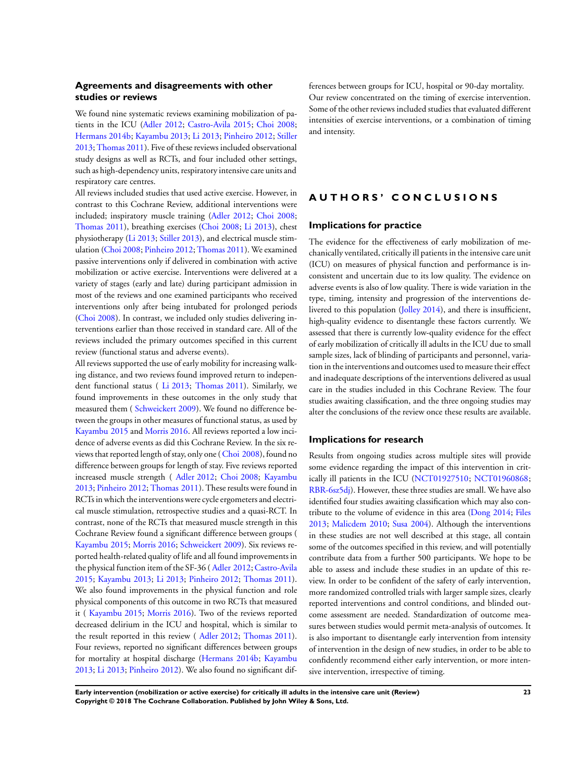# **Agreements and disagreements with other studies or reviews**

We found nine systematic reviews examining mobilization of patients in the ICU ([Adler 2012](#page-26-0); [Castro-Avila 2015;](#page-26-0) [Choi 2008;](#page-26-0) [Hermans 2014b;](#page-26-0) [Kayambu 2013;](#page-26-0) [Li 2013](#page-26-0); [Pinheiro 2012;](#page-26-0) [Stiller](#page-26-0) [2013](#page-26-0); [Thomas 2011](#page-26-0)). Five of these reviews included observational study designs as well as RCTs, and four included other settings, such as high-dependency units, respiratory intensive care units and respiratory care centres.

All reviews included studies that used active exercise. However, in contrast to this Cochrane Review, additional interventions were included; inspiratory muscle training [\(Adler 2012](#page-26-0); [Choi 2008;](#page-26-0) [Thomas 2011\)](#page-26-0), breathing exercises [\(Choi 2008;](#page-26-0) [Li 2013\)](#page-26-0), chest physiotherapy [\(Li 2013](#page-26-0); [Stiller 2013](#page-26-0)), and electrical muscle stimulation [\(Choi 2008;](#page-26-0) [Pinheiro 2012;](#page-26-0) [Thomas 2011\)](#page-26-0). We examined passive interventions only if delivered in combination with active mobilization or active exercise. Interventions were delivered at a variety of stages (early and late) during participant admission in most of the reviews and one examined participants who received interventions only after being intubated for prolonged periods [\(Choi 2008](#page-26-0)). In contrast, we included only studies delivering interventions earlier than those received in standard care. All of the reviews included the primary outcomes specified in this current review (functional status and adverse events).

All reviews supported the use of early mobility for increasing walking distance, and two reviews found improved return to independent functional status ( [Li 2013](https://archie.cochrane.org/sections/documents/view?version=z1602221327095060499150829942033%26format=REVMAN_GRAPHS#REF-Li-2013); [Thomas 2011](https://archie.cochrane.org/sections/documents/view?version=z1602221327095060499150829942033%26format=REVMAN_GRAPHS#REF-Thomas-2011)). Similarly, we found improvements in these outcomes in the only study that measured them ( [Schweickert 2009\)](https://archie.cochrane.org/sections/documents/view?version=z1602221327095060499150829942033%26format=REVMAN_GRAPHS#STD-Schweickert-2009). We found no difference between the groups in other measures of functional status, as used by [Kayambu 2015](https://archie.cochrane.org/sections/documents/view?version=z1602221327095060499150829942033%26format=REVMAN_GRAPHS#STD-Kayambu-2015) and [Morris 2016.](#page-26-0) All reviews reported a low incidence of adverse events as did this Cochrane Review. In the six reviews that reported length of stay, only one ([Choi 2008](https://archie.cochrane.org/sections/documents/view?version=z1602221327095060499150829942033%26format=REVMAN_GRAPHS#REF-Choi-2008)), found no difference between groups for length of stay. Five reviews reported increased muscle strength ( [Adler 2012;](https://archie.cochrane.org/sections/documents/view?version=z1602221327095060499150829942033%26format=REVMAN_GRAPHS#REF-Adler-2012) [Choi 2008;](https://archie.cochrane.org/sections/documents/view?version=z1602221327095060499150829942033%26format=REVMAN_GRAPHS#REF-Choi-2008) [Kayambu](#page-26-0) [2013](#page-26-0); [Pinheiro 2012](https://archie.cochrane.org/sections/documents/view?version=z1602221327095060499150829942033%26format=REVMAN_GRAPHS#REF-Pinheiro-2012); [Thomas 2011\)](https://archie.cochrane.org/sections/documents/view?version=z1602221327095060499150829942033%26format=REVMAN_GRAPHS#REF-Thomas-2011). These results were found in RCTs in which the interventions were cycle ergometers and electrical muscle stimulation, retrospective studies and a quasi-RCT. In contrast, none of the RCTs that measured muscle strength in this Cochrane Review found a significant difference between groups ( [Kayambu 2015](https://archie.cochrane.org/sections/documents/view?version=z1602221327095060499150829942033%26format=REVMAN_GRAPHS#STD-Kayambu-2015); [Morris 2016](#page-26-0); [Schweickert 2009\)](https://archie.cochrane.org/sections/documents/view?version=z1602221327095060499150829942033%26format=REVMAN_GRAPHS#STD-Schweickert-2009). Six reviews reported health-related quality of life and all found improvements in the physical function item of the SF-36 ([Adler 2012](https://archie.cochrane.org/sections/documents/view?version=z1602221327095060499150829942033%26format=REVMAN_GRAPHS#REF-Adler-2012); [Castro-Avila](#page-26-0) [2015](#page-26-0); [Kayambu 2013](#page-26-0); [Li 2013](https://archie.cochrane.org/sections/documents/view?version=z1602221327095060499150829942033%26format=REVMAN_GRAPHS#REF-Li-2013); [Pinheiro 2012;](https://archie.cochrane.org/sections/documents/view?version=z1602221327095060499150829942033%26format=REVMAN_GRAPHS#REF-Pinheiro-2012) [Thomas 2011](https://archie.cochrane.org/sections/documents/view?version=z1602221327095060499150829942033%26format=REVMAN_GRAPHS#REF-Thomas-2011)). We also found improvements in the physical function and role physical components of this outcome in two RCTs that measured it ( [Kayambu 2015](https://archie.cochrane.org/sections/documents/view?version=z1602221327095060499150829942033%26format=REVMAN_GRAPHS#STD-Kayambu-2015); [Morris 2016\)](#page-26-0). Two of the reviews reported decreased delirium in the ICU and hospital, which is similar to the result reported in this review ( [Adler 2012;](https://archie.cochrane.org/sections/documents/view?version=z1602221327095060499150829942033%26format=REVMAN_GRAPHS#REF-Adler-2012) [Thomas 2011](https://archie.cochrane.org/sections/documents/view?version=z1602221327095060499150829942033%26format=REVMAN_GRAPHS#REF-Thomas-2011)). Four reviews, reported no significant differences between groups for mortality at hospital discharge [\(Hermans 2014b](#page-26-0); [Kayambu](#page-26-0) [2013](#page-26-0); [Li 2013](https://archie.cochrane.org/sections/documents/view?version=z1602221327095060499150829942033%26format=REVMAN_GRAPHS#REF-Li-2013); [Pinheiro 2012](https://archie.cochrane.org/sections/documents/view?version=z1602221327095060499150829942033%26format=REVMAN_GRAPHS#REF-Pinheiro-2012)). We also found no significant differences between groups for ICU, hospital or 90-day mortality. Our review concentrated on the timing of exercise intervention. Some of the other reviews included studies that evaluated different intensities of exercise interventions, or a combination of timing and intensity.

# **A U T H O R S ' C O N C L U S I O N S**

### **Implications for practice**

The evidence for the effectiveness of early mobilization of mechanically ventilated, critically ill patients in the intensive care unit (ICU) on measures of physical function and performance is inconsistent and uncertain due to its low quality. The evidence on adverse events is also of low quality. There is wide variation in the type, timing, intensity and progression of the interventions delivered to this population ([Jolley 2014\)](#page-26-0), and there is insufficient, high-quality evidence to disentangle these factors currently. We assessed that there is currently low-quality evidence for the effect of early mobilization of critically ill adults in the ICU due to small sample sizes, lack of blinding of participants and personnel, variation in the interventions and outcomes used to measure their effect and inadequate descriptions of the interventions delivered as usual care in the studies included in this Cochrane Review. The four studies awaiting classification, and the three ongoing studies may alter the conclusions of the review once these results are available.

### **Implications for research**

Results from ongoing studies across multiple sites will provide some evidence regarding the impact of this intervention in critically ill patients in the ICU [\(NCT01927510](#page-26-0); [NCT01960868;](#page-26-0) [RBR-6sz5dj](#page-26-0)). However, these three studies are small. We have also identified four studies awaiting classification which may also contribute to the volume of evidence in this area [\(Dong 2014;](#page-26-0) [Files](#page-26-0) [2013](#page-26-0); [Malicdem 2010;](#page-26-0) [Susa 2004](#page-26-0)). Although the interventions in these studies are not well described at this stage, all contain some of the outcomes specified in this review, and will potentially contribute data from a further 500 participants. We hope to be able to assess and include these studies in an update of this review. In order to be confident of the safety of early intervention, more randomized controlled trials with larger sample sizes, clearly reported interventions and control conditions, and blinded outcome assessment are needed. Standardization of outcome measures between studies would permit meta-analysis of outcomes. It is also important to disentangle early intervention from intensity of intervention in the design of new studies, in order to be able to confidently recommend either early intervention, or more intensive intervention, irrespective of timing.

**Early intervention (mobilization or active exercise) for critically ill adults in the intensive care unit (Review) 23 Copyright © 2018 The Cochrane Collaboration. Published by John Wiley & Sons, Ltd.**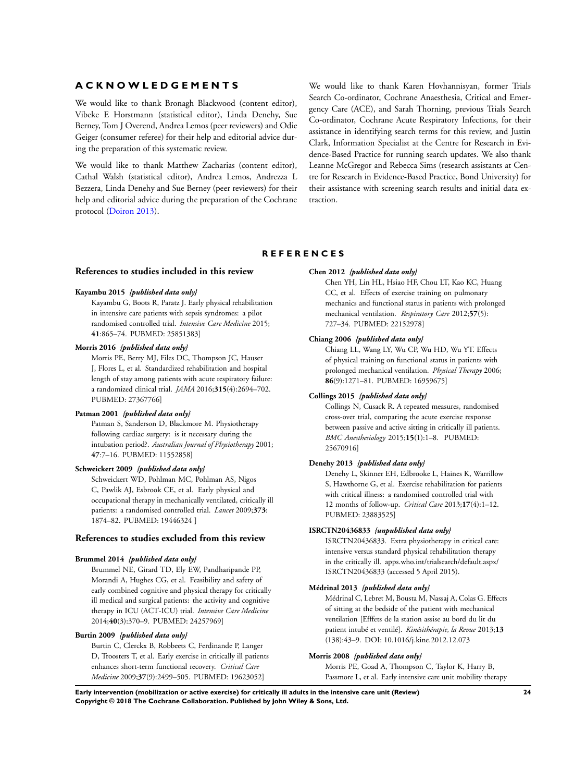# <span id="page-26-0"></span>**A C K N O W L E D G E M E N T S**

We would like to thank Bronagh Blackwood (content editor), Vibeke E Horstmann (statistical editor), Linda Denehy, Sue Berney, Tom J Overend, Andrea Lemos (peer reviewers) and Odie Geiger (consumer referee) for their help and editorial advice during the preparation of this systematic review.

We would like to thank Matthew Zacharias (content editor), Cathal Walsh (statistical editor), Andrea Lemos, Andrezza L Bezzera, Linda Denehy and Sue Berney (peer reviewers) for their help and editorial advice during the preparation of the Cochrane protocol (Doiron 2013).

We would like to thank Karen Hovhannisyan, former Trials Search Co-ordinator, Cochrane Anaesthesia, Critical and Emergency Care (ACE), and Sarah Thorning, previous Trials Search Co-ordinator, Cochrane Acute Respiratory Infections, for their assistance in identifying search terms for this review, and Justin Clark, Information Specialist at the Centre for Research in Evidence-Based Practice for running search updates. We also thank Leanne McGregor and Rebecca Sims (research assistants at Centre for Research in Evidence-Based Practice, Bond University) for their assistance with screening search results and initial data extraction.

# **R E F E R E N C E S**

# **References to studies included in this review**

### **Kayambu 2015** *{published data only}*

Kayambu G, Boots R, Paratz J. Early physical rehabilitation in intensive care patients with sepsis syndromes: a pilot randomised controlled trial. *Intensive Care Medicine* 2015; **41**:865–74. PUBMED: 25851383]

#### **Morris 2016** *{published data only}*

Morris PE, Berry MJ, Files DC, Thompson JC, Hauser J, Flores L, et al. Standardized rehabilitation and hospital length of stay among patients with acute respiratory failure: a randomized clinical trial. *JAMA* 2016;**315**(4):2694–702. PUBMED: 27367766]

### **Patman 2001** *{published data only}*

Patman S, Sanderson D, Blackmore M. Physiotherapy following cardiac surgery: is it necessary during the intubation period?. *Australian Journal of Physiotherapy* 2001; **47**:7–16. PUBMED: 11552858]

#### **Schweickert 2009** *{published data only}*

Schweickert WD, Pohlman MC, Pohlman AS, Nigos C, Pawlik AJ, Esbrook CE, et al. Early physical and occupational therapy in mechanically ventilated, critically ill patients: a randomised controlled trial. *Lancet* 2009;**373**: 1874–82. PUBMED: 19446324 ]

# **References to studies excluded from this review**

# **Brummel 2014** *{published data only}*

Brummel NE, Girard TD, Ely EW, Pandharipande PP, Morandi A, Hughes CG, et al. Feasibility and safety of early combined cognitive and physical therapy for critically ill medical and surgical patients: the activity and cognitive therapy in ICU (ACT-ICU) trial. *Intensive Care Medicine* 2014;**40**(3):370–9. PUBMED: 24257969]

#### **Burtin 2009** *{published data only}*

Burtin C, Clerckx B, Robbeets C, Ferdinande P, Langer D, Troosters T, et al. Early exercise in critically ill patients enhances short-term functional recovery. *Critical Care Medicine* 2009;**37**(9):2499–505. PUBMED: 19623052]

# **Chen 2012** *{published data only}*

Chen YH, Lin HL, Hsiao HF, Chou LT, Kao KC, Huang CC, et al. Effects of exercise training on pulmonary mechanics and functional status in patients with prolonged mechanical ventilation. *Respiratory Care* 2012;**57**(5): 727–34. PUBMED: 22152978]

#### **Chiang 2006** *{published data only}*

Chiang LL, Wang LY, Wu CP, Wu HD, Wu YT. Effects of physical training on functional status in patients with prolonged mechanical ventilation. *Physical Therapy* 2006; **86**(9):1271–81. PUBMED: 16959675]

#### **Collings 2015** *{published data only}*

Collings N, Cusack R. A repeated measures, randomised cross-over trial, comparing the acute exercise response between passive and active sitting in critically ill patients. *BMC Anesthesiology* 2015;**15**(1):1–8. PUBMED: 25670916]

#### **Denehy 2013** *{published data only}*

Denehy L, Skinner EH, Edbrooke L, Haines K, Warrillow S, Hawthorne G, et al. Exercise rehabilitation for patients with critical illness: a randomised controlled trial with 12 months of follow-up. *Critical Care* 2013;**17**(4):1–12. PUBMED: 23883525]

#### **ISRCTN20436833** *{unpublished data only}*

ISRCTN20436833. Extra physiotherapy in critical care: intensive versus standard physical rehabilitation therapy in the critically ill. apps.who.int/trialsearch/default.aspx/ ISRCTN20436833 (accessed 5 April 2015).

### **Médrinal 2013** *{published data only}*

Médrinal C, Lebret M, Bousta M, Nassaj A, Colas G. Effects of sitting at the bedside of the patient with mechanical ventilation [Efffets de la station assise au bord du lit du patient intubé et ventilé]. *Kinésithérapie, la Revue* 2013;**13** (138):43–9. DOI: 10.1016/j.kine.2012.12.073

#### **Morris 2008** *{published data only}*

Morris PE, Goad A, Thompson C, Taylor K, Harry B, Passmore L, et al. Early intensive care unit mobility therapy

**Early intervention (mobilization or active exercise) for critically ill adults in the intensive care unit (Review) 24 Copyright © 2018 The Cochrane Collaboration. Published by John Wiley & Sons, Ltd.**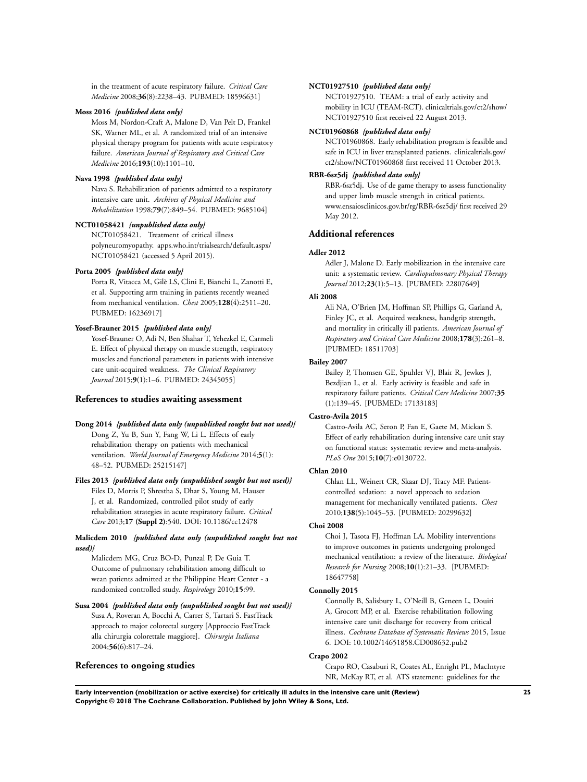in the treatment of acute respiratory failure. *Critical Care Medicine* 2008;**36**(8):2238–43. PUBMED: 18596631]

#### **Moss 2016** *{published data only}*

Moss M, Nordon-Craft A, Malone D, Van Pelt D, Frankel SK, Warner ML, et al. A randomized trial of an intensive physical therapy program for patients with acute respiratory failure. *American Journal of Respiratory and Critical Care Medicine* 2016;**193**(10):1101–10.

### **Nava 1998** *{published data only}*

Nava S. Rehabilitation of patients admitted to a respiratory intensive care unit. *Archives of Physical Medicine and Rehabilitation* 1998;**79**(7):849–54. PUBMED: 9685104]

#### **NCT01058421** *{unpublished data only}*

NCT01058421. Treatment of critical illness polyneuromyopathy. apps.who.int/trialsearch/default.aspx/ NCT01058421 (accessed 5 April 2015).

## **Porta 2005** *{published data only}*

Porta R, Vitacca M, Gilè LS, Clini E, Bianchi L, Zanotti E, et al. Supporting arm training in patients recently weaned from mechanical ventilation. *Chest* 2005;**128**(4):2511–20. PUBMED: 16236917]

### **Yosef-Brauner 2015** *{published data only}*

Yosef-Brauner O, Adi N, Ben Shahar T, Yehezkel E, Carmeli E. Effect of physical therapy on muscle strength, respiratory muscles and functional parameters in patients with intensive care unit-acquired weakness. *The Clinical Respiratory Journal* 2015;**9**(1):1–6. PUBMED: 24345055]

#### **References to studies awaiting assessment**

#### **Dong 2014** *{published data only (unpublished sought but not used)}*

Dong Z, Yu B, Sun Y, Fang W, Li L. Effects of early rehabilitation therapy on patients with mechanical ventilation. *World Journal of Emergency Medicine* 2014;**5**(1): 48–52. PUBMED: 25215147]

#### **Files 2013** *{published data only (unpublished sought but not used)}*

Files D, Morris P, Shrestha S, Dhar S, Young M, Hauser J, et al. Randomized, controlled pilot study of early rehabilitation strategies in acute respiratory failure. *Critical Care* 2013;**17 (Suppl 2)**:540. DOI: 10.1186/cc12478

# **Malicdem 2010** *{published data only (unpublished sought but not used)}*

Malicdem MG, Cruz BO-D, Punzal P, De Guia T. Outcome of pulmonary rehabilitation among difficult to wean patients admitted at the Philippine Heart Center - a randomized controlled study. *Respirology* 2010;**15**:99.

### **Susa 2004** *{published data only (unpublished sought but not used)}* Susa A, Roveran A, Bocchi A, Carrer S, Tartari S. FastTrack approach to major colorectal surgery [Approccio FastTrack alla chirurgia colorettale maggiore]. *Chirurgia Italiana* 2004;**56**(6):817–24.

#### **References to ongoing studies**

#### **NCT01927510** *{published data only}*

NCT01927510. TEAM: a trial of early activity and mobility in ICU (TEAM-RCT). clinicaltrials.gov/ct2/show/ NCT01927510 first received 22 August 2013.

#### **NCT01960868** *{published data only}*

NCT01960868. Early rehabilitation program is feasible and safe in ICU in liver transplanted patients. clinicaltrials.gov/ ct2/show/NCT01960868 first received 11 October 2013.

# **RBR-6sz5dj** *{published data only}*

RBR-6sz5dj. Use of de game therapy to assess functionality and upper limb muscle strength in critical patients. www.ensaiosclinicos.gov.br/rg/RBR-6sz5dj/ first received 29 May 2012.

# **Additional references**

#### **Adler 2012**

Adler J, Malone D. Early mobilization in the intensive care unit: a systematic review. *Cardiopulmonary Physical Therapy Journal* 2012;**23**(1):5–13. [PUBMED: 22807649]

### **Ali 2008**

Ali NA, O'Brien JM, Hoffman SP, Phillips G, Garland A, Finley JC, et al. Acquired weakness, handgrip strength, and mortality in critically ill patients. *American Journal of Respiratory and Critical Care Medicine* 2008;**178**(3):261–8. [PUBMED: 18511703]

#### **Bailey 2007**

Bailey P, Thomsen GE, Spuhler VJ, Blair R, Jewkes J, Bezdjian L, et al. Early activity is feasible and safe in respiratory failure patients. *Critical Care Medicine* 2007;**35** (1):139–45. [PUBMED: 17133183]

# **Castro-Avila 2015**

Castro-Avila AC, Seron P, Fan E, Gaete M, Mickan S. Effect of early rehabilitation during intensive care unit stay on functional status: systematic review and meta-analysis. *PLoS One* 2015;**10**(7):e0130722.

#### **Chlan 2010**

Chlan LL, Weinert CR, Skaar DJ, Tracy MF. Patientcontrolled sedation: a novel approach to sedation management for mechanically ventilated patients. *Chest* 2010;**138**(5):1045–53. [PUBMED: 20299632]

### **Choi 2008**

Choi J, Tasota FJ, Hoffman LA. Mobility interventions to improve outcomes in patients undergoing prolonged mechanical ventilation: a review of the literature. *Biological Research for Nursing* 2008;**10**(1):21–33. [PUBMED: 18647758]

#### **Connolly 2015**

Connolly B, Salisbury L, O'Neill B, Geneen L, Douiri A, Grocott MP, et al. Exercise rehabilitation following intensive care unit discharge for recovery from critical illness. *Cochrane Database of Systematic Reviews* 2015, Issue 6. DOI: 10.1002/14651858.CD008632.pub2

#### **Crapo 2002**

Crapo RO, Casaburi R, Coates AL, Enright PL, MacIntyre NR, McKay RT, et al. ATS statement: guidelines for the

**Early intervention (mobilization or active exercise) for critically ill adults in the intensive care unit (Review) 25 Copyright © 2018 The Cochrane Collaboration. Published by John Wiley & Sons, Ltd.**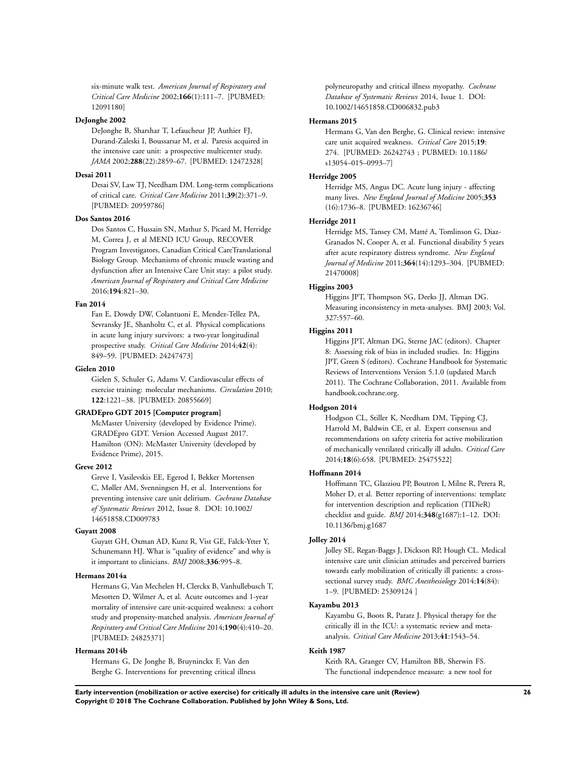six-minute walk test. *American Journal of Respiratory and Critical Care Medicine* 2002;**166**(1):111–7. [PUBMED: 12091180]

### **DeJonghe 2002**

DeJonghe B, Sharshar T, Lefaucheur JP, Authier FJ, Durand-Zaleski I, Boussarsar M, et al. Paresis acquired in the intensive care unit: a prospective multicenter study. *JAMA* 2002;**288**(22):2859–67. [PUBMED: 12472328]

### **Desai 2011**

Desai SV, Law TJ, Needham DM. Long-term complications of critical care. *Critical Care Medicine* 2011;**39**(2):371–9. [PUBMED: 20959786]

### **Dos Santos 2016**

Dos Santos C, Hussain SN, Mathur S, Picard M, Herridge M, Correa J, et al MEND ICU Group, RECOVER Program Investigators, Canadian Critical CareTranslational Biology Group. Mechanisms of chronic muscle wasting and dysfunction after an Intensive Care Unit stay: a pilot study. *American Journal of Respiratory and Critical Care Medicine* 2016;**194**:821–30.

#### **Fan 2014**

Fan E, Dowdy DW, Colantuoni E, Mendez-Tellez PA, Sevransky JE, Shanholtz C, et al. Physical complications in acute lung injury survivors: a two-year longitudinal prospective study. *Critical Care Medicine* 2014;**42**(4): 849–59. [PUBMED: 24247473]

### **Gielen 2010**

Gielen S, Schuler G, Adams V. Cardiovascular effects of exercise training: molecular mechanisms. *Circulation* 2010; **122**:1221–38. [PUBMED: 20855669]

# **GRADEpro GDT 2015 [Computer program]**

McMaster University (developed by Evidence Prime). GRADEpro GDT. Version Accessed August 2017. Hamilton (ON): McMaster University (developed by Evidence Prime), 2015.

#### **Greve 2012**

Greve I, Vasilevskis EE, Egerod I, Bekker Mortensen C, Møller AM, Svenningsen H, et al. Interventions for preventing intensive care unit delirium. *Cochrane Database of Systematic Reviews* 2012, Issue 8. DOI: 10.1002/ 14651858.CD009783

# **Guyatt 2008**

Guyatt GH, Oxman AD, Kunz R, Vist GE, Falck-Ytter Y, Schunemann HJ. What is "quality of evidence" and why is it important to clinicians. *BMJ* 2008;**336**:995–8.

### **Hermans 2014a**

Hermans G, Van Mechelen H, Clerckx B, Vanhullebusch T, Mesotten D, Wilmer A, et al. Acute outcomes and 1-year mortality of intensive care unit-acquired weakness: a cohort study and propensity-matched analysis. *American Journal of Respiratory and Critical Care Medicine* 2014;**190**(4):410–20. [PUBMED: 24825371]

#### **Hermans 2014b**

Hermans G, De Jonghe B, Bruyninckx F, Van den Berghe G. Interventions for preventing critical illness polyneuropathy and critical illness myopathy. *Cochrane Database of Systematic Reviews* 2014, Issue 1. DOI: 10.1002/14651858.CD006832.pub3

#### **Hermans 2015**

Hermans G, Van den Berghe, G. Clinical review: intensive care unit acquired weakness. *Critical Care* 2015;**19**: 274. [PUBMED: 26242743 ; PUBMED: 10.1186/ s13054–015–0993–7]

#### **Herridge 2005**

Herridge MS, Angus DC. Acute lung injury - affecting many lives. *New England Journal of Medicine* 2005;**353** (16):1736–8. [PUBMED: 16236746]

#### **Herridge 2011**

Herridge MS, Tansey CM, Matté A, Tomlinson G, Diaz-Granados N, Cooper A, et al. Functional disability 5 years after acute respiratory distress syndrome. *New England Journal of Medicine* 2011;**364**(14):1293–304. [PUBMED: 21470008]

#### **Higgins 2003**

Higgins JPT, Thompson SG, Deeks JJ, Altman DG. Measuring inconsistency in meta-analyses. BMJ 2003; Vol. 327:557–60.

# **Higgins 2011**

Higgins JPT, Altman DG, Sterne JAC (editors). Chapter 8: Assessing risk of bias in included studies. In: Higgins JPT, Green S (editors). Cochrane Handbook for Systematic Reviews of Interventions Version 5.1.0 (updated March 2011). The Cochrane Collaboration, 2011. Available from handbook.cochrane.org.

#### **Hodgson 2014**

Hodgson CL, Stiller K, Needham DM, Tipping CJ, Harrold M, Baldwin CE, et al. Expert consensus and recommendations on safety criteria for active mobilization of mechanically ventilated critically ill adults. *Critical Care* 2014;**18**(6):658. [PUBMED: 25475522]

#### **Hoffmann 2014**

Hoffmann TC, Glasziou PP, Boutron I, Milne R, Perera R, Moher D, et al. Better reporting of interventions: template for intervention description and replication (TIDieR) checklist and guide. *BMJ* 2014;**348**(g1687):1–12. DOI: 10.1136/bmj.g1687

### **Jolley 2014**

Jolley SE, Regan-Baggs J, Dickson RP, Hough CL. Medical intensive care unit clinician attitudes and perceived barriers towards early mobilization of critically ill patients: a crosssectional survey study. *BMC Anesthesiology* 2014;**14**(84): 1–9. [PUBMED: 25309124 ]

#### **Kayambu 2013**

Kayambu G, Boots R, Paratz J. Physical therapy for the critically ill in the ICU: a systematic review and metaanalysis. *Critical Care Medicine* 2013;**41**:1543–54.

# **Keith 1987**

Keith RA, Granger CV, Hamilton BB, Sherwin FS. The functional independence measure: a new tool for

**Early intervention (mobilization or active exercise) for critically ill adults in the intensive care unit (Review) 26 Copyright © 2018 The Cochrane Collaboration. Published by John Wiley & Sons, Ltd.**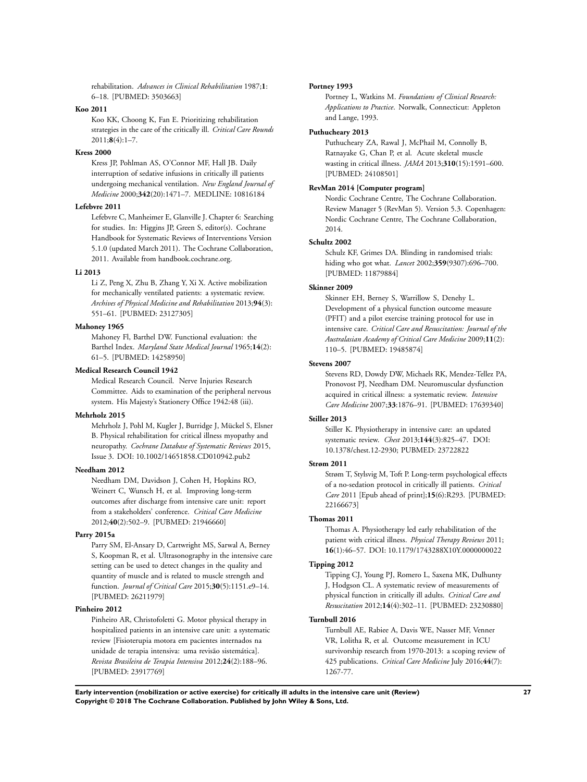rehabilitation. *Advances in Clinical Rehabilitation* 1987;**1**: 6–18. [PUBMED: 3503663]

#### **Koo 2011**

Koo KK, Choong K, Fan E. Prioritizing rehabilitation strategies in the care of the critically ill. *Critical Care Rounds* 2011;**8**(4):1–7.

### **Kress 2000**

Kress JP, Pohlman AS, O'Connor MF, Hall JB. Daily interruption of sedative infusions in critically ill patients undergoing mechanical ventilation. *New England Journal of Medicine* 2000;**342**(20):1471–7. MEDLINE: 10816184

# **Lefebvre 2011**

Lefebvre C, Manheimer E, Glanville J. Chapter 6: Searching for studies. In: Higgins JP, Green S, editor(s). Cochrane Handbook for Systematic Reviews of Interventions Version 5.1.0 (updated March 2011). The Cochrane Collaboration, 2011. Available from handbook.cochrane.org.

#### **Li 2013**

Li Z, Peng X, Zhu B, Zhang Y, Xi X. Active mobilization for mechanically ventilated patients: a systematic review. *Archives of Physical Medicine and Rehabilitation* 2013;**94**(3): 551–61. [PUBMED: 23127305]

## **Mahoney 1965**

Mahoney Fl, Barthel DW. Functional evaluation: the Barthel Index. *Maryland State Medical Journal* 1965;**14**(2): 61–5. [PUBMED: 14258950]

### **Medical Research Council 1942**

Medical Research Council. Nerve Injuries Research Committee. Aids to examination of the peripheral nervous system. His Majesty's Stationery Office 1942:48 (iii).

#### **Mehrholz 2015**

Mehrholz J, Pohl M, Kugler J, Burridge J, Mückel S, Elsner B. Physical rehabilitation for critical illness myopathy and neuropathy. *Cochrane Database of Systematic Reviews* 2015, Issue 3. DOI: 10.1002/14651858.CD010942.pub2

#### **Needham 2012**

Needham DM, Davidson J, Cohen H, Hopkins RO, Weinert C, Wunsch H, et al. Improving long-term outcomes after discharge from intensive care unit: report from a stakeholders' conference. *Critical Care Medicine* 2012;**40**(2):502–9. [PUBMED: 21946660]

#### **Parry 2015a**

Parry SM, El-Ansary D, Cartwright MS, Sarwal A, Berney S, Koopman R, et al. Ultrasonography in the intensive care setting can be used to detect changes in the quality and quantity of muscle and is related to muscle strength and function. *Journal of Critical Care* 2015;**30**(5):1151.e9–14. [PUBMED: 26211979]

### **Pinheiro 2012**

Pinheiro AR, Christofoletti G. Motor physical therapy in hospitalized patients in an intensive care unit: a systematic review [Fisioterupia motora em pacientes internados na unidade de terapia intensiva: uma revisão sistemática]. *Revista Brasileira de Terapia Intensiva* 2012;**24**(2):188–96. [PUBMED: 23917769]

#### **Portney 1993**

Portney L, Watkins M. *Foundations of Clinical Research: Applications to Practice*. Norwalk, Connecticut: Appleton and Lange, 1993.

#### **Puthucheary 2013**

Puthucheary ZA, Rawal J, McPhail M, Connolly B, Ratnayake G, Chan P, et al. Acute skeletal muscle wasting in critical illness. *JAMA* 2013;**310**(15):1591–600. [PUBMED: 24108501]

#### **RevMan 2014 [Computer program]**

Nordic Cochrane Centre, The Cochrane Collaboration. Review Manager 5 (RevMan 5). Version 5.3. Copenhagen: Nordic Cochrane Centre, The Cochrane Collaboration, 2014.

#### **Schultz 2002**

Schulz KF, Grimes DA. Blinding in randomised trials: hiding who got what. *Lancet* 2002;**359**(9307):696–700. [PUBMED: 11879884]

#### **Skinner 2009**

Skinner EH, Berney S, Warrillow S, Denehy L. Development of a physical function outcome measure (PFIT) and a pilot exercise training protocol for use in intensive care. *Critical Care and Resuscitation: Journal of the Australasian Academy of Critical Care Medicine* 2009;**11**(2): 110–5. [PUBMED: 19485874]

### **Stevens 2007**

Stevens RD, Dowdy DW, Michaels RK, Mendez-Tellez PA, Pronovost PJ, Needham DM. Neuromuscular dysfunction acquired in critical illness: a systematic review. *Intensive Care Medicine* 2007;**33**:1876–91. [PUBMED: 17639340]

#### **Stiller 2013**

Stiller K. Physiotherapy in intensive care: an updated systematic review. *Chest* 2013;**144**(3):825–47. DOI: 10.1378/chest.12-2930; PUBMED: 23722822

### **Strøm 2011**

Strøm T, Stylsvig M, Toft P. Long-term psychological effects of a no-sedation protocol in critically ill patients. *Critical Care* 2011 [Epub ahead of print];**15**(6):R293. [PUBMED: 22166673]

#### **Thomas 2011**

Thomas A. Physiotherapy led early rehabilitation of the patient with critical illness. *Physical Therapy Reviews* 2011; **16**(1):46–57. DOI: 10.1179/1743288X10Y.0000000022

# **Tipping 2012**

Tipping CJ, Young PJ, Romero L, Saxena MK, Dulhunty J, Hodgson CL. A systematic review of measurements of physical function in critically ill adults. *Critical Care and Resuscitation* 2012;**14**(4):302–11. [PUBMED: 23230880]

### **Turnbull 2016**

Turnbull AE, Rabiee A, Davis WE, Nasser MF, Venner VR, Lolitha R, et al. Outcome measurement in ICU survivorship research from 1970-2013: a scoping review of 425 publications. *Critical Care Medicine* July 2016;**44**(7): 1267-77.

**Early intervention (mobilization or active exercise) for critically ill adults in the intensive care unit (Review) 27 Copyright © 2018 The Cochrane Collaboration. Published by John Wiley & Sons, Ltd.**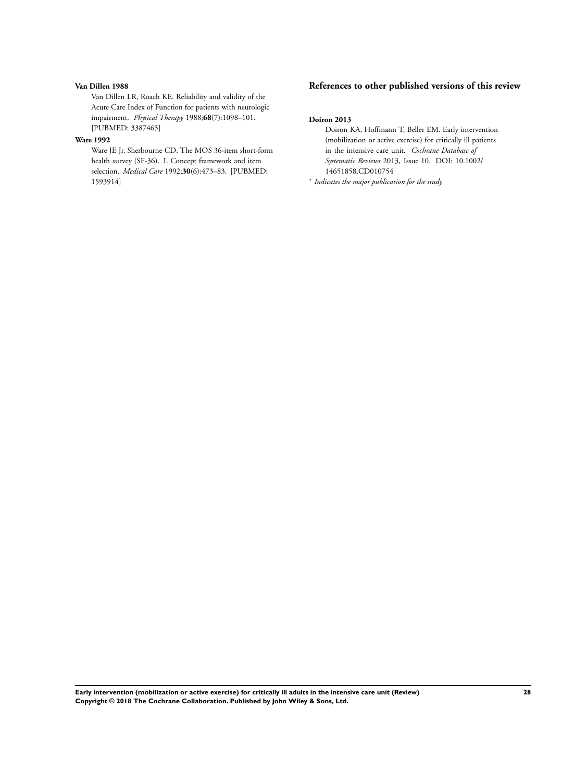### **Van Dillen 1988**

Van Dillen LR, Roach KE. Reliability and validity of the Acute Care Index of Function for patients with neurologic impairment. *Physical Therapy* 1988;**68**(7):1098–101. [PUBMED: 3387465]

### **Ware 1992**

Ware JE Jr, Sherbourne CD. The MOS 36-item short-form health survey (SF-36). I. Concept framework and item selection. *Medical Care* 1992;**30**(6):473–83. [PUBMED: 1593914]

# **References to other published versions of this review**

### **Doiron 2013**

Doiron KA, Hoffmann T, Beller EM. Early intervention (mobilization or active exercise) for critically ill patients in the intensive care unit. *Cochrane Database of Systematic Reviews* 2013, Issue 10. DOI: 10.1002/ 14651858.CD010754

∗ *Indicates the major publication for the study*

**Early intervention (mobilization or active exercise) for critically ill adults in the intensive care unit (Review) 28 Copyright © 2018 The Cochrane Collaboration. Published by John Wiley & Sons, Ltd.**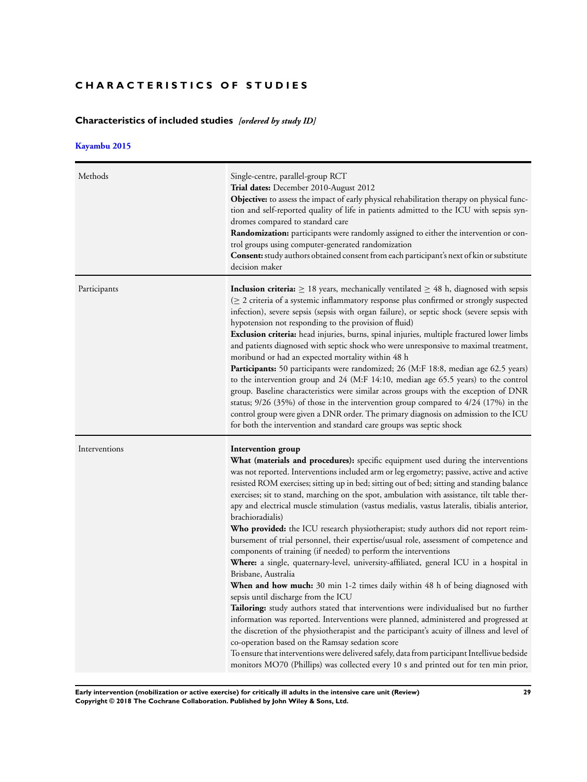# <span id="page-31-0"></span>**CHARACTERISTICS OF STUDIES**

# **Characteristics of included studies** *[ordered by study ID]*

# **[Kayambu 2015](#page-26-0)**

| Methods       | Single-centre, parallel-group RCT<br><b>Trial dates:</b> December 2010-August 2012<br>Objective: to assess the impact of early physical rehabilitation therapy on physical func-<br>tion and self-reported quality of life in patients admitted to the ICU with sepsis syn-<br>dromes compared to standard care<br>Randomization: participants were randomly assigned to either the intervention or con-<br>trol groups using computer-generated randomization<br>Consent: study authors obtained consent from each participant's next of kin or substitute<br>decision maker                                                                                                                                                                                                                                                                                                                                                                                                                                                                                                                                                                                                                                                                                                                                                                                                                                                                                                                                                                              |
|---------------|------------------------------------------------------------------------------------------------------------------------------------------------------------------------------------------------------------------------------------------------------------------------------------------------------------------------------------------------------------------------------------------------------------------------------------------------------------------------------------------------------------------------------------------------------------------------------------------------------------------------------------------------------------------------------------------------------------------------------------------------------------------------------------------------------------------------------------------------------------------------------------------------------------------------------------------------------------------------------------------------------------------------------------------------------------------------------------------------------------------------------------------------------------------------------------------------------------------------------------------------------------------------------------------------------------------------------------------------------------------------------------------------------------------------------------------------------------------------------------------------------------------------------------------------------------|
| Participants  | <b>Inclusion criteria:</b> $\geq$ 18 years, mechanically ventilated $\geq$ 48 h, diagnosed with sepsis<br>$(\geq 2$ criteria of a systemic inflammatory response plus confirmed or strongly suspected<br>infection), severe sepsis (sepsis with organ failure), or septic shock (severe sepsis with<br>hypotension not responding to the provision of fluid)<br>Exclusion criteria: head injuries, burns, spinal injuries, multiple fractured lower limbs<br>and patients diagnosed with septic shock who were unresponsive to maximal treatment,<br>moribund or had an expected mortality within 48 h<br><b>Participants:</b> 50 participants were randomized; 26 (M:F 18:8, median age 62.5 years)<br>to the intervention group and 24 (M:F 14:10, median age 65.5 years) to the control<br>group. Baseline characteristics were similar across groups with the exception of DNR<br>status; 9/26 (35%) of those in the intervention group compared to 4/24 (17%) in the<br>control group were given a DNR order. The primary diagnosis on admission to the ICU<br>for both the intervention and standard care groups was septic shock                                                                                                                                                                                                                                                                                                                                                                                                                    |
| Interventions | Intervention group<br>What (materials and procedures): specific equipment used during the interventions<br>was not reported. Interventions included arm or leg ergometry; passive, active and active<br>resisted ROM exercises; sitting up in bed; sitting out of bed; sitting and standing balance<br>exercises; sit to stand, marching on the spot, ambulation with assistance, tilt table ther-<br>apy and electrical muscle stimulation (vastus medialis, vastus lateralis, tibialis anterior,<br>brachioradialis)<br>Who provided: the ICU research physiotherapist; study authors did not report reim-<br>bursement of trial personnel, their expertise/usual role, assessment of competence and<br>components of training (if needed) to perform the interventions<br><b>Where:</b> a single, quaternary-level, university-affiliated, general ICU in a hospital in<br>Brisbane, Australia<br><b>When and how much:</b> 30 min 1-2 times daily within 48 h of being diagnosed with<br>sepsis until discharge from the ICU<br>Tailoring: study authors stated that interventions were individualised but no further<br>information was reported. Interventions were planned, administered and progressed at<br>the discretion of the physiotherapist and the participant's acuity of illness and level of<br>co-operation based on the Ramsay sedation score<br>To ensure that interventions were delivered safely, data from participant Intellivue bedside<br>monitors MO70 (Phillips) was collected every 10 s and printed out for ten min prior, |

**Early intervention (mobilization or active exercise) for critically ill adults in the intensive care unit (Review) 29 Copyright © 2018 The Cochrane Collaboration. Published by John Wiley & Sons, Ltd.**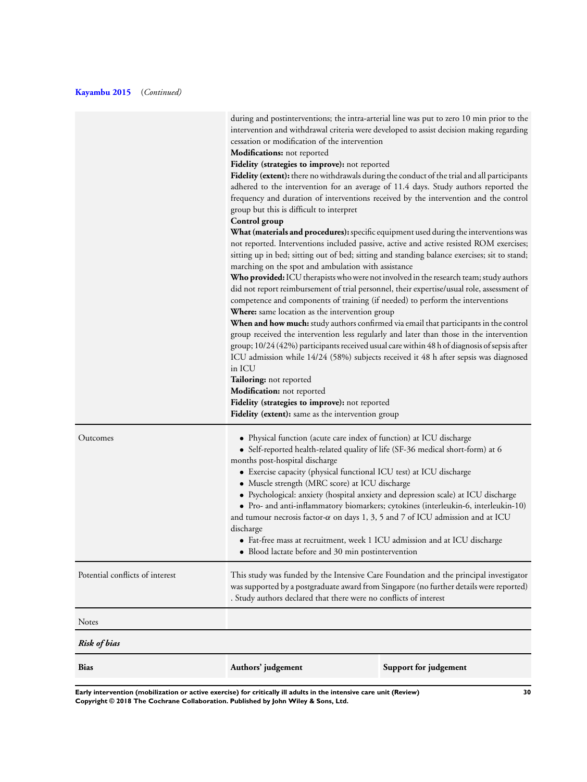# **[Kayambu 2015](#page-26-0)** (*Continued)*

|                                 | during and postinterventions; the intra-arterial line was put to zero 10 min prior to the<br>intervention and withdrawal criteria were developed to assist decision making regarding<br>cessation or modification of the intervention<br><b>Modifications:</b> not reported<br>Fidelity (strategies to improve): not reported<br>Fidelity (extent): there no withdrawals during the conduct of the trial and all participants<br>adhered to the intervention for an average of 11.4 days. Study authors reported the<br>frequency and duration of interventions received by the intervention and the control<br>group but this is difficult to interpret<br>Control group<br>What (materials and procedures): specific equipment used during the interventions was<br>not reported. Interventions included passive, active and active resisted ROM exercises;<br>sitting up in bed; sitting out of bed; sitting and standing balance exercises; sit to stand;<br>marching on the spot and ambulation with assistance<br>Who provided: ICU therapists who were not involved in the research team; study authors<br>did not report reimbursement of trial personnel, their expertise/usual role, assessment of<br>competence and components of training (if needed) to perform the interventions<br>Where: same location as the intervention group<br>When and how much: study authors confirmed via email that participants in the control<br>group received the intervention less regularly and later than those in the intervention<br>group; 10/24 (42%) participants received usual care within 48 h of diagnosis of sepsis after<br>ICU admission while 14/24 (58%) subjects received it 48 h after sepsis was diagnosed<br>in ICU<br>Tailoring: not reported |                       |  |  |
|---------------------------------|-------------------------------------------------------------------------------------------------------------------------------------------------------------------------------------------------------------------------------------------------------------------------------------------------------------------------------------------------------------------------------------------------------------------------------------------------------------------------------------------------------------------------------------------------------------------------------------------------------------------------------------------------------------------------------------------------------------------------------------------------------------------------------------------------------------------------------------------------------------------------------------------------------------------------------------------------------------------------------------------------------------------------------------------------------------------------------------------------------------------------------------------------------------------------------------------------------------------------------------------------------------------------------------------------------------------------------------------------------------------------------------------------------------------------------------------------------------------------------------------------------------------------------------------------------------------------------------------------------------------------------------------------------------------------------------------------------------------------------------------------------------------|-----------------------|--|--|
|                                 | Modification: not reported<br>Fidelity (strategies to improve): not reported<br>Fidelity (extent): same as the intervention group                                                                                                                                                                                                                                                                                                                                                                                                                                                                                                                                                                                                                                                                                                                                                                                                                                                                                                                                                                                                                                                                                                                                                                                                                                                                                                                                                                                                                                                                                                                                                                                                                                 |                       |  |  |
| Outcomes                        | • Physical function (acute care index of function) at ICU discharge<br>· Self-reported health-related quality of life (SF-36 medical short-form) at 6<br>months post-hospital discharge<br>• Exercise capacity (physical functional ICU test) at ICU discharge<br>• Muscle strength (MRC score) at ICU discharge<br>• Psychological: anxiety (hospital anxiety and depression scale) at ICU discharge<br>• Pro- and anti-inflammatory biomarkers; cytokines (interleukin-6, interleukin-10)<br>and tumour necrosis factor- $\alpha$ on days 1, 3, 5 and 7 of ICU admission and at ICU<br>discharge<br>• Fat-free mass at recruitment, week 1 ICU admission and at ICU discharge<br>· Blood lactate before and 30 min postintervention                                                                                                                                                                                                                                                                                                                                                                                                                                                                                                                                                                                                                                                                                                                                                                                                                                                                                                                                                                                                                             |                       |  |  |
| Potential conflicts of interest | This study was funded by the Intensive Care Foundation and the principal investigator<br>was supported by a postgraduate award from Singapore (no further details were reported)<br>. Study authors declared that there were no conflicts of interest                                                                                                                                                                                                                                                                                                                                                                                                                                                                                                                                                                                                                                                                                                                                                                                                                                                                                                                                                                                                                                                                                                                                                                                                                                                                                                                                                                                                                                                                                                             |                       |  |  |
| Notes                           |                                                                                                                                                                                                                                                                                                                                                                                                                                                                                                                                                                                                                                                                                                                                                                                                                                                                                                                                                                                                                                                                                                                                                                                                                                                                                                                                                                                                                                                                                                                                                                                                                                                                                                                                                                   |                       |  |  |
| <b>Risk of bias</b>             |                                                                                                                                                                                                                                                                                                                                                                                                                                                                                                                                                                                                                                                                                                                                                                                                                                                                                                                                                                                                                                                                                                                                                                                                                                                                                                                                                                                                                                                                                                                                                                                                                                                                                                                                                                   |                       |  |  |
| <b>Bias</b>                     | Authors' judgement                                                                                                                                                                                                                                                                                                                                                                                                                                                                                                                                                                                                                                                                                                                                                                                                                                                                                                                                                                                                                                                                                                                                                                                                                                                                                                                                                                                                                                                                                                                                                                                                                                                                                                                                                | Support for judgement |  |  |

**Early intervention (mobilization or active exercise) for critically ill adults in the intensive care unit (Review) 30 Copyright © 2018 The Cochrane Collaboration. Published by John Wiley & Sons, Ltd.**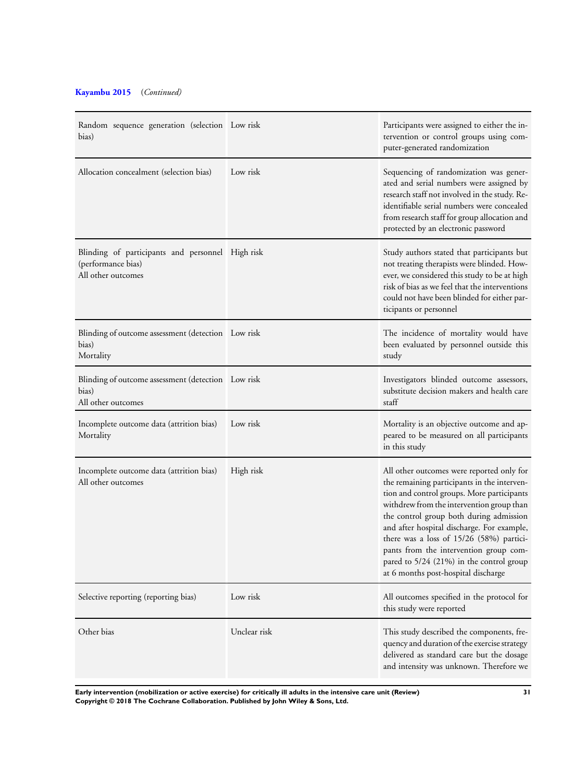# **[Kayambu 2015](#page-26-0)** (*Continued)*

| Random sequence generation (selection Low risk<br>bias)                                      |              | Participants were assigned to either the in-<br>tervention or control groups using com-<br>puter-generated randomization                                                                                                                                                                                                                                                                                                                                |
|----------------------------------------------------------------------------------------------|--------------|---------------------------------------------------------------------------------------------------------------------------------------------------------------------------------------------------------------------------------------------------------------------------------------------------------------------------------------------------------------------------------------------------------------------------------------------------------|
| Allocation concealment (selection bias)                                                      | Low risk     | Sequencing of randomization was gener-<br>ated and serial numbers were assigned by<br>research staff not involved in the study. Re-<br>identifiable serial numbers were concealed<br>from research staff for group allocation and<br>protected by an electronic password                                                                                                                                                                                |
| Blinding of participants and personnel High risk<br>(performance bias)<br>All other outcomes |              | Study authors stated that participants but<br>not treating therapists were blinded. How-<br>ever, we considered this study to be at high<br>risk of bias as we feel that the interventions<br>could not have been blinded for either par-<br>ticipants or personnel                                                                                                                                                                                     |
| Blinding of outcome assessment (detection Low risk<br>bias)<br>Mortality                     |              | The incidence of mortality would have<br>been evaluated by personnel outside this<br>study                                                                                                                                                                                                                                                                                                                                                              |
| Blinding of outcome assessment (detection Low risk<br>bias)<br>All other outcomes            |              | Investigators blinded outcome assessors,<br>substitute decision makers and health care<br>staff                                                                                                                                                                                                                                                                                                                                                         |
| Incomplete outcome data (attrition bias)<br>Mortality                                        | Low risk     | Mortality is an objective outcome and ap-<br>peared to be measured on all participants<br>in this study                                                                                                                                                                                                                                                                                                                                                 |
| Incomplete outcome data (attrition bias)<br>All other outcomes                               | High risk    | All other outcomes were reported only for<br>the remaining participants in the interven-<br>tion and control groups. More participants<br>withdrew from the intervention group than<br>the control group both during admission<br>and after hospital discharge. For example,<br>there was a loss of 15/26 (58%) partici-<br>pants from the intervention group com-<br>pared to $5/24$ (21%) in the control group<br>at 6 months post-hospital discharge |
| Selective reporting (reporting bias)                                                         | Low risk     | All outcomes specified in the protocol for<br>this study were reported                                                                                                                                                                                                                                                                                                                                                                                  |
| Other bias                                                                                   | Unclear risk | This study described the components, fre-<br>quency and duration of the exercise strategy<br>delivered as standard care but the dosage<br>and intensity was unknown. Therefore we                                                                                                                                                                                                                                                                       |

**Early intervention (mobilization or active exercise) for critically ill adults in the intensive care unit (Review) 31 Copyright © 2018 The Cochrane Collaboration. Published by John Wiley & Sons, Ltd.**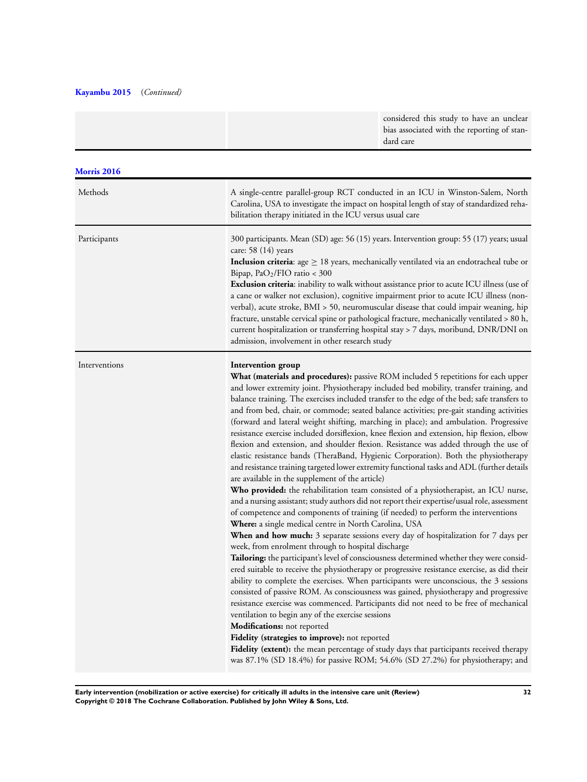|                    | considered this study to have an unclear<br>bias associated with the reporting of stan-<br>dard care                                                                                                                                                                                                                                                                                                                                                                                                                                                                                                                                                                                                                                                                                                                                                                                                                                                                                                                                                                                                                                                                                                                                                                                                                                                                                                                                                                                                                                                                                                                                                                                                                                                                                                                                                                                                                                                                                                                                                                                                                                                                                       |
|--------------------|--------------------------------------------------------------------------------------------------------------------------------------------------------------------------------------------------------------------------------------------------------------------------------------------------------------------------------------------------------------------------------------------------------------------------------------------------------------------------------------------------------------------------------------------------------------------------------------------------------------------------------------------------------------------------------------------------------------------------------------------------------------------------------------------------------------------------------------------------------------------------------------------------------------------------------------------------------------------------------------------------------------------------------------------------------------------------------------------------------------------------------------------------------------------------------------------------------------------------------------------------------------------------------------------------------------------------------------------------------------------------------------------------------------------------------------------------------------------------------------------------------------------------------------------------------------------------------------------------------------------------------------------------------------------------------------------------------------------------------------------------------------------------------------------------------------------------------------------------------------------------------------------------------------------------------------------------------------------------------------------------------------------------------------------------------------------------------------------------------------------------------------------------------------------------------------------|
| <b>Morris 2016</b> |                                                                                                                                                                                                                                                                                                                                                                                                                                                                                                                                                                                                                                                                                                                                                                                                                                                                                                                                                                                                                                                                                                                                                                                                                                                                                                                                                                                                                                                                                                                                                                                                                                                                                                                                                                                                                                                                                                                                                                                                                                                                                                                                                                                            |
| Methods            | A single-centre parallel-group RCT conducted in an ICU in Winston-Salem, North<br>Carolina, USA to investigate the impact on hospital length of stay of standardized reha-<br>bilitation therapy initiated in the ICU versus usual care                                                                                                                                                                                                                                                                                                                                                                                                                                                                                                                                                                                                                                                                                                                                                                                                                                                                                                                                                                                                                                                                                                                                                                                                                                                                                                                                                                                                                                                                                                                                                                                                                                                                                                                                                                                                                                                                                                                                                    |
| Participants       | 300 participants. Mean (SD) age: 56 (15) years. Intervention group: 55 (17) years; usual<br>care: 58 $(14)$ years<br><b>Inclusion criteria:</b> age $\geq$ 18 years, mechanically ventilated via an endotracheal tube or<br>Bipap, PaO <sub>2</sub> /FIO ratio < 300<br>Exclusion criteria: inability to walk without assistance prior to acute ICU illness (use of<br>a cane or walker not exclusion), cognitive impairment prior to acute ICU illness (non-<br>verbal), acute stroke, BMI > 50, neuromuscular disease that could impair weaning, hip<br>fracture, unstable cervical spine or pathological fracture, mechanically ventilated > 80 h,<br>current hospitalization or transferring hospital stay > 7 days, moribund, DNR/DNI on<br>admission, involvement in other research study                                                                                                                                                                                                                                                                                                                                                                                                                                                                                                                                                                                                                                                                                                                                                                                                                                                                                                                                                                                                                                                                                                                                                                                                                                                                                                                                                                                            |
| Interventions      | Intervention group<br>What (materials and procedures): passive ROM included 5 repetitions for each upper<br>and lower extremity joint. Physiotherapy included bed mobility, transfer training, and<br>balance training. The exercises included transfer to the edge of the bed; safe transfers to<br>and from bed, chair, or commode; seated balance activities; pre-gait standing activities<br>(forward and lateral weight shifting, marching in place); and ambulation. Progressive<br>resistance exercise included dorsiflexion, knee flexion and extension, hip flexion, elbow<br>flexion and extension, and shoulder flexion. Resistance was added through the use of<br>elastic resistance bands (TheraBand, Hygienic Corporation). Both the physiotherapy<br>and resistance training targeted lower extremity functional tasks and ADL (further details<br>are available in the supplement of the article)<br>Who provided: the rehabilitation team consisted of a physiotherapist, an ICU nurse,<br>and a nursing assistant; study authors did not report their expertise/usual role, assessment<br>of competence and components of training (if needed) to perform the interventions<br>Where: a single medical centre in North Carolina, USA<br>When and how much: 3 separate sessions every day of hospitalization for 7 days per<br>week, from enrolment through to hospital discharge<br>Tailoring: the participant's level of consciousness determined whether they were consid-<br>ered suitable to receive the physiotherapy or progressive resistance exercise, as did their<br>ability to complete the exercises. When participants were unconscious, the 3 sessions<br>consisted of passive ROM. As consciousness was gained, physiotherapy and progressive<br>resistance exercise was commenced. Participants did not need to be free of mechanical<br>ventilation to begin any of the exercise sessions<br>Modifications: not reported<br>Fidelity (strategies to improve): not reported<br>Fidelity (extent): the mean percentage of study days that participants received therapy<br>was 87.1% (SD 18.4%) for passive ROM; 54.6% (SD 27.2%) for physiotherapy; and |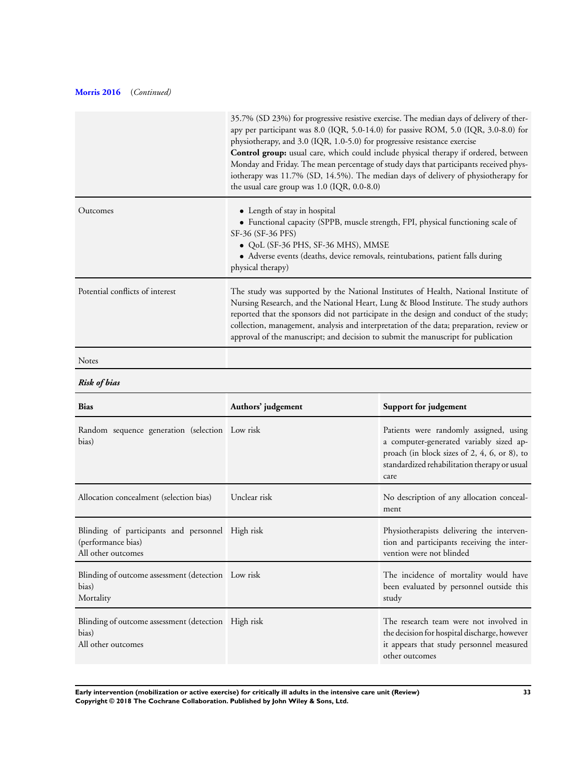# **[Morris 2016](#page-26-0)** (*Continued)*

|                                 | 35.7% (SD 23%) for progressive resistive exercise. The median days of delivery of ther-<br>apy per participant was 8.0 (IQR, 5.0-14.0) for passive ROM, 5.0 (IQR, 3.0-8.0) for<br>physiotherapy, and 3.0 (IQR, 1.0-5.0) for progressive resistance exercise<br>Control group: usual care, which could include physical therapy if ordered, between<br>Monday and Friday. The mean percentage of study days that participants received phys-<br>iotherapy was 11.7% (SD, 14.5%). The median days of delivery of physiotherapy for<br>the usual care group was 1.0 (IQR, 0.0-8.0) |
|---------------------------------|---------------------------------------------------------------------------------------------------------------------------------------------------------------------------------------------------------------------------------------------------------------------------------------------------------------------------------------------------------------------------------------------------------------------------------------------------------------------------------------------------------------------------------------------------------------------------------|
| Outcomes                        | • Length of stay in hospital<br>• Functional capacity (SPPB, muscle strength, FPI, physical functioning scale of<br>SF-36 (SF-36 PFS)<br>$\bullet$ QoL (SF-36 PHS, SF-36 MHS), MMSE<br>• Adverse events (deaths, device removals, reintubations, patient falls during<br>physical therapy)                                                                                                                                                                                                                                                                                      |
| Potential conflicts of interest | The study was supported by the National Institutes of Health, National Institute of<br>Nursing Research, and the National Heart, Lung & Blood Institute. The study authors<br>reported that the sponsors did not participate in the design and conduct of the study;<br>collection, management, analysis and interpretation of the data; preparation, review or<br>approval of the manuscript; and decision to submit the manuscript for publication                                                                                                                            |

Notes

# *Risk of bias*

| <b>Bias</b>                                                                                  | Authors' judgement | Support for judgement                                                                                                                                                                     |
|----------------------------------------------------------------------------------------------|--------------------|-------------------------------------------------------------------------------------------------------------------------------------------------------------------------------------------|
| Random sequence generation (selection Low risk<br>bias)                                      |                    | Patients were randomly assigned, using<br>a computer-generated variably sized ap-<br>proach (in block sizes of 2, 4, 6, or 8), to<br>standardized rehabilitation therapy or usual<br>care |
| Allocation concealment (selection bias)                                                      | Unclear risk       | No description of any allocation conceal-<br>ment                                                                                                                                         |
| Blinding of participants and personnel High risk<br>(performance bias)<br>All other outcomes |                    | Physiotherapists delivering the interven-<br>tion and participants receiving the inter-<br>vention were not blinded                                                                       |
| Blinding of outcome assessment (detection Low risk<br>bias)<br>Mortality                     |                    | The incidence of mortality would have<br>been evaluated by personnel outside this<br>study                                                                                                |
| Blinding of outcome assessment (detection High risk<br>bias)<br>All other outcomes           |                    | The research team were not involved in<br>the decision for hospital discharge, however<br>it appears that study personnel measured<br>other outcomes                                      |

**Early intervention (mobilization or active exercise) for critically ill adults in the intensive care unit (Review) 33 Copyright © 2018 The Cochrane Collaboration. Published by John Wiley & Sons, Ltd.**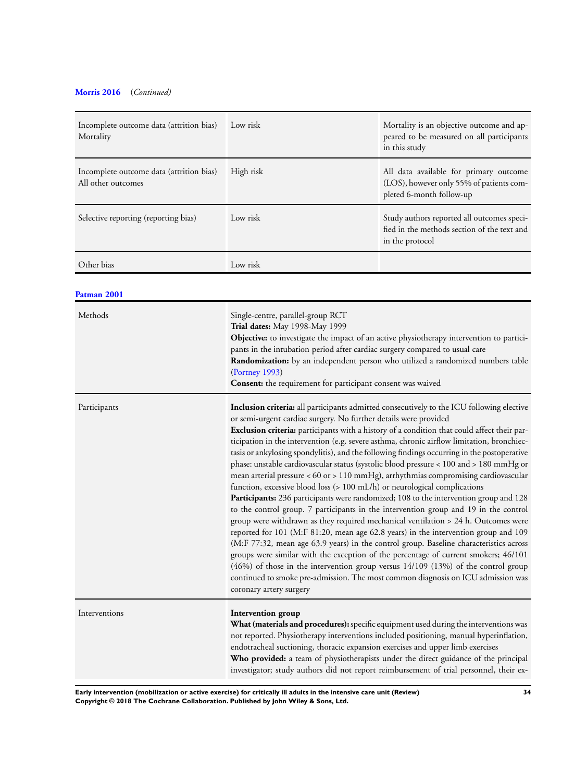# **[Morris 2016](#page-26-0)** (*Continued)*

| Incomplete outcome data (attrition bias)<br>Mortality          | Low risk  | Mortality is an objective outcome and ap-<br>peared to be measured on all participants<br>in this study        |
|----------------------------------------------------------------|-----------|----------------------------------------------------------------------------------------------------------------|
| Incomplete outcome data (attrition bias)<br>All other outcomes | High risk | All data available for primary outcome<br>(LOS), however only 55% of patients com-<br>pleted 6-month follow-up |
| Selective reporting (reporting bias)                           | Low risk  | Study authors reported all outcomes speci-<br>fied in the methods section of the text and<br>in the protocol   |
| Other bias                                                     | Low risk  |                                                                                                                |

#### **[Patman 2001](#page-26-0)**

| Methods       | Single-centre, parallel-group RCT<br>Trial dates: May 1998-May 1999<br>Objective: to investigate the impact of an active physiotherapy intervention to partici-<br>pants in the intubation period after cardiac surgery compared to usual care<br>Randomization: by an independent person who utilized a randomized numbers table<br>(Portney 1993)<br><b>Consent:</b> the requirement for participant consent was waived                                                                                                                                                                                                                                                                                                                                                                                                                                                                                                                                                                                                                                                                                                                                                                                                                                                                                                                                                                                                                                                    |
|---------------|------------------------------------------------------------------------------------------------------------------------------------------------------------------------------------------------------------------------------------------------------------------------------------------------------------------------------------------------------------------------------------------------------------------------------------------------------------------------------------------------------------------------------------------------------------------------------------------------------------------------------------------------------------------------------------------------------------------------------------------------------------------------------------------------------------------------------------------------------------------------------------------------------------------------------------------------------------------------------------------------------------------------------------------------------------------------------------------------------------------------------------------------------------------------------------------------------------------------------------------------------------------------------------------------------------------------------------------------------------------------------------------------------------------------------------------------------------------------------|
| Participants  | Inclusion criteria: all participants admitted consecutively to the ICU following elective<br>or semi-urgent cardiac surgery. No further details were provided<br>Exclusion criteria: participants with a history of a condition that could affect their par-<br>ticipation in the intervention (e.g. severe asthma, chronic airflow limitation, bronchiec-<br>tasis or ankylosing spondylitis), and the following findings occurring in the postoperative<br>phase: unstable cardiovascular status (systolic blood pressure < 100 and > 180 mmHg or<br>mean arterial pressure < 60 or > 110 mmHg), arrhythmias compromising cardiovascular<br>function, excessive blood loss (> 100 mL/h) or neurological complications<br>Participants: 236 participants were randomized; 108 to the intervention group and 128<br>to the control group. 7 participants in the intervention group and 19 in the control<br>group were withdrawn as they required mechanical ventilation > 24 h. Outcomes were<br>reported for 101 (M:F 81:20, mean age 62.8 years) in the intervention group and 109<br>(M:F 77:32, mean age 63.9 years) in the control group. Baseline characteristics across<br>groups were similar with the exception of the percentage of current smokers; 46/101<br>$(46%)$ of those in the intervention group versus 14/109 (13%) of the control group<br>continued to smoke pre-admission. The most common diagnosis on ICU admission was<br>coronary artery surgery |
| Interventions | Intervention group<br>What (materials and procedures): specific equipment used during the interventions was<br>not reported. Physiotherapy interventions included positioning, manual hyperinflation,<br>endotracheal suctioning, thoracic expansion exercises and upper limb exercises<br>Who provided: a team of physiotherapists under the direct guidance of the principal<br>investigator; study authors did not report reimbursement of trial personnel, their ex-                                                                                                                                                                                                                                                                                                                                                                                                                                                                                                                                                                                                                                                                                                                                                                                                                                                                                                                                                                                                     |

**Early intervention (mobilization or active exercise) for critically ill adults in the intensive care unit (Review) 34 Copyright © 2018 The Cochrane Collaboration. Published by John Wiley & Sons, Ltd.**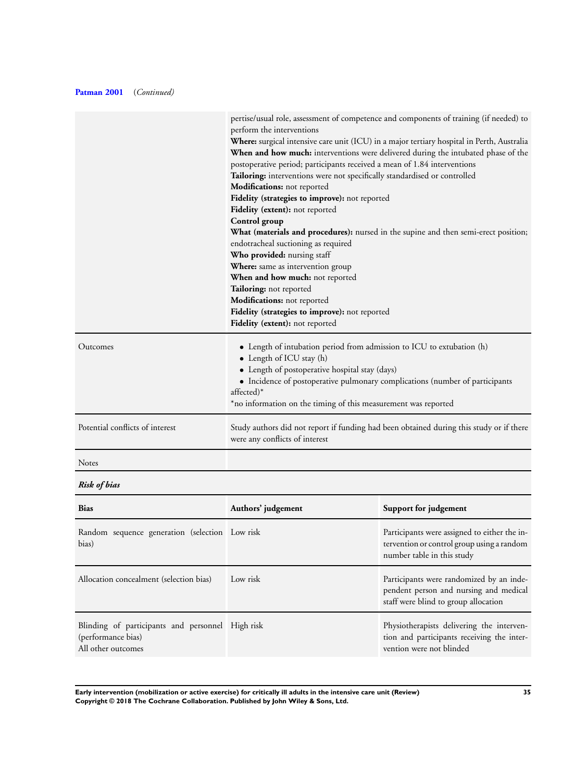# **[Patman 2001](#page-26-0)** (*Continued)*

|                                 | pertise/usual role, assessment of competence and components of training (if needed) to            |
|---------------------------------|---------------------------------------------------------------------------------------------------|
|                                 | perform the interventions                                                                         |
|                                 | <b>Where:</b> surgical intensive care unit (ICU) in a major tertiary hospital in Perth, Australia |
|                                 | When and how much: interventions were delivered during the intubated phase of the                 |
|                                 | postoperative period; participants received a mean of 1.84 interventions                          |
|                                 | Tailoring: interventions were not specifically standardised or controlled                         |
|                                 | Modifications: not reported                                                                       |
|                                 | Fidelity (strategies to improve): not reported                                                    |
|                                 | Fidelity (extent): not reported                                                                   |
|                                 | Control group                                                                                     |
|                                 | What (materials and procedures): nursed in the supine and then semi-erect position;               |
|                                 | endotracheal suctioning as required                                                               |
|                                 | Who provided: nursing staff                                                                       |
|                                 | Where: same as intervention group                                                                 |
|                                 | When and how much: not reported                                                                   |
|                                 | Tailoring: not reported                                                                           |
|                                 | Modifications: not reported                                                                       |
|                                 | Fidelity (strategies to improve): not reported                                                    |
|                                 | Fidelity (extent): not reported                                                                   |
|                                 |                                                                                                   |
| Outcomes                        | • Length of intubation period from admission to ICU to extubation (h)                             |
|                                 | • Length of ICU stay (h)                                                                          |
|                                 | • Length of postoperative hospital stay (days)                                                    |
|                                 | • Incidence of postoperative pulmonary complications (number of participants                      |
|                                 | affected)*                                                                                        |
|                                 | *no information on the timing of this measurement was reported                                    |
|                                 |                                                                                                   |
| Potential conflicts of interest | Study authors did not report if funding had been obtained during this study or if there           |
|                                 | were any conflicts of interest                                                                    |
|                                 |                                                                                                   |

Notes

*Risk of bias*

| <b>Bias</b>                                                                                  | Authors' judgement | Support for judgement                                                                                                      |
|----------------------------------------------------------------------------------------------|--------------------|----------------------------------------------------------------------------------------------------------------------------|
| Random sequence generation (selection Low risk)<br>bias)                                     |                    | Participants were assigned to either the in-<br>tervention or control group using a random<br>number table in this study   |
| Allocation concealment (selection bias)                                                      | Low risk           | Participants were randomized by an inde-<br>pendent person and nursing and medical<br>staff were blind to group allocation |
| Blinding of participants and personnel High risk<br>(performance bias)<br>All other outcomes |                    | Physiotherapists delivering the interven-<br>tion and participants receiving the inter-<br>vention were not blinded        |

**Early intervention (mobilization or active exercise) for critically ill adults in the intensive care unit (Review) 35 Copyright © 2018 The Cochrane Collaboration. Published by John Wiley & Sons, Ltd.**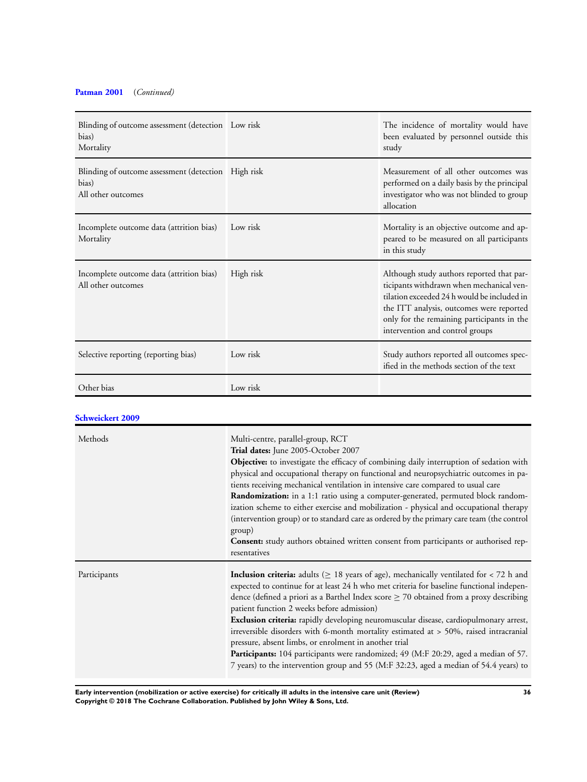# **[Patman 2001](#page-26-0)** (*Continued)*

| Blinding of outcome assessment (detection Low risk<br>bias)<br>Mortality           |           | The incidence of mortality would have<br>been evaluated by personnel outside this<br>study                                                                                                                                                                        |
|------------------------------------------------------------------------------------|-----------|-------------------------------------------------------------------------------------------------------------------------------------------------------------------------------------------------------------------------------------------------------------------|
| Blinding of outcome assessment (detection High risk<br>bias)<br>All other outcomes |           | Measurement of all other outcomes was<br>performed on a daily basis by the principal<br>investigator who was not blinded to group<br>allocation                                                                                                                   |
| Incomplete outcome data (attrition bias)<br>Mortality                              | Low risk  | Mortality is an objective outcome and ap-<br>peared to be measured on all participants<br>in this study                                                                                                                                                           |
| Incomplete outcome data (attrition bias)<br>All other outcomes                     | High risk | Although study authors reported that par-<br>ticipants withdrawn when mechanical ven-<br>tilation exceeded 24 h would be included in<br>the ITT analysis, outcomes were reported<br>only for the remaining participants in the<br>intervention and control groups |
| Selective reporting (reporting bias)                                               | Low risk  | Study authors reported all outcomes spec-<br>ified in the methods section of the text                                                                                                                                                                             |
| Other bias                                                                         | Low risk  |                                                                                                                                                                                                                                                                   |

# **[Schweickert 2009](#page-26-0)**

| Methods      | Multi-centre, parallel-group, RCT<br>Trial dates: June 2005-October 2007<br><b>Objective:</b> to investigate the efficacy of combining daily interruption of sedation with<br>physical and occupational therapy on functional and neuropsychiatric outcomes in pa-<br>tients receiving mechanical ventilation in intensive care compared to usual care<br>Randomization: in a 1:1 ratio using a computer-generated, permuted block random-<br>ization scheme to either exercise and mobilization - physical and occupational therapy<br>(intervention group) or to standard care as ordered by the primary care team (the control<br>group)<br><b>Consent:</b> study authors obtained written consent from participants or authorised rep-<br>resentatives                              |
|--------------|-----------------------------------------------------------------------------------------------------------------------------------------------------------------------------------------------------------------------------------------------------------------------------------------------------------------------------------------------------------------------------------------------------------------------------------------------------------------------------------------------------------------------------------------------------------------------------------------------------------------------------------------------------------------------------------------------------------------------------------------------------------------------------------------|
| Participants | <b>Inclusion criteria:</b> adults ( $\geq$ 18 years of age), mechanically ventilated for < 72 h and<br>expected to continue for at least 24 h who met criteria for baseline functional indepen-<br>dence (defined a priori as a Barthel Index score $\geq$ 70 obtained from a proxy describing<br>patient function 2 weeks before admission)<br><b>Exclusion criteria:</b> rapidly developing neuromuscular disease, cardiopulmonary arrest,<br>irreversible disorders with 6-month mortality estimated at $>$ 50%, raised intracranial<br>pressure, absent limbs, or enrolment in another trial<br><b>Participants:</b> 104 participants were randomized; 49 (M:F 20:29, aged a median of 57.<br>7 years) to the intervention group and 55 (M:F 32:23, aged a median of 54.4 years) to |

**Early intervention (mobilization or active exercise) for critically ill adults in the intensive care unit (Review) 36 Copyright © 2018 The Cochrane Collaboration. Published by John Wiley & Sons, Ltd.**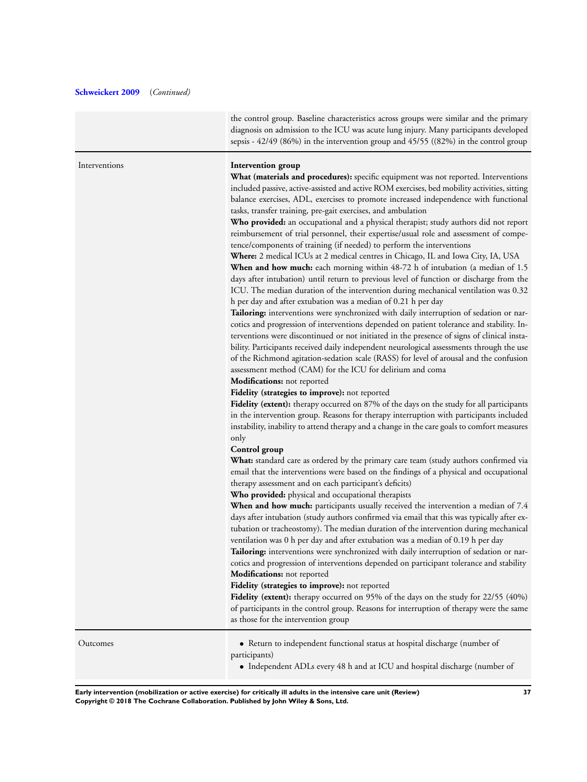# **[Schweickert 2009](#page-26-0)** (*Continued)*

|               | the control group. Baseline characteristics across groups were similar and the primary<br>diagnosis on admission to the ICU was acute lung injury. Many participants developed<br>sepsis - 42/49 (86%) in the intervention group and 45/55 ((82%) in the control group                                                                                                                                                                                                                                                                                                                                                                                                                                                                                                                                                                                                                                                                                                                                                                                                                                                                                                                                                                                                                                                                                                                                                                                                                                                                                                                                                                                                                                                                                                                                                                                                                                                                                                                                                                                                                                                                                                                                                                                                                                                                                                          |
|---------------|---------------------------------------------------------------------------------------------------------------------------------------------------------------------------------------------------------------------------------------------------------------------------------------------------------------------------------------------------------------------------------------------------------------------------------------------------------------------------------------------------------------------------------------------------------------------------------------------------------------------------------------------------------------------------------------------------------------------------------------------------------------------------------------------------------------------------------------------------------------------------------------------------------------------------------------------------------------------------------------------------------------------------------------------------------------------------------------------------------------------------------------------------------------------------------------------------------------------------------------------------------------------------------------------------------------------------------------------------------------------------------------------------------------------------------------------------------------------------------------------------------------------------------------------------------------------------------------------------------------------------------------------------------------------------------------------------------------------------------------------------------------------------------------------------------------------------------------------------------------------------------------------------------------------------------------------------------------------------------------------------------------------------------------------------------------------------------------------------------------------------------------------------------------------------------------------------------------------------------------------------------------------------------------------------------------------------------------------------------------------------------|
| Interventions | Intervention group<br>What (materials and procedures): specific equipment was not reported. Interventions<br>included passive, active-assisted and active ROM exercises, bed mobility activities, sitting<br>balance exercises, ADL, exercises to promote increased independence with functional<br>tasks, transfer training, pre-gait exercises, and ambulation<br>Who provided: an occupational and a physical therapist; study authors did not report<br>reimbursement of trial personnel, their expertise/usual role and assessment of compe-<br>tence/components of training (if needed) to perform the interventions<br>Where: 2 medical ICUs at 2 medical centres in Chicago, IL and Iowa City, IA, USA<br>When and how much: each morning within 48-72 h of intubation (a median of 1.5<br>days after intubation) until return to previous level of function or discharge from the<br>ICU. The median duration of the intervention during mechanical ventilation was 0.32<br>h per day and after extubation was a median of 0.21 h per day<br>Tailoring: interventions were synchronized with daily interruption of sedation or nar-<br>cotics and progression of interventions depended on patient tolerance and stability. In-<br>terventions were discontinued or not initiated in the presence of signs of clinical insta-<br>bility. Participants received daily independent neurological assessments through the use<br>of the Richmond agitation-sedation scale (RASS) for level of arousal and the confusion<br>assessment method (CAM) for the ICU for delirium and coma<br>Modifications: not reported<br>Fidelity (strategies to improve): not reported<br>Fidelity (extent): therapy occurred on 87% of the days on the study for all participants<br>in the intervention group. Reasons for therapy interruption with participants included<br>instability, inability to attend therapy and a change in the care goals to comfort measures<br>only<br>Control group<br>What: standard care as ordered by the primary care team (study authors confirmed via<br>email that the interventions were based on the findings of a physical and occupational<br>therapy assessment and on each participant's deficits)<br>Who provided: physical and occupational therapists<br>When and how much: participants usually received the intervention a median of 7.4 |
|               | days after intubation (study authors confirmed via email that this was typically after ex-<br>tubation or tracheostomy). The median duration of the intervention during mechanical<br>ventilation was 0 h per day and after extubation was a median of 0.19 h per day<br><b>Tailoring:</b> interventions were synchronized with daily interruption of sedation or nar-<br>cotics and progression of interventions depended on participant tolerance and stability<br>Modifications: not reported<br>Fidelity (strategies to improve): not reported                                                                                                                                                                                                                                                                                                                                                                                                                                                                                                                                                                                                                                                                                                                                                                                                                                                                                                                                                                                                                                                                                                                                                                                                                                                                                                                                                                                                                                                                                                                                                                                                                                                                                                                                                                                                                              |
|               | Fidelity (extent): therapy occurred on 95% of the days on the study for 22/55 (40%)<br>of participants in the control group. Reasons for interruption of therapy were the same<br>as those for the intervention group                                                                                                                                                                                                                                                                                                                                                                                                                                                                                                                                                                                                                                                                                                                                                                                                                                                                                                                                                                                                                                                                                                                                                                                                                                                                                                                                                                                                                                                                                                                                                                                                                                                                                                                                                                                                                                                                                                                                                                                                                                                                                                                                                           |
| Outcomes      | • Return to independent functional status at hospital discharge (number of<br>participants)<br>• Independent ADLs every 48 h and at ICU and hospital discharge (number of                                                                                                                                                                                                                                                                                                                                                                                                                                                                                                                                                                                                                                                                                                                                                                                                                                                                                                                                                                                                                                                                                                                                                                                                                                                                                                                                                                                                                                                                                                                                                                                                                                                                                                                                                                                                                                                                                                                                                                                                                                                                                                                                                                                                       |

**Early intervention (mobilization or active exercise) for critically ill adults in the intensive care unit (Review) 37 Copyright © 2018 The Cochrane Collaboration. Published by John Wiley & Sons, Ltd.**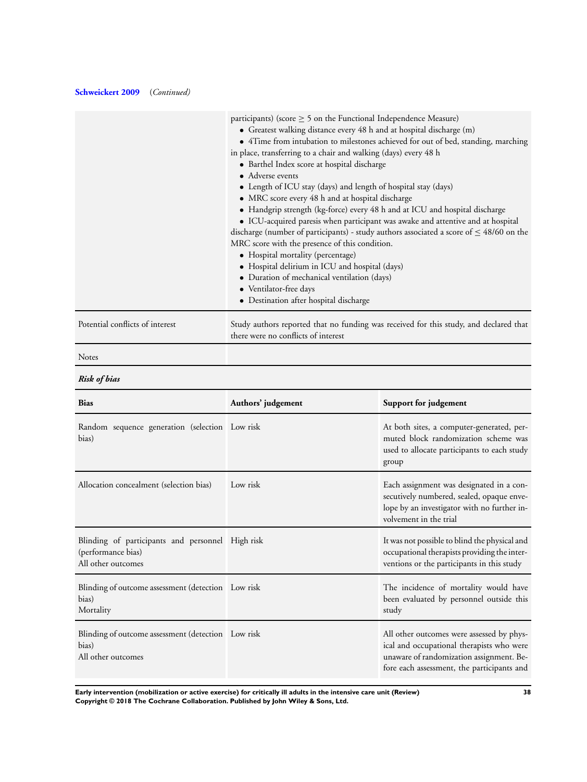# **[Schweickert 2009](#page-26-0)** (*Continued)*

|                                 | participants) (score $\geq$ 5 on the Functional Independence Measure)<br>• Greatest walking distance every 48 h and at hospital discharge (m)<br>• 4Time from intubation to milestones achieved for out of bed, standing, marching<br>in place, transferring to a chair and walking (days) every 48 h<br>• Barthel Index score at hospital discharge<br>• Adverse events<br>• Length of ICU stay (days) and length of hospital stay (days)<br>• MRC score every 48 h and at hospital discharge<br>• Handgrip strength (kg-force) every 48 h and at ICU and hospital discharge<br>• ICU-acquired paresis when participant was awake and attentive and at hospital<br>discharge (number of participants) - study authors associated a score of $\leq 48/60$ on the<br>MRC score with the presence of this condition.<br>• Hospital mortality (percentage)<br>• Hospital delirium in ICU and hospital (days)<br>• Duration of mechanical ventilation (days)<br>• Ventilator-free days<br>• Destination after hospital discharge |
|---------------------------------|------------------------------------------------------------------------------------------------------------------------------------------------------------------------------------------------------------------------------------------------------------------------------------------------------------------------------------------------------------------------------------------------------------------------------------------------------------------------------------------------------------------------------------------------------------------------------------------------------------------------------------------------------------------------------------------------------------------------------------------------------------------------------------------------------------------------------------------------------------------------------------------------------------------------------------------------------------------------------------------------------------------------------|
| Potential conflicts of interest | Study authors reported that no funding was received for this study, and declared that<br>there were no conflicts of interest                                                                                                                                                                                                                                                                                                                                                                                                                                                                                                                                                                                                                                                                                                                                                                                                                                                                                                 |

Notes

| <b>Risk of bias</b> |  |
|---------------------|--|
|                     |  |

| <b>Bias</b>                                                                                  | Authors' judgement | Support for judgement                                                                                                                                                            |
|----------------------------------------------------------------------------------------------|--------------------|----------------------------------------------------------------------------------------------------------------------------------------------------------------------------------|
| Random sequence generation (selection Low risk<br>bias)                                      |                    | At both sites, a computer-generated, per-<br>muted block randomization scheme was<br>used to allocate participants to each study<br>group                                        |
| Allocation concealment (selection bias)                                                      | Low risk           | Each assignment was designated in a con-<br>secutively numbered, sealed, opaque enve-<br>lope by an investigator with no further in-<br>volvement in the trial                   |
| Blinding of participants and personnel High risk<br>(performance bias)<br>All other outcomes |                    | It was not possible to blind the physical and<br>occupational therapists providing the inter-<br>ventions or the participants in this study                                      |
| Blinding of outcome assessment (detection Low risk<br>bias)<br>Mortality                     |                    | The incidence of mortality would have<br>been evaluated by personnel outside this<br>study                                                                                       |
| Blinding of outcome assessment (detection Low risk<br>bias)<br>All other outcomes            |                    | All other outcomes were assessed by phys-<br>ical and occupational therapists who were<br>unaware of randomization assignment. Be-<br>fore each assessment, the participants and |

**Early intervention (mobilization or active exercise) for critically ill adults in the intensive care unit (Review) 38 Copyright © 2018 The Cochrane Collaboration. Published by John Wiley & Sons, Ltd.**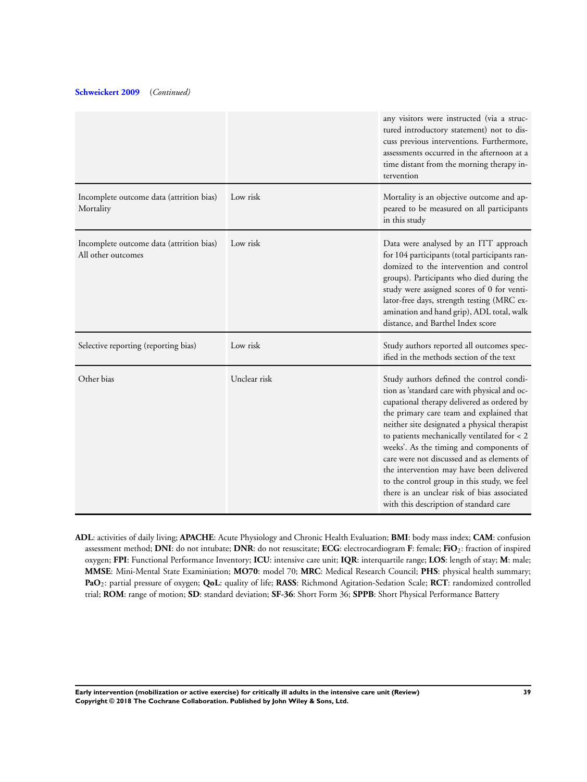### **[Schweickert 2009](#page-26-0)** (*Continued)*

|                                                                |              | any visitors were instructed (via a struc-<br>tured introductory statement) not to dis-<br>cuss previous interventions. Furthermore,<br>assessments occurred in the afternoon at a<br>time distant from the morning therapy in-<br>tervention                                                                                                                                                                                                                                                                                                                    |
|----------------------------------------------------------------|--------------|------------------------------------------------------------------------------------------------------------------------------------------------------------------------------------------------------------------------------------------------------------------------------------------------------------------------------------------------------------------------------------------------------------------------------------------------------------------------------------------------------------------------------------------------------------------|
| Incomplete outcome data (attrition bias)<br>Mortality          | Low risk     | Mortality is an objective outcome and ap-<br>peared to be measured on all participants<br>in this study                                                                                                                                                                                                                                                                                                                                                                                                                                                          |
| Incomplete outcome data (attrition bias)<br>All other outcomes | Low risk     | Data were analysed by an ITT approach<br>for 104 participants (total participants ran-<br>domized to the intervention and control<br>groups). Participants who died during the<br>study were assigned scores of 0 for venti-<br>lator-free days, strength testing (MRC ex-<br>amination and hand grip), ADL total, walk<br>distance, and Barthel Index score                                                                                                                                                                                                     |
| Selective reporting (reporting bias)                           | Low risk     | Study authors reported all outcomes spec-<br>ified in the methods section of the text                                                                                                                                                                                                                                                                                                                                                                                                                                                                            |
| Other bias                                                     | Unclear risk | Study authors defined the control condi-<br>tion as 'standard care with physical and oc-<br>cupational therapy delivered as ordered by<br>the primary care team and explained that<br>neither site designated a physical therapist<br>to patients mechanically ventilated for $<$ 2<br>weeks'. As the timing and components of<br>care were not discussed and as elements of<br>the intervention may have been delivered<br>to the control group in this study, we feel<br>there is an unclear risk of bias associated<br>with this description of standard care |

**ADL**: activities of daily living; **APACHE**: Acute Physiology and Chronic Health Evaluation; **BMI**: body mass index; **CAM**: confusion assessment method; **DNI**: do not intubate; **DNR**: do not resuscitate; **ECG**: electrocardiogram **F**: female; **FiO**2: fraction of inspired oxygen; **FPI**: Functional Performance Inventory; **ICU**: intensive care unit; **IQR**: interquartile range; **LOS**: length of stay; **M**: male; **MMSE**: Mini-Mental State Examiniation; **MO70**: model 70; **MRC**: Medical Research Council; **PHS**: physical health summary; **PaO**2: partial pressure of oxygen; **QoL**: quality of life; **RASS**: Richmond Agitation-Sedation Scale; **RCT**: randomized controlled trial; **ROM**: range of motion; **SD**: standard deviation; **SF-36**: Short Form 36; **SPPB**: Short Physical Performance Battery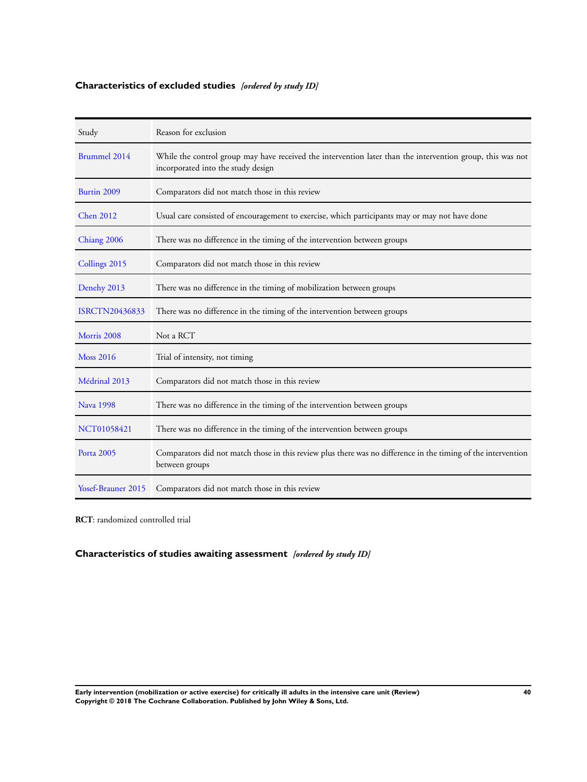# <span id="page-42-0"></span>**Characteristics of excluded studies** *[ordered by study ID]*

| Study              | Reason for exclusion                                                                                                                             |
|--------------------|--------------------------------------------------------------------------------------------------------------------------------------------------|
| Brummel 2014       | While the control group may have received the intervention later than the intervention group, this was not<br>incorporated into the study design |
| Burtin 2009        | Comparators did not match those in this review                                                                                                   |
| <b>Chen 2012</b>   | Usual care consisted of encouragement to exercise, which participants may or may not have done                                                   |
| Chiang 2006        | There was no difference in the timing of the intervention between groups                                                                         |
| Collings 2015      | Comparators did not match those in this review                                                                                                   |
| Denehy 2013        | There was no difference in the timing of mobilization between groups                                                                             |
| ISRCTN20436833     | There was no difference in the timing of the intervention between groups                                                                         |
| Morris 2008        | Not a RCT                                                                                                                                        |
| <b>Moss 2016</b>   | Trial of intensity, not timing                                                                                                                   |
| Médrinal 2013      | Comparators did not match those in this review                                                                                                   |
| <b>Nava 1998</b>   | There was no difference in the timing of the intervention between groups                                                                         |
| NCT01058421        | There was no difference in the timing of the intervention between groups                                                                         |
| Porta 2005         | Comparators did not match those in this review plus there was no difference in the timing of the intervention<br>between groups                  |
| Yosef-Brauner 2015 | Comparators did not match those in this review                                                                                                   |

**RCT**: randomized controlled trial

# **Characteristics of studies awaiting assessment** *[ordered by study ID]*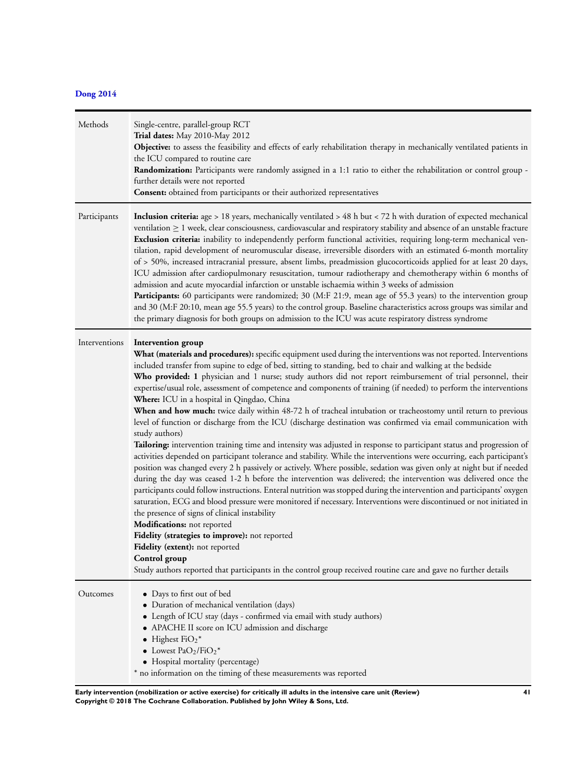# **[Dong 2014](#page-26-0)**

| Methods       | Single-centre, parallel-group RCT<br>Trial dates: May 2010-May 2012<br>Objective: to assess the feasibility and effects of early rehabilitation therapy in mechanically ventilated patients in<br>the ICU compared to routine care<br>Randomization: Participants were randomly assigned in a 1:1 ratio to either the rehabilitation or control group -<br>further details were not reported<br>Consent: obtained from participants or their authorized representatives                                                                                                                                                                                                                                                                                                                                                                                                                                                                                                                                                                                                                                                                                                                                                                                                                                                                                                                                                                                                                                                                                                                                                                                                                                                                                                                                                                             |
|---------------|-----------------------------------------------------------------------------------------------------------------------------------------------------------------------------------------------------------------------------------------------------------------------------------------------------------------------------------------------------------------------------------------------------------------------------------------------------------------------------------------------------------------------------------------------------------------------------------------------------------------------------------------------------------------------------------------------------------------------------------------------------------------------------------------------------------------------------------------------------------------------------------------------------------------------------------------------------------------------------------------------------------------------------------------------------------------------------------------------------------------------------------------------------------------------------------------------------------------------------------------------------------------------------------------------------------------------------------------------------------------------------------------------------------------------------------------------------------------------------------------------------------------------------------------------------------------------------------------------------------------------------------------------------------------------------------------------------------------------------------------------------------------------------------------------------------------------------------------------------|
| Participants  | Inclusion criteria: age > 18 years, mechanically ventilated > 48 h but < 72 h with duration of expected mechanical<br>ventilation $\geq 1$ week, clear consciousness, cardiovascular and respiratory stability and absence of an unstable fracture<br>Exclusion criteria: inability to independently perform functional activities, requiring long-term mechanical ven-<br>tilation, rapid development of neuromuscular disease, irreversible disorders with an estimated 6-month mortality<br>of > 50%, increased intracranial pressure, absent limbs, preadmission glucocorticoids applied for at least 20 days,<br>ICU admission after cardiopulmonary resuscitation, tumour radiotherapy and chemotherapy within 6 months of<br>admission and acute myocardial infarction or unstable ischaemia within 3 weeks of admission<br>Participants: 60 participants were randomized; 30 (M:F 21:9, mean age of 55.3 years) to the intervention group<br>and 30 (M:F 20:10, mean age 55.5 years) to the control group. Baseline characteristics across groups was similar and<br>the primary diagnosis for both groups on admission to the ICU was acute respiratory distress syndrome                                                                                                                                                                                                                                                                                                                                                                                                                                                                                                                                                                                                                                                                  |
| Interventions | Intervention group<br>What (materials and procedures): specific equipment used during the interventions was not reported. Interventions<br>included transfer from supine to edge of bed, sitting to standing, bed to chair and walking at the bedside<br>Who provided: 1 physician and 1 nurse; study authors did not report reimbursement of trial personnel, their<br>expertise/usual role, assessment of competence and components of training (if needed) to perform the interventions<br>Where: ICU in a hospital in Qingdao, China<br>When and how much: twice daily within 48-72 h of tracheal intubation or tracheostomy until return to previous<br>level of function or discharge from the ICU (discharge destination was confirmed via email communication with<br>study authors)<br>Tailoring: intervention training time and intensity was adjusted in response to participant status and progression of<br>activities depended on participant tolerance and stability. While the interventions were occurring, each participant's<br>position was changed every 2 h passively or actively. Where possible, sedation was given only at night but if needed<br>during the day was ceased 1-2 h before the intervention was delivered; the intervention was delivered once the<br>participants could follow instructions. Enteral nutrition was stopped during the intervention and participants' oxygen<br>saturation, ECG and blood pressure were monitored if necessary. Interventions were discontinued or not initiated in<br>the presence of signs of clinical instability<br>Modifications: not reported<br>Fidelity (strategies to improve): not reported<br>Fidelity (extent): not reported<br>Control group<br>Study authors reported that participants in the control group received routine care and gave no further details |
| Outcomes      | • Days to first out of bed<br>· Duration of mechanical ventilation (days)<br>• Length of ICU stay (days - confirmed via email with study authors)<br>• APACHE II score on ICU admission and discharge<br>$\bullet$ Highest FiO <sub>2</sub> <sup>*</sup><br>• Lowest $PaO2/FiO2*$<br>• Hospital mortality (percentage)<br>* no information on the timing of these measurements was reported                                                                                                                                                                                                                                                                                                                                                                                                                                                                                                                                                                                                                                                                                                                                                                                                                                                                                                                                                                                                                                                                                                                                                                                                                                                                                                                                                                                                                                                         |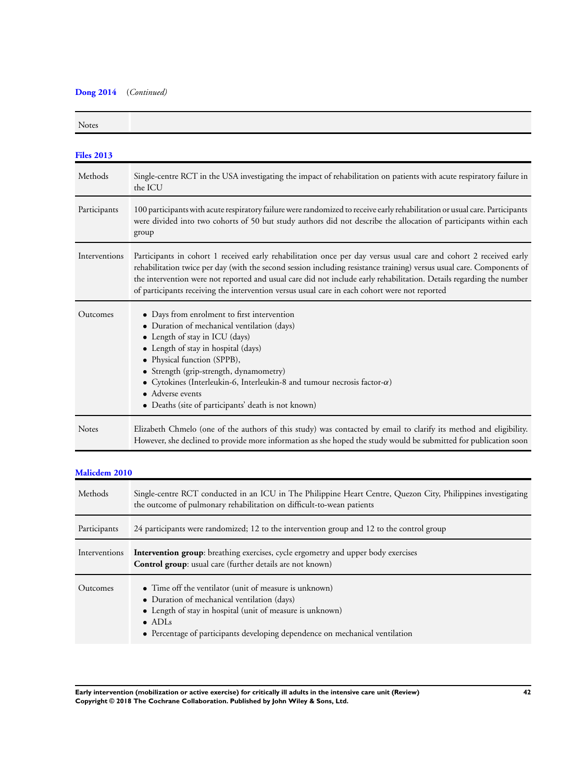# **[Dong 2014](#page-26-0)** (*Continued)*

| <b>Notes</b>      |                                                                                                                                                                                                                                                                                                                                                                                                                                                                     |
|-------------------|---------------------------------------------------------------------------------------------------------------------------------------------------------------------------------------------------------------------------------------------------------------------------------------------------------------------------------------------------------------------------------------------------------------------------------------------------------------------|
| <b>Files 2013</b> |                                                                                                                                                                                                                                                                                                                                                                                                                                                                     |
| Methods           | Single-centre RCT in the USA investigating the impact of rehabilitation on patients with acute respiratory failure in<br>the ICU                                                                                                                                                                                                                                                                                                                                    |
| Participants      | 100 participants with acute respiratory failure were randomized to receive early rehabilitation or usual care. Participants<br>were divided into two cohorts of 50 but study authors did not describe the allocation of participants within each<br>group                                                                                                                                                                                                           |
| Interventions     | Participants in cohort 1 received early rehabilitation once per day versus usual care and cohort 2 received early<br>rehabilitation twice per day (with the second session including resistance training) versus usual care. Components of<br>the intervention were not reported and usual care did not include early rehabilitation. Details regarding the number<br>of participants receiving the intervention versus usual care in each cohort were not reported |
| Outcomes          | • Days from enrolment to first intervention<br>• Duration of mechanical ventilation (days)<br>• Length of stay in ICU (days)<br>• Length of stay in hospital (days)<br>• Physical function (SPPB),<br>• Strength (grip-strength, dynamometry)<br>• Cytokines (Interleukin-6, Interleukin-8 and tumour necrosis factor- $\alpha$ )<br>• Adverse events<br>• Deaths (site of participants' death is not known)                                                        |
| <b>Notes</b>      | Elizabeth Chmelo (one of the authors of this study) was contacted by email to clarify its method and eligibility.<br>However, she declined to provide more information as she hoped the study would be submitted for publication soon                                                                                                                                                                                                                               |

| <b>Malicdem 2010</b> |                                                                                                                                                                                                                                                                                  |  |  |  |  |
|----------------------|----------------------------------------------------------------------------------------------------------------------------------------------------------------------------------------------------------------------------------------------------------------------------------|--|--|--|--|
| Methods              | Single-centre RCT conducted in an ICU in The Philippine Heart Centre, Quezon City, Philippines investigating<br>the outcome of pulmonary rehabilitation on difficult-to-wean patients                                                                                            |  |  |  |  |
| Participants         | 24 participants were randomized; 12 to the intervention group and 12 to the control group                                                                                                                                                                                        |  |  |  |  |
| Interventions        | Intervention group: breathing exercises, cycle ergometry and upper body exercises<br><b>Control group:</b> usual care (further details are not known)                                                                                                                            |  |  |  |  |
| Outcomes             | • Time off the ventilator (unit of measure is unknown)<br>• Duration of mechanical ventilation (days)<br>• Length of stay in hospital (unit of measure is unknown)<br>$\bullet$ ADI <sub>s</sub><br>• Percentage of participants developing dependence on mechanical ventilation |  |  |  |  |

**Early intervention (mobilization or active exercise) for critically ill adults in the intensive care unit (Review) 42 Copyright © 2018 The Cochrane Collaboration. Published by John Wiley & Sons, Ltd.**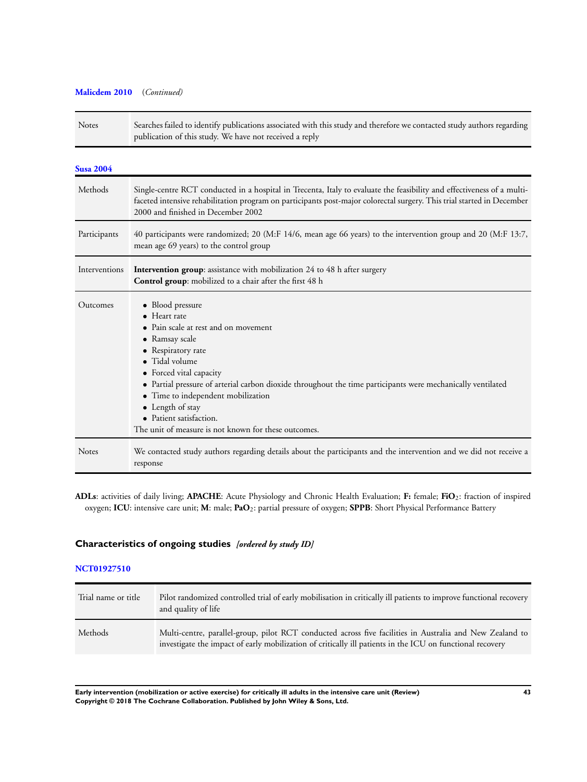# <span id="page-45-0"></span>**[Malicdem 2010](#page-26-0)** (*Continued)*

| Notes            | Searches failed to identify publications associated with this study and therefore we contacted study authors regarding<br>publication of this study. We have not received a reply                                                                                                                                                                                                                                                 |  |  |  |  |
|------------------|-----------------------------------------------------------------------------------------------------------------------------------------------------------------------------------------------------------------------------------------------------------------------------------------------------------------------------------------------------------------------------------------------------------------------------------|--|--|--|--|
| <b>Susa 2004</b> |                                                                                                                                                                                                                                                                                                                                                                                                                                   |  |  |  |  |
| Methods          | Single-centre RCT conducted in a hospital in Trecenta, Italy to evaluate the feasibility and effectiveness of a multi-<br>faceted intensive rehabilitation program on participants post-major colorectal surgery. This trial started in December<br>2000 and finished in December 2002                                                                                                                                            |  |  |  |  |
| Participants     | 40 participants were randomized; 20 (M:F 14/6, mean age 66 years) to the intervention group and 20 (M:F 13:7,<br>mean age 69 years) to the control group                                                                                                                                                                                                                                                                          |  |  |  |  |
| Interventions    | <b>Intervention group:</b> assistance with mobilization 24 to 48 h after surgery<br>Control group: mobilized to a chair after the first 48 h                                                                                                                                                                                                                                                                                      |  |  |  |  |
| Outcomes         | • Blood pressure<br>$\bullet$ Heart rate<br>• Pain scale at rest and on movement<br>· Ramsay scale<br>• Respiratory rate<br>· Tidal volume<br>• Forced vital capacity<br>• Partial pressure of arterial carbon dioxide throughout the time participants were mechanically ventilated<br>• Time to independent mobilization<br>• Length of stay<br>• Patient satisfaction.<br>The unit of measure is not known for these outcomes. |  |  |  |  |
| <b>Notes</b>     | We contacted study authors regarding details about the participants and the intervention and we did not receive a<br>response                                                                                                                                                                                                                                                                                                     |  |  |  |  |

**ADLs**: activities of daily living; **APACHE**: Acute Physiology and Chronic Health Evaluation; **F:** female; **FiO**2: fraction of inspired oxygen; **ICU**: intensive care unit; **M**: male; **PaO**2: partial pressure of oxygen; **SPPB**: Short Physical Performance Battery

# **Characteristics of ongoing studies** *[ordered by study ID]*

# **[NCT01927510](#page-26-0)**

| Trial name or title | Pilot randomized controlled trial of early mobilisation in critically ill patients to improve functional recovery<br>and quality of life                                                                              |
|---------------------|-----------------------------------------------------------------------------------------------------------------------------------------------------------------------------------------------------------------------|
| Methods             | Multi-centre, parallel-group, pilot RCT conducted across five facilities in Australia and New Zealand to<br>investigate the impact of early mobilization of critically ill patients in the ICU on functional recovery |

**Early intervention (mobilization or active exercise) for critically ill adults in the intensive care unit (Review) 43 Copyright © 2018 The Cochrane Collaboration. Published by John Wiley & Sons, Ltd.**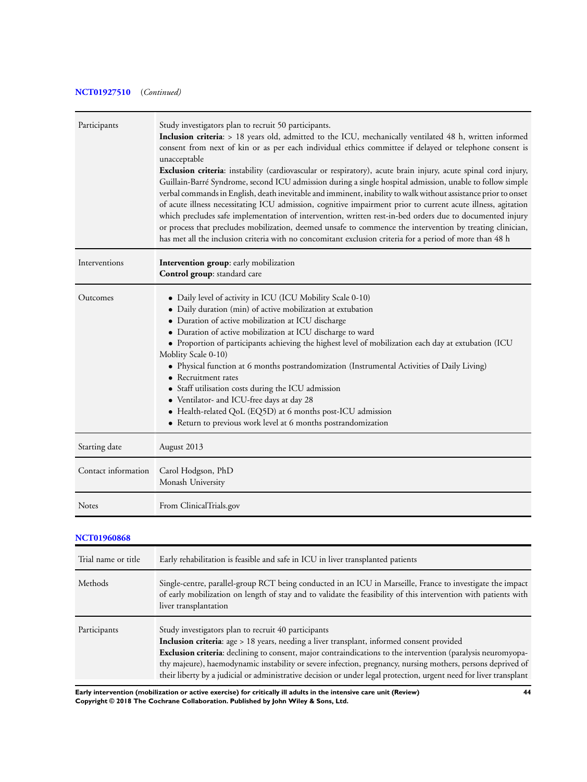# **[NCT01927510](#page-26-0)** (*Continued)*

| Participants        | Study investigators plan to recruit 50 participants.<br>Inclusion criteria: > 18 years old, admitted to the ICU, mechanically ventilated 48 h, written informed<br>consent from next of kin or as per each individual ethics committee if delayed or telephone consent is<br>unacceptable<br>Exclusion criteria: instability (cardiovascular or respiratory), acute brain injury, acute spinal cord injury,<br>Guillain-Barré Syndrome, second ICU admission during a single hospital admission, unable to follow simple<br>verbal commands in English, death inevitable and imminent, inability to walk without assistance prior to onset<br>of acute illness necessitating ICU admission, cognitive impairment prior to current acute illness, agitation<br>which precludes safe implementation of intervention, written rest-in-bed orders due to documented injury<br>or process that precludes mobilization, deemed unsafe to commence the intervention by treating clinician,<br>has met all the inclusion criteria with no concomitant exclusion criteria for a period of more than 48 h |  |  |  |  |
|---------------------|-------------------------------------------------------------------------------------------------------------------------------------------------------------------------------------------------------------------------------------------------------------------------------------------------------------------------------------------------------------------------------------------------------------------------------------------------------------------------------------------------------------------------------------------------------------------------------------------------------------------------------------------------------------------------------------------------------------------------------------------------------------------------------------------------------------------------------------------------------------------------------------------------------------------------------------------------------------------------------------------------------------------------------------------------------------------------------------------------|--|--|--|--|
| Interventions       | Intervention group: early mobilization<br>Control group: standard care                                                                                                                                                                                                                                                                                                                                                                                                                                                                                                                                                                                                                                                                                                                                                                                                                                                                                                                                                                                                                          |  |  |  |  |
| Outcomes            | • Daily level of activity in ICU (ICU Mobility Scale 0-10)<br>· Daily duration (min) of active mobilization at extubation<br>· Duration of active mobilization at ICU discharge<br>• Duration of active mobilization at ICU discharge to ward<br>• Proportion of participants achieving the highest level of mobilization each day at extubation (ICU<br>Moblity Scale 0-10)<br>• Physical function at 6 months postrandomization (Instrumental Activities of Daily Living)<br>• Recruitment rates<br>• Staff utilisation costs during the ICU admission<br>• Ventilator- and ICU-free days at day 28<br>• Health-related QoL (EQ5D) at 6 months post-ICU admission<br>• Return to previous work level at 6 months postrandomization                                                                                                                                                                                                                                                                                                                                                            |  |  |  |  |
| Starting date       | August 2013                                                                                                                                                                                                                                                                                                                                                                                                                                                                                                                                                                                                                                                                                                                                                                                                                                                                                                                                                                                                                                                                                     |  |  |  |  |
| Contact information | Carol Hodgson, PhD<br>Monash University                                                                                                                                                                                                                                                                                                                                                                                                                                                                                                                                                                                                                                                                                                                                                                                                                                                                                                                                                                                                                                                         |  |  |  |  |
| Notes               | From ClinicalTrials.gov                                                                                                                                                                                                                                                                                                                                                                                                                                                                                                                                                                                                                                                                                                                                                                                                                                                                                                                                                                                                                                                                         |  |  |  |  |

# **[NCT01960868](#page-26-0)**

| Trial name or title | Early rehabilitation is feasible and safe in ICU in liver transplanted patients                                                                                                                                                                                                                                                                                                                                                                                                                       |  |  |  |  |
|---------------------|-------------------------------------------------------------------------------------------------------------------------------------------------------------------------------------------------------------------------------------------------------------------------------------------------------------------------------------------------------------------------------------------------------------------------------------------------------------------------------------------------------|--|--|--|--|
| Methods             | Single-centre, parallel-group RCT being conducted in an ICU in Marseille, France to investigate the impact<br>of early mobilization on length of stay and to validate the feasibility of this intervention with patients with<br>liver transplantation                                                                                                                                                                                                                                                |  |  |  |  |
| Participants        | Study investigators plan to recruit 40 participants<br>Inclusion criteria: age > 18 years, needing a liver transplant, informed consent provided<br>Exclusion criteria: declining to consent, major contraindications to the intervention (paralysis neuromyopa-<br>thy majeure), haemodynamic instability or severe infection, pregnancy, nursing mothers, persons deprived of<br>their liberty by a judicial or administrative decision or under legal protection, urgent need for liver transplant |  |  |  |  |

**Early intervention (mobilization or active exercise) for critically ill adults in the intensive care unit (Review) 44 Copyright © 2018 The Cochrane Collaboration. Published by John Wiley & Sons, Ltd.**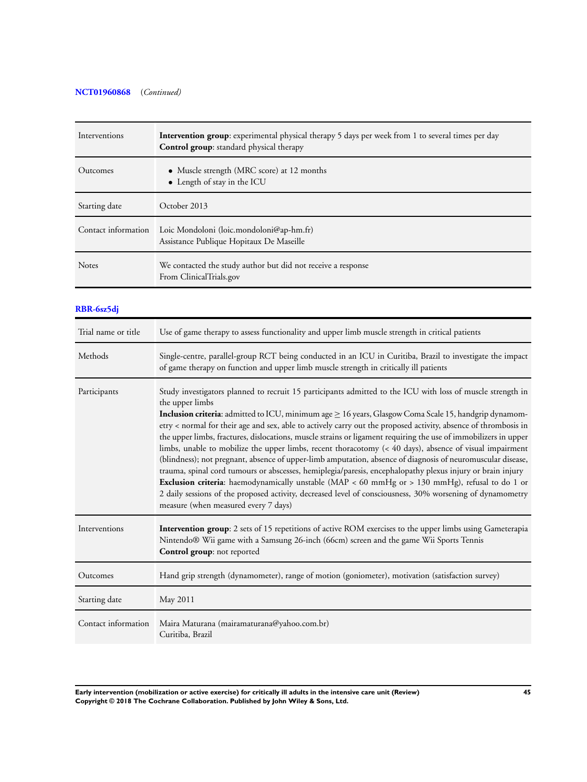# **[NCT01960868](#page-26-0)** (*Continued)*

| Interventions | <b>Intervention group:</b> experimental physical therapy 5 days per week from 1 to several times per day<br><b>Control group:</b> standard physical therapy |  |  |  |
|---------------|-------------------------------------------------------------------------------------------------------------------------------------------------------------|--|--|--|
| Outcomes      | • Muscle strength (MRC score) at 12 months<br>• Length of stay in the ICU                                                                                   |  |  |  |
| Starting date | October 2013                                                                                                                                                |  |  |  |
|               | Contact information Loic Mondoloni (loic.mondoloni@ap-hm.fr)<br>Assistance Publique Hopitaux De Maseille                                                    |  |  |  |
| <b>Notes</b>  | We contacted the study author but did not receive a response<br>From ClinicalTrials.gov                                                                     |  |  |  |

# **[RBR-6sz5dj](#page-26-0)**

| Trial name or title | Use of game therapy to assess functionality and upper limb muscle strength in critical patients                                                                                                                                                                                                                                                                                                                                                                                                                                                                                                                                                                                                                                                                                                                                                                                                                                                                                                                                                                                                    |  |  |  |  |  |
|---------------------|----------------------------------------------------------------------------------------------------------------------------------------------------------------------------------------------------------------------------------------------------------------------------------------------------------------------------------------------------------------------------------------------------------------------------------------------------------------------------------------------------------------------------------------------------------------------------------------------------------------------------------------------------------------------------------------------------------------------------------------------------------------------------------------------------------------------------------------------------------------------------------------------------------------------------------------------------------------------------------------------------------------------------------------------------------------------------------------------------|--|--|--|--|--|
| Methods             | Single-centre, parallel-group RCT being conducted in an ICU in Curitiba, Brazil to investigate the impact<br>of game therapy on function and upper limb muscle strength in critically ill patients                                                                                                                                                                                                                                                                                                                                                                                                                                                                                                                                                                                                                                                                                                                                                                                                                                                                                                 |  |  |  |  |  |
| Participants        | Study investigators planned to recruit 15 participants admitted to the ICU with loss of muscle strength in<br>the upper limbs<br><b>Inclusion criteria:</b> admitted to ICU, minimum age $\geq$ 16 years, Glasgow Coma Scale 15, handgrip dynamom-<br>etry < normal for their age and sex, able to actively carry out the proposed activity, absence of thrombosis in<br>the upper limbs, fractures, dislocations, muscle strains or ligament requiring the use of immobilizers in upper<br>limbs, unable to mobilize the upper limbs, recent thoracotomy ( $< 40$ days), absence of visual impairment<br>(blindness); not pregnant, absence of upper-limb amputation, absence of diagnosis of neuromuscular disease,<br>trauma, spinal cord tumours or abscesses, hemiplegia/paresis, encephalopathy plexus injury or brain injury<br><b>Exclusion criteria:</b> haemodynamically unstable (MAP < 60 mmHg or > 130 mmHg), refusal to do 1 or<br>2 daily sessions of the proposed activity, decreased level of consciousness, 30% worsening of dynamometry<br>measure (when measured every 7 days) |  |  |  |  |  |
| Interventions       | <b>Intervention group:</b> 2 sets of 15 repetitions of active ROM exercises to the upper limbs using Gameterapia<br>Nintendo® Wii game with a Samsung 26-inch (66cm) screen and the game Wii Sports Tennis<br>Control group: not reported                                                                                                                                                                                                                                                                                                                                                                                                                                                                                                                                                                                                                                                                                                                                                                                                                                                          |  |  |  |  |  |
| Outcomes            | Hand grip strength (dynamometer), range of motion (goniometer), motivation (satisfaction survey)                                                                                                                                                                                                                                                                                                                                                                                                                                                                                                                                                                                                                                                                                                                                                                                                                                                                                                                                                                                                   |  |  |  |  |  |
| Starting date       | May 2011                                                                                                                                                                                                                                                                                                                                                                                                                                                                                                                                                                                                                                                                                                                                                                                                                                                                                                                                                                                                                                                                                           |  |  |  |  |  |
| Contact information | Maira Maturana (mairamaturana@yahoo.com.br)<br>Curitiba, Brazil                                                                                                                                                                                                                                                                                                                                                                                                                                                                                                                                                                                                                                                                                                                                                                                                                                                                                                                                                                                                                                    |  |  |  |  |  |

**Early intervention (mobilization or active exercise) for critically ill adults in the intensive care unit (Review) 45 Copyright © 2018 The Cochrane Collaboration. Published by John Wiley & Sons, Ltd.**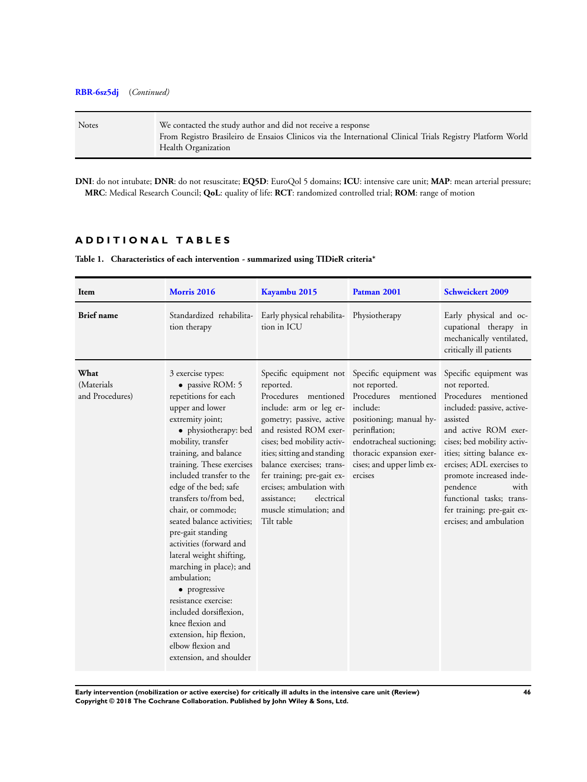<span id="page-48-0"></span>

| <b>Notes</b> | We contacted the study author and did not receive a response<br>From Registro Brasileiro de Ensaios Clinicos via the International Clinical Trials Registry Platform World<br>Health Organization |
|--------------|---------------------------------------------------------------------------------------------------------------------------------------------------------------------------------------------------|
|--------------|---------------------------------------------------------------------------------------------------------------------------------------------------------------------------------------------------|

**DNI**: do not intubate; **DNR**: do not resuscitate; **EQ5D**: EuroQol 5 domains; **ICU**: intensive care unit; **MAP**: mean arterial pressure; **MRC**: Medical Research Council; **QoL**: quality of life: **RCT**: randomized controlled trial; **ROM**: range of motion

# **A D D I T I O N A L T A B L E S**

**Table 1. Characteristics of each intervention - summarized using TIDieR criteria\***

| Item                                  | Morris 2016                                                                                                                                                                                                                                                                                                                                                                                                                                                                                                                                                                                                                         | Kayambu 2015                                                                                                                                                                                                                                                                                                                                                 | Patman 2001                                                                                                                                                                                                                                            | <b>Schweickert 2009</b>                                                                                                                                                                                                                                                                                                                |
|---------------------------------------|-------------------------------------------------------------------------------------------------------------------------------------------------------------------------------------------------------------------------------------------------------------------------------------------------------------------------------------------------------------------------------------------------------------------------------------------------------------------------------------------------------------------------------------------------------------------------------------------------------------------------------------|--------------------------------------------------------------------------------------------------------------------------------------------------------------------------------------------------------------------------------------------------------------------------------------------------------------------------------------------------------------|--------------------------------------------------------------------------------------------------------------------------------------------------------------------------------------------------------------------------------------------------------|----------------------------------------------------------------------------------------------------------------------------------------------------------------------------------------------------------------------------------------------------------------------------------------------------------------------------------------|
| <b>Brief</b> name                     | Standardized rehabilita-<br>tion therapy                                                                                                                                                                                                                                                                                                                                                                                                                                                                                                                                                                                            | Early physical rehabilita- Physiotherapy<br>tion in ICU                                                                                                                                                                                                                                                                                                      |                                                                                                                                                                                                                                                        | Early physical and oc-<br>cupational therapy in<br>mechanically ventilated,<br>critically ill patients                                                                                                                                                                                                                                 |
| What<br>(Materials<br>and Procedures) | 3 exercise types:<br>• passive ROM: 5<br>repetitions for each<br>upper and lower<br>extremity joint;<br>• physiotherapy: bed<br>mobility, transfer<br>training, and balance<br>training. These exercises<br>included transfer to the<br>edge of the bed; safe<br>transfers to/from bed,<br>chair, or commode;<br>seated balance activities;<br>pre-gait standing<br>activities (forward and<br>lateral weight shifting,<br>marching in place); and<br>ambulation;<br>• progressive<br>resistance exercise:<br>included dorsiflexion,<br>knee flexion and<br>extension, hip flexion,<br>elbow flexion and<br>extension, and shoulder | Specific equipment not<br>reported.<br>Procedures<br>include: arm or leg er-<br>gometry; passive, active<br>and resisted ROM exer-<br>cises; bed mobility activ-<br>ities; sitting and standing<br>balance exercises; trans-<br>fer training; pre-gait ex-<br>ercises; ambulation with<br>electrical<br>assistance:<br>muscle stimulation; and<br>Tilt table | Specific equipment was<br>not reported.<br>mentioned Procedures mentioned Procedures mentioned<br>include:<br>positioning; manual hy-<br>perinflation;<br>endotracheal suctioning;<br>thoracic expansion exer-<br>cises; and upper limb ex-<br>ercises | Specific equipment was<br>not reported.<br>included: passive, active-<br>assisted<br>and active ROM exer-<br>cises; bed mobility activ-<br>ities; sitting balance ex-<br>ercises; ADL exercises to<br>promote increased inde-<br>pendence<br>with<br>functional tasks; trans-<br>fer training; pre-gait ex-<br>ercises; and ambulation |

**Early intervention (mobilization or active exercise) for critically ill adults in the intensive care unit (Review) 46 Copyright © 2018 The Cochrane Collaboration. Published by John Wiley & Sons, Ltd.**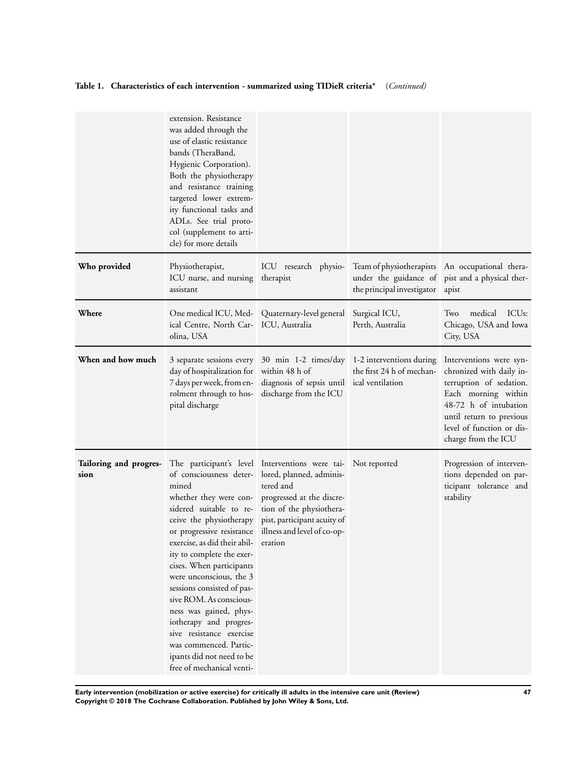# **Table 1. Characteristics of each intervention - summarized using TIDieR criteria\*** (*Continued)*

|                                | extension. Resistance<br>was added through the<br>use of elastic resistance<br>bands (TheraBand,<br>Hygienic Corporation).<br>Both the physiotherapy<br>and resistance training<br>targeted lower extrem-<br>ity functional tasks and<br>ADLs. See trial proto-<br>col (supplement to arti-                                                                                                                                                                                                    |                                                                                                                                                                                                                                         |                                                                               |                                                                                                                                                                                                                |
|--------------------------------|------------------------------------------------------------------------------------------------------------------------------------------------------------------------------------------------------------------------------------------------------------------------------------------------------------------------------------------------------------------------------------------------------------------------------------------------------------------------------------------------|-----------------------------------------------------------------------------------------------------------------------------------------------------------------------------------------------------------------------------------------|-------------------------------------------------------------------------------|----------------------------------------------------------------------------------------------------------------------------------------------------------------------------------------------------------------|
|                                | cle) for more details                                                                                                                                                                                                                                                                                                                                                                                                                                                                          |                                                                                                                                                                                                                                         |                                                                               |                                                                                                                                                                                                                |
| Who provided                   | Physiotherapist,<br>ICU nurse, and nursing<br>assistant                                                                                                                                                                                                                                                                                                                                                                                                                                        | ICU research physio-<br>therapist                                                                                                                                                                                                       | Team of physiotherapists An occupational thera-<br>the principal investigator | under the guidance of pist and a physical ther-<br>apist                                                                                                                                                       |
| Where                          | ical Centre, North Car- ICU, Australia<br>olina, USA                                                                                                                                                                                                                                                                                                                                                                                                                                           | One medical ICU, Med- Quaternary-level general                                                                                                                                                                                          | Surgical ICU,<br>Perth, Australia                                             | medical<br>ICU <sub>s</sub> :<br>Two<br>Chicago, USA and Iowa<br>City, USA                                                                                                                                     |
| When and how much              | day of hospitalization for within 48 h of<br>7 days per week, from en-<br>rolment through to hos-<br>pital discharge                                                                                                                                                                                                                                                                                                                                                                           | 3 separate sessions every 30 min 1-2 times/day<br>diagnosis of sepsis until<br>discharge from the ICU                                                                                                                                   | 1-2 interventions during<br>the first 24 h of mechan-<br>ical ventilation     | Interventions were syn-<br>chronized with daily in-<br>terruption of sedation.<br>Each morning within<br>48-72 h of intubation<br>until return to previous<br>level of function or dis-<br>charge from the ICU |
| Tailoring and progres-<br>sion | of consciousness deter-<br>mined<br>whether they were con-<br>sidered suitable to re-<br>ceive the physiotherapy<br>or progressive resistance<br>exercise, as did their abil-<br>ity to complete the exer-<br>cises. When participants<br>were unconscious, the 3<br>sessions consisted of pas-<br>sive ROM. As conscious-<br>ness was gained, phys-<br>iotherapy and progres-<br>sive resistance exercise<br>was commenced. Partic-<br>ipants did not need to be<br>free of mechanical venti- | The participant's level Interventions were tai- Not reported<br>lored, planned, adminis-<br>tered and<br>progressed at the discre-<br>tion of the physiothera-<br>pist, participant acuity of<br>illness and level of co-op-<br>eration |                                                                               | Progression of interven-<br>tions depended on par-<br>ticipant tolerance and<br>stability                                                                                                                      |

**Early intervention (mobilization or active exercise) for critically ill adults in the intensive care unit (Review) 47 Copyright © 2018 The Cochrane Collaboration. Published by John Wiley & Sons, Ltd.**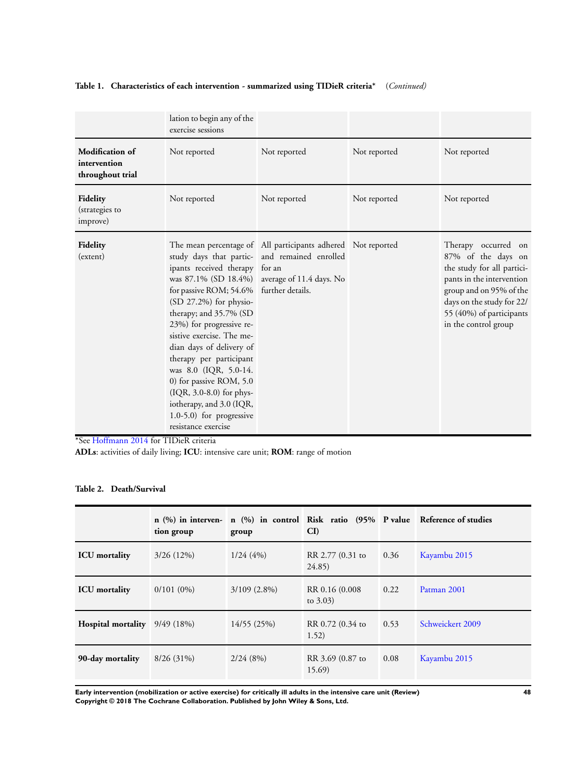|                                                     | lation to begin any of the<br>exercise sessions                                                                                                                                                                                                                                                                                                                                                                                                   |                                                                                                                                       |              |                                                                                                                                                                                                                  |
|-----------------------------------------------------|---------------------------------------------------------------------------------------------------------------------------------------------------------------------------------------------------------------------------------------------------------------------------------------------------------------------------------------------------------------------------------------------------------------------------------------------------|---------------------------------------------------------------------------------------------------------------------------------------|--------------|------------------------------------------------------------------------------------------------------------------------------------------------------------------------------------------------------------------|
| Modification of<br>intervention<br>throughout trial | Not reported                                                                                                                                                                                                                                                                                                                                                                                                                                      | Not reported                                                                                                                          | Not reported | Not reported                                                                                                                                                                                                     |
| Fidelity<br>(strategies to<br>improve)              | Not reported                                                                                                                                                                                                                                                                                                                                                                                                                                      | Not reported                                                                                                                          | Not reported | Not reported                                                                                                                                                                                                     |
| Fidelity<br>(extent)                                | study days that partic-<br>ipants received therapy for an<br>was 87.1% (SD 18.4%)<br>for passive ROM; 54.6%<br>$(SD 27.2%)$ for physio-<br>therapy; and 35.7% (SD<br>23%) for progressive re-<br>sistive exercise. The me-<br>dian days of delivery of<br>therapy per participant<br>was 8.0 (IQR, 5.0-14.)<br>0) for passive ROM, 5.0<br>(IQR, 3.0-8.0) for phys-<br>iotherapy, and 3.0 (IQR,<br>1.0-5.0) for progressive<br>resistance exercise | The mean percentage of All participants adhered Not reported<br>and remained enrolled<br>average of 11.4 days. No<br>further details. |              | Therapy occurred on<br>87% of the days on<br>the study for all partici-<br>pants in the intervention<br>group and on 95% of the<br>days on the study for 22/<br>55 (40%) of participants<br>in the control group |

# <span id="page-50-0"></span>**Table 1. Characteristics of each intervention - summarized using TIDieR criteria\*** (*Continued)*

\*See [Hoffmann 2014](#page-26-0) for TIDieR criteria

**ADLs**: activities of daily living; **ICU**: intensive care unit; **ROM**: range of motion

# **Table 2. Death/Survival**

|                           | tion group   | group             | CI)                            |      | n (%) in interven- n (%) in control Risk ratio (95% P value Reference of studies |
|---------------------------|--------------|-------------------|--------------------------------|------|----------------------------------------------------------------------------------|
| <b>ICU</b> mortality      | 3/26(12%)    | 1/24(4%)          | RR 2.77 (0.31 to<br>24.85      | 0.36 | Kayambu 2015                                                                     |
| <b>ICU</b> mortality      | $0/101(0\%)$ | $3/109$ $(2.8\%)$ | RR 0.16 (0.008)<br>to $3.03$ ) | 0.22 | Patman 2001                                                                      |
| <b>Hospital mortality</b> | 9/49(18%)    | 14/55(25%)        | RR 0.72 (0.34 to<br>1.52)      | 0.53 | Schweickert 2009                                                                 |
| 90-day mortality          | $8/26(31\%)$ | 2/24(8%)          | RR 3.69 (0.87 to<br>15.69)     | 0.08 | Kayambu 2015                                                                     |

**Early intervention (mobilization or active exercise) for critically ill adults in the intensive care unit (Review) 48 Copyright © 2018 The Cochrane Collaboration. Published by John Wiley & Sons, Ltd.**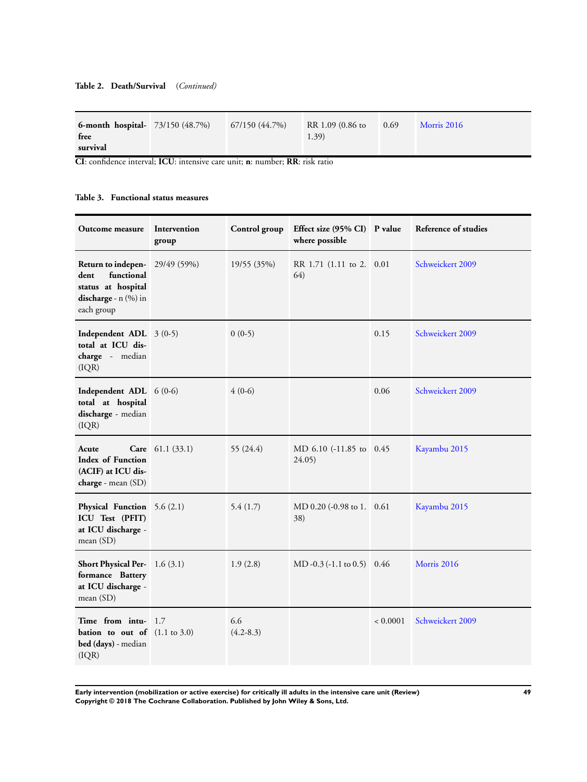# <span id="page-51-0"></span>**Table 2. Death/Survival** (*Continued)*

| <b>6-month hospital-</b> $73/150$ (48.7%) |                                                                                                                                                                                                                                                                                                                                    | 67/150 (44.7%) | RR 1.09 (0.86 to | 0.69 | Morris 2016 |
|-------------------------------------------|------------------------------------------------------------------------------------------------------------------------------------------------------------------------------------------------------------------------------------------------------------------------------------------------------------------------------------|----------------|------------------|------|-------------|
| free                                      |                                                                                                                                                                                                                                                                                                                                    |                | 1.39)            |      |             |
| survival                                  |                                                                                                                                                                                                                                                                                                                                    |                |                  |      |             |
| $\sim$                                    | $\mathbf{1}$ $\mathbf{1}$ $\mathbf{1}$ $\mathbf{1}$ $\mathbf{1}$ $\mathbf{1}$ $\mathbf{1}$ $\mathbf{1}$ $\mathbf{1}$ $\mathbf{1}$ $\mathbf{1}$ $\mathbf{1}$ $\mathbf{1}$ $\mathbf{1}$ $\mathbf{1}$ $\mathbf{1}$ $\mathbf{1}$ $\mathbf{1}$ $\mathbf{1}$ $\mathbf{1}$ $\mathbf{1}$ $\mathbf{1}$ $\mathbf{1}$ $\mathbf{1}$ $\mathbf{$ |                | $nn \cdot 1$     |      |             |

**CI**: confidence interval; **ICU**: intensive care unit; **n**: number; **RR**: risk ratio

#### **Table 3. Functional status measures**

| <b>Outcome measure</b>                                                                               | Intervention<br>group     | Control group        | Effect size (95% CI) P value<br>where possible |          | Reference of studies |
|------------------------------------------------------------------------------------------------------|---------------------------|----------------------|------------------------------------------------|----------|----------------------|
| Return to indepen-<br>functional<br>dent<br>status at hospital<br>discharge - n (%) in<br>each group | 29/49 (59%)               | 19/55 (35%)          | RR 1.71 (1.11 to 2. 0.01<br>64)                |          | Schweickert 2009     |
| Independent ADL 3 (0-5)<br>total at ICU dis-<br>charge - median<br>(IQR)                             |                           | $0(0-5)$             |                                                | 0.15     | Schweickert 2009     |
| Independent ADL 6 (0-6)<br>total at hospital<br>discharge - median<br>(IQR)                          |                           | $4(0-6)$             |                                                | 0.06     | Schweickert 2009     |
| Acute<br><b>Index of Function</b><br>(ACIF) at ICU dis-<br>charge - mean (SD)                        | <b>Care</b> $61.1 (33.1)$ | 55 (24.4)            | MD 6.10 (-11.85 to 0.45)<br>24.05)             |          | Kayambu 2015         |
| Physical Function 5.6 (2.1)<br>ICU Test (PFIT)<br>at ICU discharge -<br>mean (SD)                    |                           | 5.4(1.7)             | MD 0.20 (-0.98 to 1. 0.61)<br>38)              |          | Kayambu 2015         |
| Short Physical Per- 1.6 (3.1)<br>formance Battery<br>at ICU discharge -<br>mean (SD)                 |                           | 1.9(2.8)             | MD -0.3 (-1.1 to 0.5) 0.46                     |          | Morris 2016          |
| Time from intu- 1.7<br>bation to out of $(1.1 \text{ to } 3.0)$<br>bed (days) - median<br>(IQR)      |                           | 6.6<br>$(4.2 - 8.3)$ |                                                | < 0.0001 | Schweickert 2009     |

**Early intervention (mobilization or active exercise) for critically ill adults in the intensive care unit (Review) 49 Copyright © 2018 The Cochrane Collaboration. Published by John Wiley & Sons, Ltd.**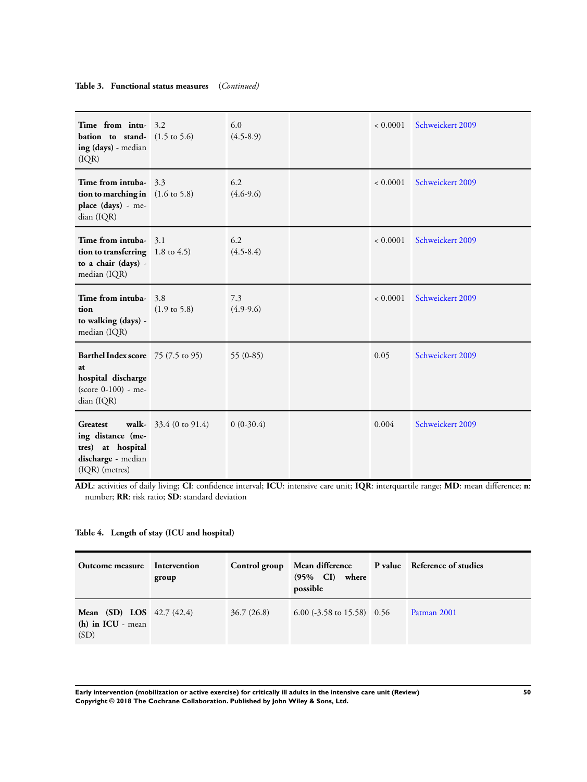### <span id="page-52-0"></span>**Table 3. Functional status measures** (*Continued)*

| Time from intu-<br>bation to stand-<br>ing (days) - median<br>(IQR)                                        | 3.2<br>$(1.5 \text{ to } 5.6)$ | 6.0<br>$(4.5-8.9)$ | < 0.0001     | Schweickert 2009 |
|------------------------------------------------------------------------------------------------------------|--------------------------------|--------------------|--------------|------------------|
| Time from intuba- 3.3<br>tion to marching in<br>place (days) - me-<br>dian (IQR)                           | $(1.6 \text{ to } 5.8)$        | 6.2<br>$(4.6-9.6)$ | < 0.0001     | Schweickert 2009 |
| Time from intuba-<br>tion to transferring $1.8$ to 4.5)<br>to a chair (days) -<br>median (IQR)             | 3.1                            | 6.2<br>$(4.5-8.4)$ | < 0.0001     | Schweickert 2009 |
| Time from intuba-<br>tion<br>to walking (days) -<br>median (IQR)                                           | 3.8<br>$(1.9 \text{ to } 5.8)$ | 7.3<br>$(4.9-9.6)$ | ${}< 0.0001$ | Schweickert 2009 |
| <b>Barthel Index score</b> 75 (7.5 to 95)<br>at<br>hospital discharge<br>(score 0-100) - me-<br>dian (IQR) |                                | $55(0-85)$         | 0.05         | Schweickert 2009 |
| walk-<br>Greatest<br>ing distance (me-<br>at hospital<br>tres)<br>discharge - median<br>(IQR) (metres)     | 33.4 (0 to 91.4)               | $0(0-30.4)$        | 0.004        | Schweickert 2009 |

**ADL**: activities of daily living; **CI**: confidence interval; **ICU**: intensive care unit; **IQR**: interquartile range; **MD**: mean difference; **n**: number; **RR**: risk ratio; **SD**: standard deviation

# **Table 4. Length of stay (ICU and hospital)**

| Outcome measure                                                  | Intervention<br>group | Control group | Mean difference<br>CI)<br>(95%<br>where<br>possible | P value Reference of studies |
|------------------------------------------------------------------|-----------------------|---------------|-----------------------------------------------------|------------------------------|
| <b>Mean</b> (SD) LOS $42.7(42.4)$<br>$(h)$ in ICU - mean<br>(SD) |                       | 36.7(26.8)    | $6.00$ (-3.58 to 15.58) 0.56                        | Patman 2001                  |

**Early intervention (mobilization or active exercise) for critically ill adults in the intensive care unit (Review) 50 Copyright © 2018 The Cochrane Collaboration. Published by John Wiley & Sons, Ltd.**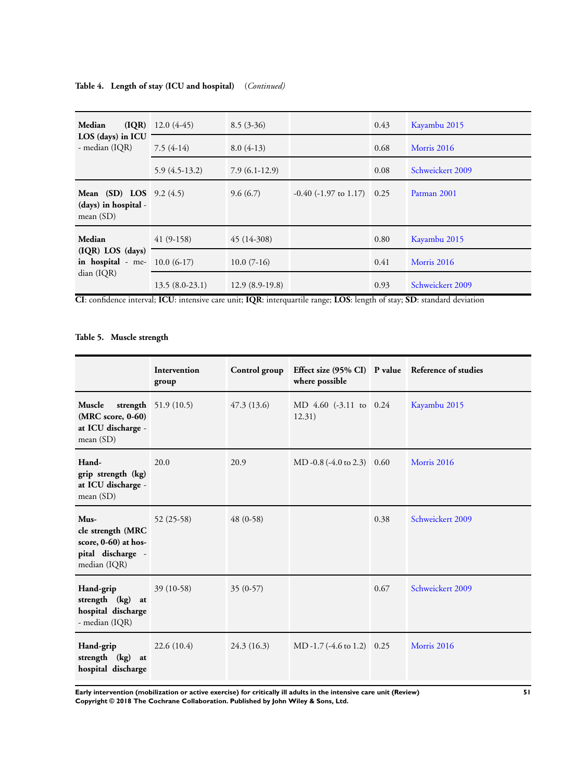<span id="page-53-0"></span>

|  |  |  |  |  |  | Table 4. Length of stay (ICU and hospital) (Continued) |
|--|--|--|--|--|--|--------------------------------------------------------|
|--|--|--|--|--|--|--------------------------------------------------------|

| ( IQR)<br>Median<br>LOS (days) in ICU                                  | $12.0(4-45)$     | $8.5(3-36)$      |                                 | 0.43 | Kayambu 2015     |
|------------------------------------------------------------------------|------------------|------------------|---------------------------------|------|------------------|
| - median (IQR)                                                         | $7.5(4-14)$      | $8.0(4-13)$      |                                 | 0.68 | Morris 2016      |
|                                                                        | $5.9(4.5-13.2)$  | $7.9(6.1-12.9)$  |                                 | 0.08 | Schweickert 2009 |
| <b>Mean</b> (SD) LOS $9.2(4.5)$<br>(days) in hospital -<br>mean $(SD)$ |                  | 9.6(6.7)         | $-0.40$ ( $-1.97$ to 1.17) 0.25 |      | Patman 2001      |
| Median                                                                 | $41(9-158)$      | $45(14-308)$     |                                 | 0.80 | Kayambu 2015     |
| $( IQR)$ LOS $(days)$<br>in hospital - me- $10.0 (6-17)$               |                  | $10.0(7-16)$     |                                 | 0.41 | Morris 2016      |
| dian (IQR)                                                             | $13.5(8.0-23.1)$ | $12.9(8.9-19.8)$ |                                 | 0.93 | Schweickert 2009 |

**CI**: confidence interval; **ICU**: intensive care unit; **IQR**: interquartile range; **LOS**: length of stay; **SD**: standard deviation

# **Table 5. Muscle strength**

|                                                                                        | Intervention<br>group | Control group | Effect size (95% CI) P value Reference of studies<br>where possible |      |                  |
|----------------------------------------------------------------------------------------|-----------------------|---------------|---------------------------------------------------------------------|------|------------------|
| Muscle<br>(MRC score, 0-60)<br>at ICU discharge -<br>mean $(SD)$                       | strength $51.9(10.5)$ | 47.3(13.6)    | MD 4.60 (-3.11 to 0.24<br>12.31)                                    |      | Kayambu 2015     |
| Hand-<br>grip strength (kg)<br>at ICU discharge -<br>mean (SD)                         | 20.0                  | 20.9          | MD -0.8 $(-4.0 \text{ to } 2.3)$ 0.60                               |      | Morris 2016      |
| Mus-<br>cle strength (MRC<br>score, 0-60) at hos-<br>pital discharge -<br>median (IQR) | $52(25-58)$           | $48(0-58)$    |                                                                     | 0.38 | Schweickert 2009 |
| Hand-grip<br>strength (kg)<br>at<br>hospital discharge<br>- median (IQR)               | 39 (10-58)            | $35(0-57)$    |                                                                     | 0.67 | Schweickert 2009 |
| Hand-grip<br>strength (kg) at<br>hospital discharge                                    | 22.6(10.4)            | 24.3(16.3)    | MD -1.7 (-4.6 to 1.2) 0.25                                          |      | Morris 2016      |

**Early intervention (mobilization or active exercise) for critically ill adults in the intensive care unit (Review) 51 Copyright © 2018 The Cochrane Collaboration. Published by John Wiley & Sons, Ltd.**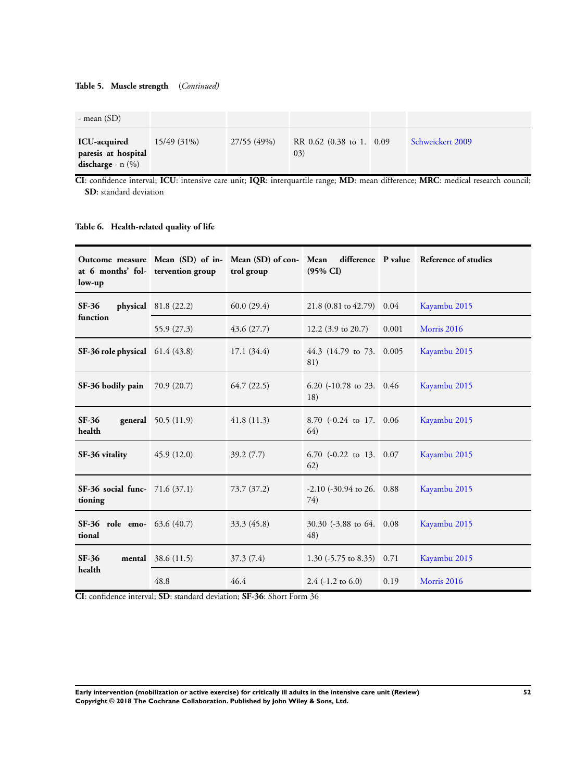# <span id="page-54-0"></span>**Table 5. Muscle strength** (*Continued)*

| - mean (SD)                                                              |             |             |                                   |                  |
|--------------------------------------------------------------------------|-------------|-------------|-----------------------------------|------------------|
| <b>ICU-acquired</b><br>paresis at hospital<br><b>discharge</b> - $n$ (%) | 15/49 (31%) | 27/55 (49%) | RR 0.62 (0.38 to 1. 0.09)<br>(03) | Schweickert 2009 |

**CI**: confidence interval; **ICU**: intensive care unit; **IQR**: interquartile range; **MD**: mean difference; **MRC**: medical research council; **SD**: standard deviation

# **Table 6. Health-related quality of life**

| at 6 months' fol- tervention group<br>low-up       |                              | trol group  | $(95\% \text{ CI})$                  |       | Outcome measure Mean (SD) of in- Mean (SD) of con- Mean difference P value Reference of studies |
|----------------------------------------------------|------------------------------|-------------|--------------------------------------|-------|-------------------------------------------------------------------------------------------------|
| SF-36                                              | <b>physical</b> $81.8(22.2)$ | 60.0(29.4)  | $21.8(0.81 \text{ to } 42.79)$ 0.04  |       | Kayambu 2015                                                                                    |
| function                                           | 55.9 (27.3)                  | 43.6(27.7)  | 12.2 $(3.9 \text{ to } 20.7)$        | 0.001 | Morris 2016                                                                                     |
| <b>SF-36 role physical</b> $61.4 (43.8)$           |                              | 17.1(34.4)  | 44.3 (14.79 to 73. 0.005)<br>81)     |       | Kayambu 2015                                                                                    |
| SF-36 bodily pain                                  | 70.9(20.7)                   | 64.7(22.5)  | $6.20$ (-10.78 to 23. 0.46<br>18)    |       | Kayambu 2015                                                                                    |
| SF-36<br>health                                    | <b>general</b> 50.5 (11.9)   | 41.8(11.3)  | 8.70 (-0.24 to 17. 0.06)<br>64)      |       | Kayambu 2015                                                                                    |
| SF-36 vitality                                     | 45.9(12.0)                   | 39.2(7.7)   | $6.70$ (-0.22 to 13. 0.07<br>62)     |       | Kayambu 2015                                                                                    |
| <b>SF-36</b> social func- $71.6 (37.1)$<br>tioning |                              | 73.7 (37.2) | $-2.10$ ( $-30.94$ to 26.<br>74)     | 0.88  | Kayambu 2015                                                                                    |
| <b>SF-36</b> role emo- 63.6 (40.7)<br>tional       |                              | 33.3(45.8)  | 30.30 (-3.88 to 64. 0.08)<br>48)     |       | Kayambu 2015                                                                                    |
| $SF-36$                                            | <b>mental</b> $38.6(11.5)$   | 37.3(7.4)   | 1.30 $(-5.75 \text{ to } 8.35)$ 0.71 |       | Kayambu 2015                                                                                    |
| health                                             | 48.8                         | 46.4        | $2.4$ (-1.2 to 6.0)                  | 0.19  | Morris 2016                                                                                     |

**CI**: confidence interval; **SD**: standard deviation; **SF-36**: Short Form 36

**Early intervention (mobilization or active exercise) for critically ill adults in the intensive care unit (Review) 52 Copyright © 2018 The Cochrane Collaboration. Published by John Wiley & Sons, Ltd.**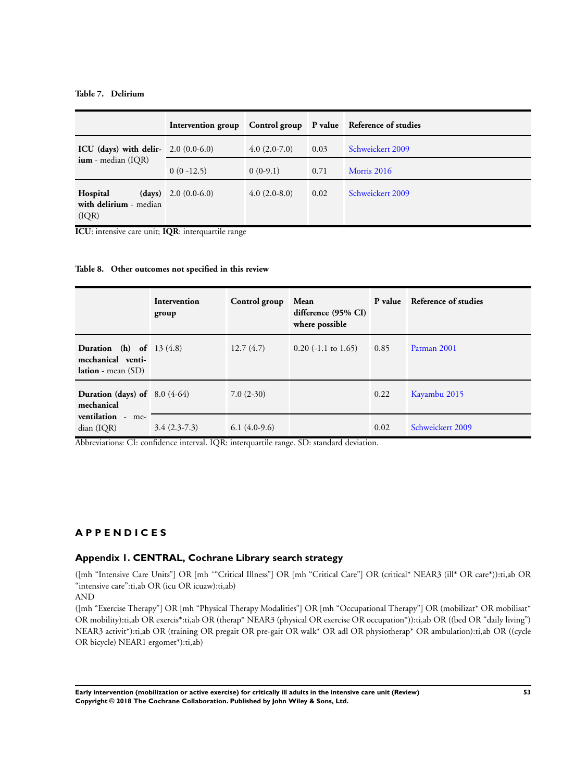### <span id="page-55-0"></span>**Table 7. Delirium**

|                                             |                        |                |      | Intervention group Control group P value Reference of studies |
|---------------------------------------------|------------------------|----------------|------|---------------------------------------------------------------|
| ICU (days) with delir- $2.0 (0.0-6.0)$      |                        | $4.0(2.0-7.0)$ | 0.03 | Schweickert 2009                                              |
| $ium$ - median (IQR)                        | $0(0 - 12.5)$          | $0(0-9.1)$     | 0.71 | Morris 2016                                                   |
| Hospital<br>with delirium - median<br>(IQR) | (days) $2.0 (0.0-6.0)$ | $4.0(2.0-8.0)$ | 0.02 | Schweickert 2009                                              |

**ICU**: intensive care unit; **IQR**: interquartile range

|  | Table 8. Other outcomes not specified in this review |  |  |  |  |
|--|------------------------------------------------------|--|--|--|--|
|--|------------------------------------------------------|--|--|--|--|

|                                                                                               | Intervention<br>group | Control group  | Mean<br>difference (95% CI)<br>where possible | P value | Reference of studies |
|-----------------------------------------------------------------------------------------------|-----------------------|----------------|-----------------------------------------------|---------|----------------------|
| <b>Duration</b> ( <b>h</b> ) of $13(4.8)$<br>mechanical venti-<br><b>lation</b> - mean $(SD)$ |                       | 12.7(4.7)      | $0.20$ (-1.1 to 1.65)                         | 0.85    | Patman 2001          |
| Duration (days) of $8.0(4-64)$<br>mechanical                                                  |                       | $7.0(2-30)$    |                                               | 0.22    | Kayambu 2015         |
| ventilation<br>me-<br>$\sim$<br>dian (IQR)                                                    | $3.4(2.3-7.3)$        | $6.1(4.0-9.6)$ |                                               | 0.02    | Schweickert 2009     |

Abbreviations: CI: confidence interval. IQR: interquartile range. SD: standard deviation.

# **A P P E N D I C E S**

# **Appendix 1. CENTRAL, Cochrane Library search strategy**

([mh "Intensive Care Units"] OR [mh ˆ"Critical Illness"] OR [mh "Critical Care"] OR (critical\* NEAR3 (ill\* OR care\*)):ti,ab OR "intensive care":ti,ab OR (icu OR icuaw):ti,ab)

([mh "Exercise Therapy"] OR [mh "Physical Therapy Modalities"] OR [mh "Occupational Therapy"] OR (mobilizat\* OR mobilisat\* OR mobility):ti,ab OR exercis\*:ti,ab OR (therap\* NEAR3 (physical OR exercise OR occupation\*)):ti,ab OR ((bed OR "daily living") NEAR3 activit\*):ti,ab OR (training OR pregait OR pre-gait OR walk\* OR adl OR physiotherap\* OR ambulation):ti,ab OR ((cycle OR bicycle) NEAR1 ergomet\*):ti,ab)

AND

**Early intervention (mobilization or active exercise) for critically ill adults in the intensive care unit (Review) 53 Copyright © 2018 The Cochrane Collaboration. Published by John Wiley & Sons, Ltd.**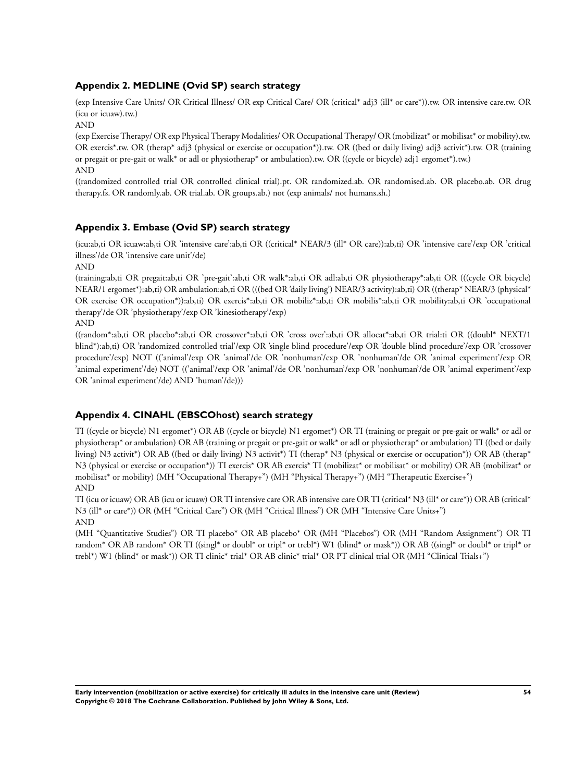# <span id="page-56-0"></span>**Appendix 2. MEDLINE (Ovid SP) search strategy**

(exp Intensive Care Units/ OR Critical Illness/ OR exp Critical Care/ OR (critical\* adj3 (ill\* or care\*)).tw. OR intensive care.tw. OR (icu or icuaw).tw.)

AND

(exp Exercise Therapy/ OR exp Physical Therapy Modalities/ OR Occupational Therapy/ OR (mobilizat\* or mobilisat\* or mobility).tw. OR exercis\*.tw. OR (therap\* adj3 (physical or exercise or occupation\*)).tw. OR ((bed or daily living) adj3 activit\*).tw. OR (training or pregait or pre-gait or walk\* or adl or physiotherap\* or ambulation).tw. OR ((cycle or bicycle) adj1 ergomet\*).tw.) AND

((randomized controlled trial OR controlled clinical trial).pt. OR randomized.ab. OR randomised.ab. OR placebo.ab. OR drug therapy.fs. OR randomly.ab. OR trial.ab. OR groups.ab.) not (exp animals/ not humans.sh.)

# **Appendix 3. Embase (Ovid SP) search strategy**

(icu:ab,ti OR icuaw:ab,ti OR 'intensive care':ab,ti OR ((critical\* NEAR/3 (ill\* OR care)):ab,ti) OR 'intensive care'/exp OR 'critical illness'/de OR 'intensive care unit'/de)

AND

(training:ab,ti OR pregait:ab,ti OR 'pre-gait':ab,ti OR walk\*:ab,ti OR adl:ab,ti OR physiotherapy\*:ab,ti OR (((cycle OR bicycle) NEAR/1 ergomet\*):ab,ti) OR ambulation:ab,ti OR (((bed OR 'daily living') NEAR/3 activity):ab,ti) OR ((therap\* NEAR/3 (physical\* OR exercise OR occupation\*)):ab,ti) OR exercis\*:ab,ti OR mobiliz\*:ab,ti OR mobilis\*:ab,ti OR mobility:ab,ti OR 'occupational therapy'/de OR 'physiotherapy'/exp OR 'kinesiotherapy'/exp)

AND

((random\*:ab,ti OR placebo\*:ab,ti OR crossover\*:ab,ti OR 'cross over':ab,ti OR allocat\*:ab,ti OR trial:ti OR ((doubl\* NEXT/1 blind\*):ab,ti) OR 'randomized controlled trial'/exp OR 'single blind procedure'/exp OR 'double blind procedure'/exp OR 'crossover procedure'/exp) NOT (('animal'/exp OR 'animal'/de OR 'nonhuman'/exp OR 'nonhuman'/de OR 'animal experiment'/exp OR 'animal experiment'/de) NOT (('animal'/exp OR 'animal'/de OR 'nonhuman'/exp OR 'nonhuman'/de OR 'animal experiment'/exp OR 'animal experiment'/de) AND 'human'/de)))

# **Appendix 4. CINAHL (EBSCOhost) search strategy**

TI ((cycle or bicycle) N1 ergomet\*) OR AB ((cycle or bicycle) N1 ergomet\*) OR TI (training or pregait or pre-gait or walk\* or adl or physiotherap\* or ambulation) OR AB (training or pregait or pre-gait or walk\* or adl or physiotherap\* or ambulation) TI ((bed or daily living) N3 activit<sup>\*</sup>) OR AB ((bed or daily living) N3 activit<sup>\*</sup>) TI (therap<sup>\*</sup> N3 (physical or exercise or occupation<sup>\*</sup>)) OR AB (therap<sup>\*</sup> N3 (physical or exercise or occupation\*)) TI exercis\* OR AB exercis\* TI (mobilizat\* or mobilisat\* or mobility) OR AB (mobilizat\* or mobilisat\* or mobility) (MH "Occupational Therapy+") (MH "Physical Therapy+") (MH "Therapeutic Exercise+") AND

TI (icu or icuaw) OR AB (icu or icuaw) OR TI intensive care OR AB intensive care OR TI (critical\* N3 (ill\* or care\*)) OR AB (critical\* N3 (ill\* or care\*)) OR (MH "Critical Care") OR (MH "Critical Illness") OR (MH "Intensive Care Units+") AND

(MH "Quantitative Studies") OR TI placebo\* OR AB placebo\* OR (MH "Placebos") OR (MH "Random Assignment") OR TI random\* OR AB random\* OR TI ((singl\* or doubl\* or tripl\* or trebl\*) W1 (blind\* or mask\*)) OR AB ((singl\* or doubl\* or tripl\* or trebl\*) W1 (blind\* or mask\*)) OR TI clinic\* trial\* OR AB clinic\* trial\* OR PT clinical trial OR (MH "Clinical Trials+")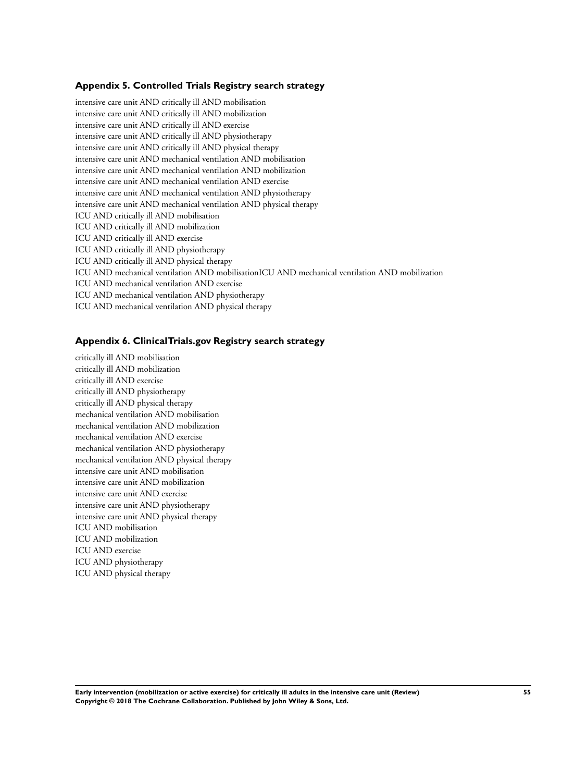# <span id="page-57-0"></span>**Appendix 5. Controlled Trials Registry search strategy**

intensive care unit AND critically ill AND mobilisation intensive care unit AND critically ill AND mobilization intensive care unit AND critically ill AND exercise intensive care unit AND critically ill AND physiotherapy intensive care unit AND critically ill AND physical therapy intensive care unit AND mechanical ventilation AND mobilisation intensive care unit AND mechanical ventilation AND mobilization intensive care unit AND mechanical ventilation AND exercise intensive care unit AND mechanical ventilation AND physiotherapy intensive care unit AND mechanical ventilation AND physical therapy ICU AND critically ill AND mobilisation ICU AND critically ill AND mobilization ICU AND critically ill AND exercise ICU AND critically ill AND physiotherapy ICU AND critically ill AND physical therapy ICU AND mechanical ventilation AND mobilisationICU AND mechanical ventilation AND mobilization ICU AND mechanical ventilation AND exercise ICU AND mechanical ventilation AND physiotherapy ICU AND mechanical ventilation AND physical therapy

# **Appendix 6. ClinicalTrials.gov Registry search strategy**

critically ill AND mobilisation critically ill AND mobilization critically ill AND exercise critically ill AND physiotherapy critically ill AND physical therapy mechanical ventilation AND mobilisation mechanical ventilation AND mobilization mechanical ventilation AND exercise mechanical ventilation AND physiotherapy mechanical ventilation AND physical therapy intensive care unit AND mobilisation intensive care unit AND mobilization intensive care unit AND exercise intensive care unit AND physiotherapy intensive care unit AND physical therapy ICU AND mobilisation ICU AND mobilization ICU AND exercise ICU AND physiotherapy ICU AND physical therapy

**Early intervention (mobilization or active exercise) for critically ill adults in the intensive care unit (Review) 55 Copyright © 2018 The Cochrane Collaboration. Published by John Wiley & Sons, Ltd.**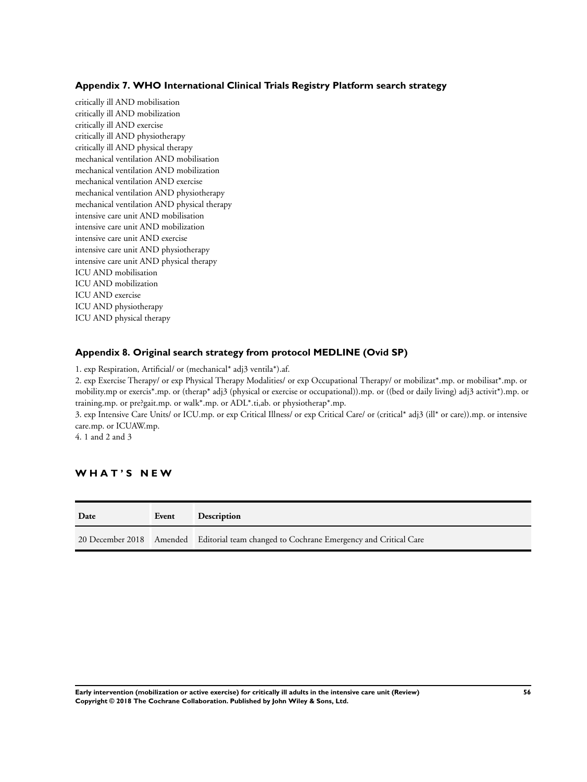# <span id="page-58-0"></span>**Appendix 7. WHO International Clinical Trials Registry Platform search strategy**

critically ill AND mobilisation critically ill AND mobilization critically ill AND exercise critically ill AND physiotherapy critically ill AND physical therapy mechanical ventilation AND mobilisation mechanical ventilation AND mobilization mechanical ventilation AND exercise mechanical ventilation AND physiotherapy mechanical ventilation AND physical therapy intensive care unit AND mobilisation intensive care unit AND mobilization intensive care unit AND exercise intensive care unit AND physiotherapy intensive care unit AND physical therapy ICU AND mobilisation ICU AND mobilization ICU AND exercise ICU AND physiotherapy ICU AND physical therapy

# **Appendix 8. Original search strategy from protocol MEDLINE (Ovid SP)**

1. exp Respiration, Artificial/ or (mechanical\* adj3 ventila\*).af.

2. exp Exercise Therapy/ or exp Physical Therapy Modalities/ or exp Occupational Therapy/ or mobilizat\*.mp. or mobilisat\*.mp. or mobility.mp or exercis\*.mp. or (therap\* adj3 (physical or exercise or occupational)).mp. or ((bed or daily living) adj3 activit\*).mp. or training.mp. or pre?gait.mp. or walk\*.mp. or ADL\*.ti,ab. or physiotherap\*.mp.

3. exp Intensive Care Units/ or ICU.mp. or exp Critical Illness/ or exp Critical Care/ or (critical\* adj3 (ill\* or care)).mp. or intensive care.mp. or ICUAW.mp.

4. 1 and 2 and 3

# **W H A T ' S N E W**

| Date | Event | <b>Description</b>                                                                      |
|------|-------|-----------------------------------------------------------------------------------------|
|      |       | 20 December 2018 Amended Editorial team changed to Cochrane Emergency and Critical Care |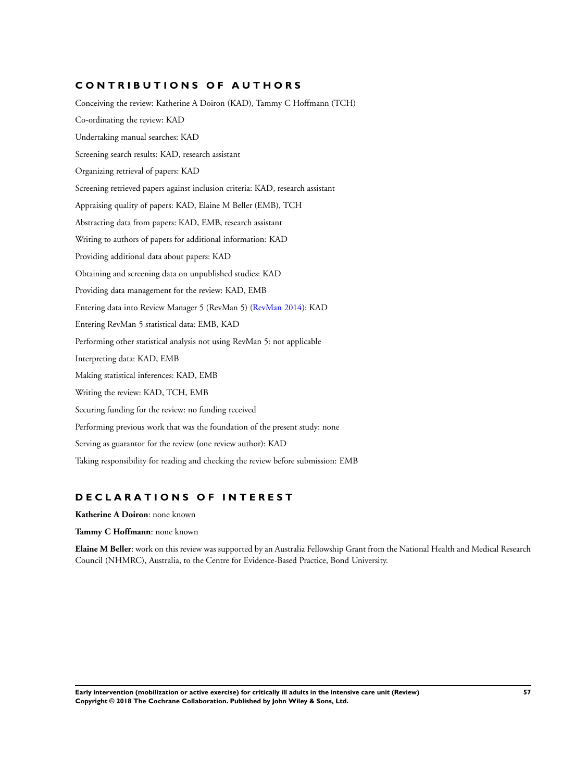# **C O N T R I B U T I O N S O F A U T H O R S**

Conceiving the review: Katherine A Doiron (KAD), Tammy C Hoffmann (TCH) Co-ordinating the review: KAD Undertaking manual searches: KAD Screening search results: KAD, research assistant Organizing retrieval of papers: KAD Screening retrieved papers against inclusion criteria: KAD, research assistant Appraising quality of papers: KAD, Elaine M Beller (EMB), TCH Abstracting data from papers: KAD, EMB, research assistant Writing to authors of papers for additional information: KAD Providing additional data about papers: KAD Obtaining and screening data on unpublished studies: KAD Providing data management for the review: KAD, EMB Entering data into Review Manager 5 (RevMan 5) [\(RevMan 2014](#page-26-0)): KAD Entering RevMan 5 statistical data: EMB, KAD Performing other statistical analysis not using RevMan 5: not applicable Interpreting data: KAD, EMB Making statistical inferences: KAD, EMB Writing the review: KAD, TCH, EMB Securing funding for the review: no funding received Performing previous work that was the foundation of the present study: none Serving as guarantor for the review (one review author): KAD Taking responsibility for reading and checking the review before submission: EMB

# **D E C L A R A T I O N S O F I N T E R E S T**

**Katherine A Doiron**: none known

**Tammy C Hoffmann**: none known

**Elaine M Beller**: work on this review was supported by an Australia Fellowship Grant from the National Health and Medical Research Council (NHMRC), Australia, to the Centre for Evidence-Based Practice, Bond University.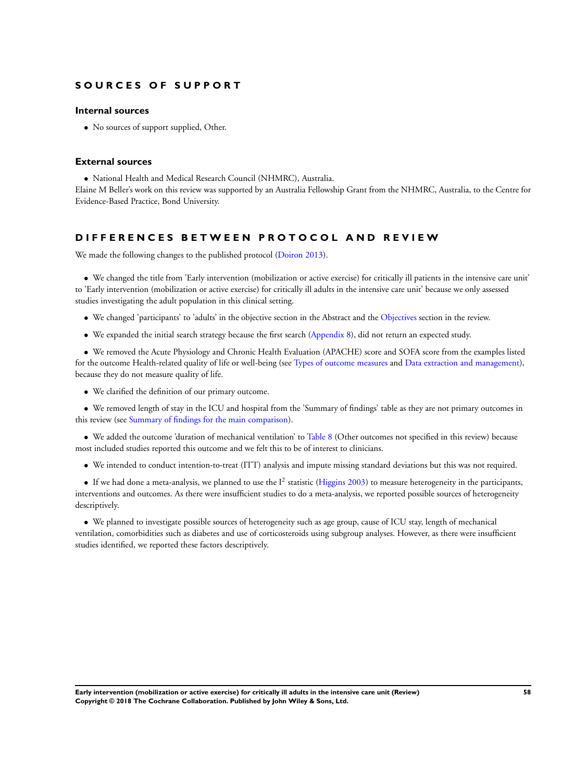# <span id="page-60-0"></span>**S O U R C E S O F S U P P O R T**

### **Internal sources**

• No sources of support supplied, Other.

# **External sources**

• National Health and Medical Research Council (NHMRC), Australia.

Elaine M Beller's work on this review was supported by an Australia Fellowship Grant from the NHMRC, Australia, to the Centre for Evidence-Based Practice, Bond University.

# **D I F F E R E N C E S B E T W E E N P R O T O C O L A N D R E V I E W**

We made the following changes to the published protocol ([Doiron 2013](#page-26-0)).

• We changed the title from 'Early intervention (mobilization or active exercise) for critically ill patients in the intensive care unit' to 'Early intervention (mobilization or active exercise) for critically ill adults in the intensive care unit' because we only assessed studies investigating the adult population in this clinical setting.

- We changed 'participants' to 'adults' in the objective section in the Abstract and the [Objectives](#page-10-0) section in the review.
- We expanded the initial search strategy because the first search [\(Appendix 8\)](#page-58-0), did not return an expected study.

• We removed the Acute Physiology and Chronic Health Evaluation (APACHE) score and SOFA score from the examples listed for the outcome Health-related quality of life or well-being (see [Types of outcome measures](#page-10-0) and [Data extraction and management\)](#page-10-0), because they do not measure quality of life.

- We clarified the definition of our primary outcome.
- We removed length of stay in the ICU and hospital from the 'Summary of findings' table as they are not primary outcomes in this review (see [Summary of findings for the main comparison](#page-6-0)).

• We added the outcome 'duration of mechanical ventilation' to [Table 8](#page-55-0) (Other outcomes not specified in this review) because most included studies reported this outcome and we felt this to be of interest to clinicians.

• We intended to conduct intention-to-treat (ITT) analysis and impute missing standard deviations but this was not required.

If we had done a meta-analysis, we planned to use the  $I^2$  statistic ([Higgins 2003\)](#page-26-0) to measure heterogeneity in the participants, interventions and outcomes. As there were insufficient studies to do a meta-analysis, we reported possible sources of heterogeneity descriptively.

• We planned to investigate possible sources of heterogeneity such as age group, cause of ICU stay, length of mechanical ventilation, comorbidities such as diabetes and use of corticosteroids using subgroup analyses. However, as there were insufficient studies identified, we reported these factors descriptively.